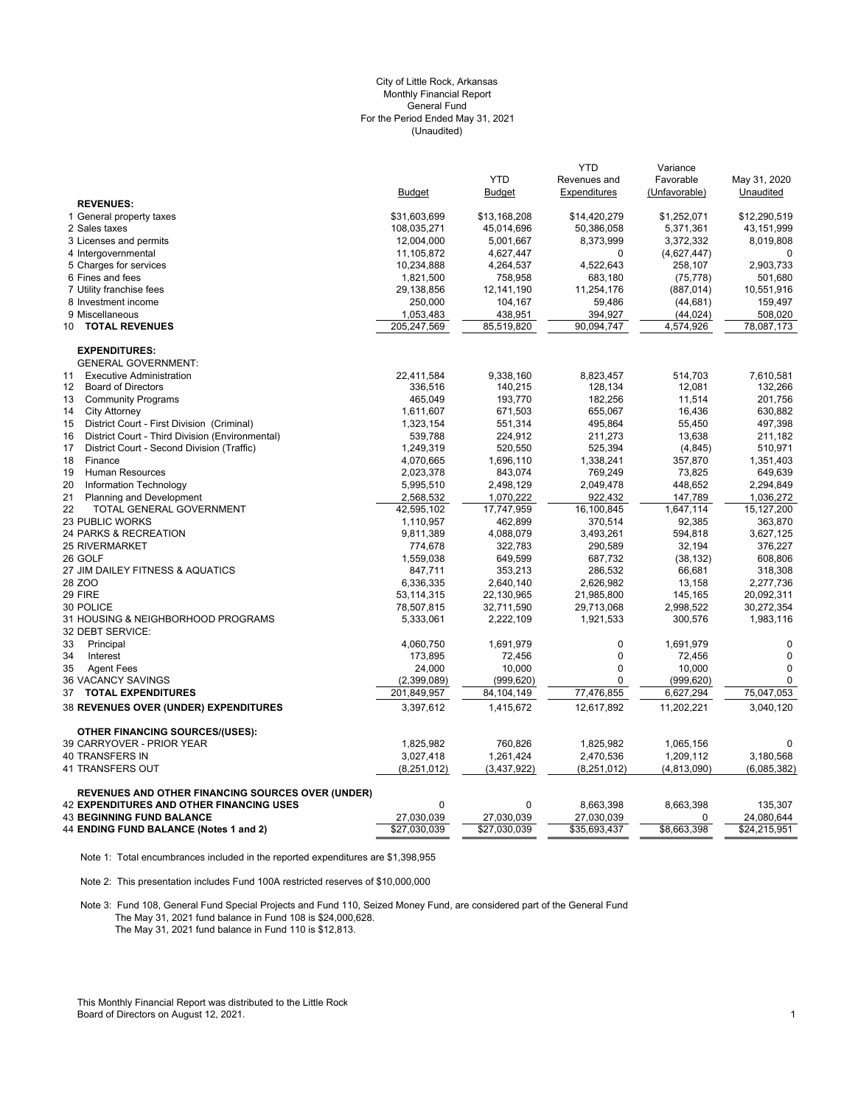## (Unaudited) City of Little Rock, Arkansas Monthly Financial Report General Fund For the Period Ended May 31, 2021

|                                                                                                             |                            |                            | <b>YTD</b>                 | Variance              |                            |
|-------------------------------------------------------------------------------------------------------------|----------------------------|----------------------------|----------------------------|-----------------------|----------------------------|
|                                                                                                             |                            | <b>YTD</b>                 | Revenues and               | Favorable             | May 31, 2020               |
|                                                                                                             | <b>Budget</b>              | <b>Budget</b>              | Expenditures               | (Unfavorable)         | Unaudited                  |
| <b>REVENUES:</b>                                                                                            |                            |                            |                            |                       |                            |
| 1 General property taxes                                                                                    | \$31,603,699               | \$13,168,208               | \$14,420,279               | \$1,252,071           | \$12,290,519               |
| 2 Sales taxes                                                                                               | 108,035,271                | 45,014,696                 | 50,386,058                 | 5,371,361             | 43,151,999                 |
| 3 Licenses and permits                                                                                      | 12,004,000                 | 5,001,667                  | 8,373,999                  | 3,372,332             | 8,019,808                  |
| 4 Intergovernmental                                                                                         | 11,105,872                 | 4,627,447                  | $\Omega$                   | (4,627,447)           | O                          |
| 5 Charges for services                                                                                      | 10,234,888                 | 4,264,537                  | 4,522,643                  | 258,107               | 2,903,733                  |
| 6 Fines and fees                                                                                            | 1,821,500                  | 758,958                    | 683,180                    | (75, 778)             | 501,680                    |
| 7 Utility franchise fees                                                                                    | 29,138,856                 | 12,141,190                 | 11,254,176                 | (887, 014)            | 10,551,916                 |
| 8 Investment income                                                                                         | 250,000                    | 104,167                    | 59,486                     | (44, 681)             | 159,497                    |
| 9 Miscellaneous                                                                                             | 1,053,483                  | 438,951                    | 394,927                    | (44, 024)             | 508,020                    |
| <b>TOTAL REVENUES</b><br>10                                                                                 | 205,247,569                | 85,519,820                 | 90,094,747                 | 4,574,926             | 78,087,173                 |
| <b>EXPENDITURES:</b>                                                                                        |                            |                            |                            |                       |                            |
| <b>GENERAL GOVERNMENT:</b>                                                                                  |                            |                            |                            |                       |                            |
| <b>Executive Administration</b><br>11                                                                       | 22,411,584                 | 9,338,160                  | 8,823,457                  | 514,703               | 7,610,581                  |
| 12<br><b>Board of Directors</b>                                                                             | 336,516                    | 140,215                    | 128,134                    | 12,081                | 132,266                    |
| 13<br><b>Community Programs</b>                                                                             | 465,049                    | 193,770                    | 182,256                    | 11,514                | 201,756                    |
| 14<br><b>City Attorney</b>                                                                                  | 1,611,607                  | 671,503                    | 655,067                    | 16,436                | 630,882                    |
| District Court - First Division (Criminal)<br>15                                                            | 1,323,154                  | 551,314                    | 495,864                    | 55,450                | 497,398                    |
| District Court - Third Division (Environmental)<br>16                                                       | 539,788                    | 224,912                    | 211,273                    | 13,638                | 211,182                    |
| 17<br>District Court - Second Division (Traffic)                                                            | 1,249,319                  | 520,550                    | 525,394                    | (4, 845)              | 510,971                    |
| 18<br>Finance                                                                                               | 4,070,665                  | 1,696,110                  | 1,338,241                  | 357,870               | 1,351,403                  |
| 19<br><b>Human Resources</b>                                                                                | 2,023,378                  | 843,074                    | 769,249                    | 73,825                | 649,639                    |
| 20<br>Information Technology                                                                                | 5,995,510                  | 2,498,129                  | 2,049,478                  | 448,652               | 2,294,849                  |
| 21<br><b>Planning and Development</b>                                                                       | 2,568,532                  | 1,070,222                  | 922,432                    | 147,789               | 1,036,272                  |
| 22<br>TOTAL GENERAL GOVERNMENT                                                                              | 42,595,102                 | 17,747,959                 | 16,100,845                 | 1,647,114             | 15,127,200                 |
| 23 PUBLIC WORKS                                                                                             | 1,110,957                  | 462,899                    | 370,514                    | 92,385                | 363,870                    |
| 24 PARKS & RECREATION                                                                                       | 9,811,389                  | 4,088,079                  | 3,493,261                  | 594,818               | 3,627,125                  |
| 25 RIVERMARKET                                                                                              | 774,678                    | 322,783                    | 290,589                    | 32,194                | 376,227                    |
| 26 GOLF                                                                                                     | 1,559,038                  | 649,599                    | 687,732                    | (38, 132)             | 608,806                    |
| 27 JIM DAILEY FITNESS & AQUATICS                                                                            | 847,711                    | 353,213                    | 286,532                    | 66,681                | 318,308                    |
| 28 ZOO                                                                                                      | 6,336,335                  | 2,640,140                  | 2,626,982                  | 13,158                | 2,277,736                  |
| 29 FIRE                                                                                                     | 53,114,315                 | 22,130,965                 | 21,985,800                 | 145,165               | 20,092,311                 |
| 30 POLICE                                                                                                   | 78,507,815                 | 32,711,590                 | 29,713,068                 | 2,998,522             | 30,272,354                 |
| 31 HOUSING & NEIGHBORHOOD PROGRAMS                                                                          | 5,333,061                  | 2,222,109                  | 1,921,533                  | 300,576               | 1,983,116                  |
| 32 DEBT SERVICE:                                                                                            |                            |                            |                            |                       |                            |
| 33<br>Principal                                                                                             | 4,060,750                  | 1,691,979                  | $\mathbf 0$                | 1,691,979             | $\mathbf 0$                |
| Interest<br>34                                                                                              | 173,895                    | 72,456                     | $\pmb{0}$                  | 72,456                | $\mathbf 0$                |
| 35<br><b>Agent Fees</b>                                                                                     | 24,000                     | 10,000                     | $\pmb{0}$                  | 10,000                | $\Omega$                   |
| 36 VACANCY SAVINGS                                                                                          | (2,399,089)                | (999, 620)                 | $\Omega$                   | (999, 620)            | $\Omega$                   |
| 37<br><b>TOTAL EXPENDITURES</b>                                                                             | 201,849,957                | 84,104,149                 | 77,476,855                 | 6,627,294             | 75,047,053                 |
| 38 REVENUES OVER (UNDER) EXPENDITURES                                                                       | 3,397,612                  | 1,415,672                  | 12,617,892                 | 11,202,221            | 3,040,120                  |
| <b>OTHER FINANCING SOURCES/(USES):</b>                                                                      |                            |                            |                            |                       |                            |
| 39 CARRYOVER - PRIOR YEAR                                                                                   | 1,825,982                  | 760,826                    | 1,825,982                  | 1,065,156             | 0                          |
| 40 TRANSFERS IN                                                                                             | 3,027,418                  | 1,261,424                  | 2,470,536                  | 1,209,112             | 3,180,568                  |
| 41 TRANSFERS OUT                                                                                            | (8,251,012)                | (3,437,922)                | (8, 251, 012)              | (4, 813, 090)         | (6,085,382)                |
|                                                                                                             |                            |                            |                            |                       |                            |
| <b>REVENUES AND OTHER FINANCING SOURCES OVER (UNDER)</b><br><b>42 EXPENDITURES AND OTHER FINANCING USES</b> | $\Omega$                   | 0                          |                            |                       |                            |
| <b>43 BEGINNING FUND BALANCE</b>                                                                            |                            |                            | 8,663,398                  | 8,663,398<br>$\Omega$ | 135,307                    |
| 44 ENDING FUND BALANCE (Notes 1 and 2)                                                                      | 27,030,039<br>\$27,030,039 | 27,030,039<br>\$27,030,039 | 27,030,039<br>\$35,693,437 | \$8,663,398           | 24,080,644<br>\$24,215,951 |
|                                                                                                             |                            |                            |                            |                       |                            |

Note 1: Total encumbrances included in the reported expenditures are \$1,398,955

Note 2: This presentation includes Fund 100A restricted reserves of \$10,000,000

Note 3: Fund 108, General Fund Special Projects and Fund 110, Seized Money Fund, are considered part of the General Fund The May 31, 2021 fund balance in Fund 108 is \$24,000,628. The May 31, 2021 fund balance in Fund 110 is \$12,813.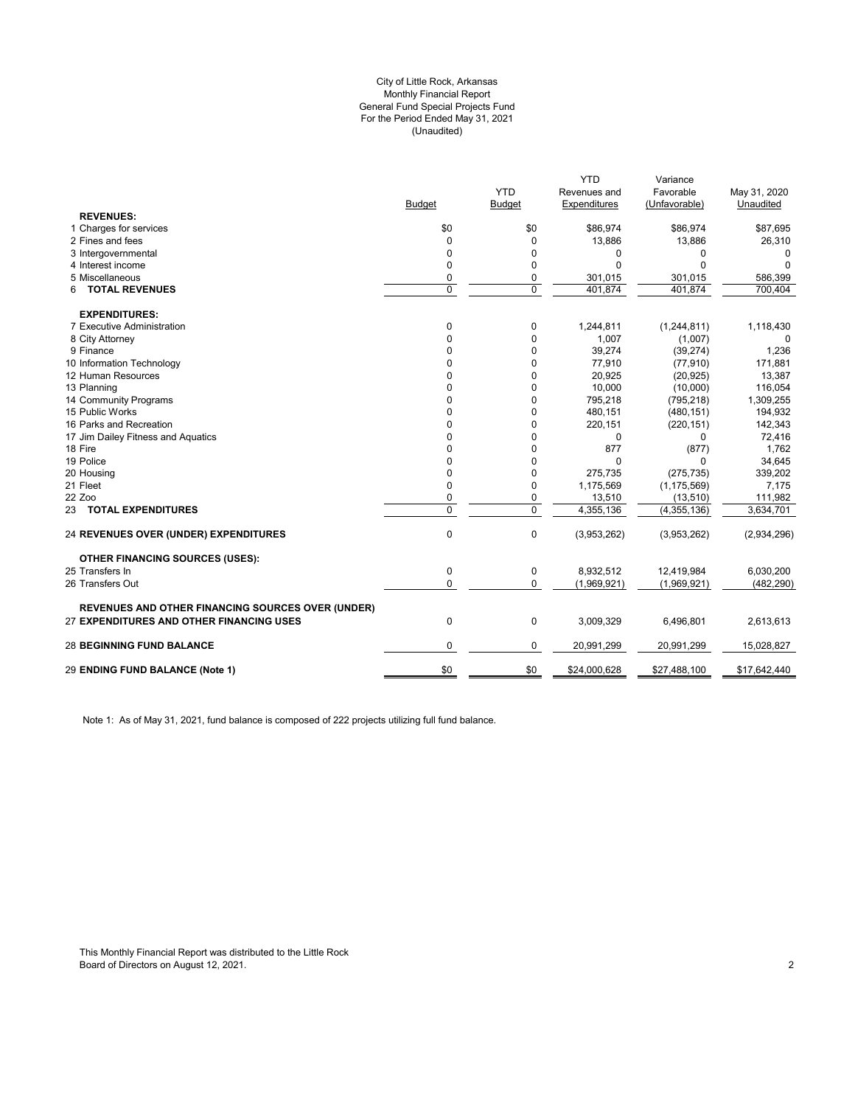### (Unaudited) City of Little Rock, Arkansas Monthly Financial Report General Fund Special Projects Fund For the Period Ended May 31, 2021

|                                                          |               | <b>YTD</b>    | <b>YTD</b>                   | Variance<br>Favorable    |                           |
|----------------------------------------------------------|---------------|---------------|------------------------------|--------------------------|---------------------------|
|                                                          | <b>Budget</b> | <b>Budget</b> | Revenues and<br>Expenditures | (Unfavorable)            | May 31, 2020<br>Unaudited |
| <b>REVENUES:</b>                                         |               |               |                              |                          |                           |
| 1 Charges for services                                   | \$0           | \$0           | \$86,974                     | \$86,974                 | \$87,695                  |
| 2 Fines and fees                                         | $\Omega$      | $\mathbf 0$   | 13,886                       | 13,886                   | 26,310                    |
| 3 Intergovernmental                                      | 0             | 0             | 0                            | 0                        | 0                         |
| 4 Interest income                                        | 0             | $\mathbf 0$   | $\Omega$                     | $\Omega$                 | $\Omega$                  |
| 5 Miscellaneous                                          | 0             | 0             | 301,015                      | 301,015                  | 586,399                   |
| <b>TOTAL REVENUES</b><br>6                               | $\mathbf 0$   | $\mathbf 0$   | 401,874                      | 401.874                  | 700,404                   |
| <b>EXPENDITURES:</b>                                     |               |               |                              |                          |                           |
| 7 Executive Administration                               | 0             | 0             | 1,244,811                    | (1,244,811)              | 1,118,430                 |
| 8 City Attorney                                          | $\Omega$      | $\mathbf 0$   | 1,007                        | (1,007)                  | 0                         |
| 9 Finance                                                | 0             | $\mathbf 0$   | 39,274                       | (39, 274)                | 1,236                     |
| 10 Information Technology                                | 0             | 0             | 77,910                       | (77, 910)                | 171,881                   |
| 12 Human Resources                                       | $\Omega$      | 0             | 20,925                       | (20, 925)                | 13,387                    |
| 13 Planning                                              | 0             | 0             | 10,000                       | (10,000)                 | 116,054                   |
| 14 Community Programs                                    | 0             | 0             | 795,218                      | (795, 218)               | 1,309,255                 |
| 15 Public Works                                          | 0             | $\mathbf 0$   | 480,151                      | (480, 151)               | 194,932                   |
| 16 Parks and Recreation                                  | 0             | 0             | 220,151                      | (220, 151)               | 142,343                   |
| 17 Jim Dailey Fitness and Aquatics                       | 0             | 0             | 0                            | 0                        | 72,416                    |
| 18 Fire                                                  | 0             | 0             | 877                          | (877)                    | 1,762                     |
| 19 Police                                                | 0             | 0             | $\Omega$                     | 0                        | 34,645                    |
| 20 Housing                                               | 0             | 0             | 275,735                      | (275, 735)               | 339,202                   |
| 21 Fleet                                                 | 0             | 0             | 1,175,569                    | (1, 175, 569)            | 7,175                     |
| 22 Zoo                                                   | 0             | 0             | 13,510                       | (13, 510)                | 111,982                   |
| 23 TOTAL EXPENDITURES                                    | 0             | $\mathbf 0$   | 4,355,136                    | $\overline{(4,355,136)}$ | 3,634,701                 |
| <b>24 REVENUES OVER (UNDER) EXPENDITURES</b>             | $\mathbf 0$   | $\mathbf 0$   | (3,953,262)                  | (3,953,262)              | (2,934,296)               |
| <b>OTHER FINANCING SOURCES (USES):</b>                   |               |               |                              |                          |                           |
| 25 Transfers In                                          | $\mathbf 0$   | 0             | 8,932,512                    | 12,419,984               | 6,030,200                 |
| 26 Transfers Out                                         | $\Omega$      | $\mathbf 0$   | (1,969,921)                  | (1,969,921)              | (482, 290)                |
| <b>REVENUES AND OTHER FINANCING SOURCES OVER (UNDER)</b> |               |               |                              |                          |                           |
| 27 EXPENDITURES AND OTHER FINANCING USES                 | $\mathbf 0$   | $\mathbf 0$   | 3,009,329                    | 6,496,801                | 2,613,613                 |
| <b>28 BEGINNING FUND BALANCE</b>                         | 0             | 0             | 20,991,299                   | 20,991,299               | 15,028,827                |
| 29 ENDING FUND BALANCE (Note 1)                          | \$0           | \$0           | \$24,000,628                 | \$27,488,100             | \$17,642,440              |
|                                                          |               |               |                              |                          |                           |

Note 1: As of May 31, 2021, fund balance is composed of 222 projects utilizing full fund balance.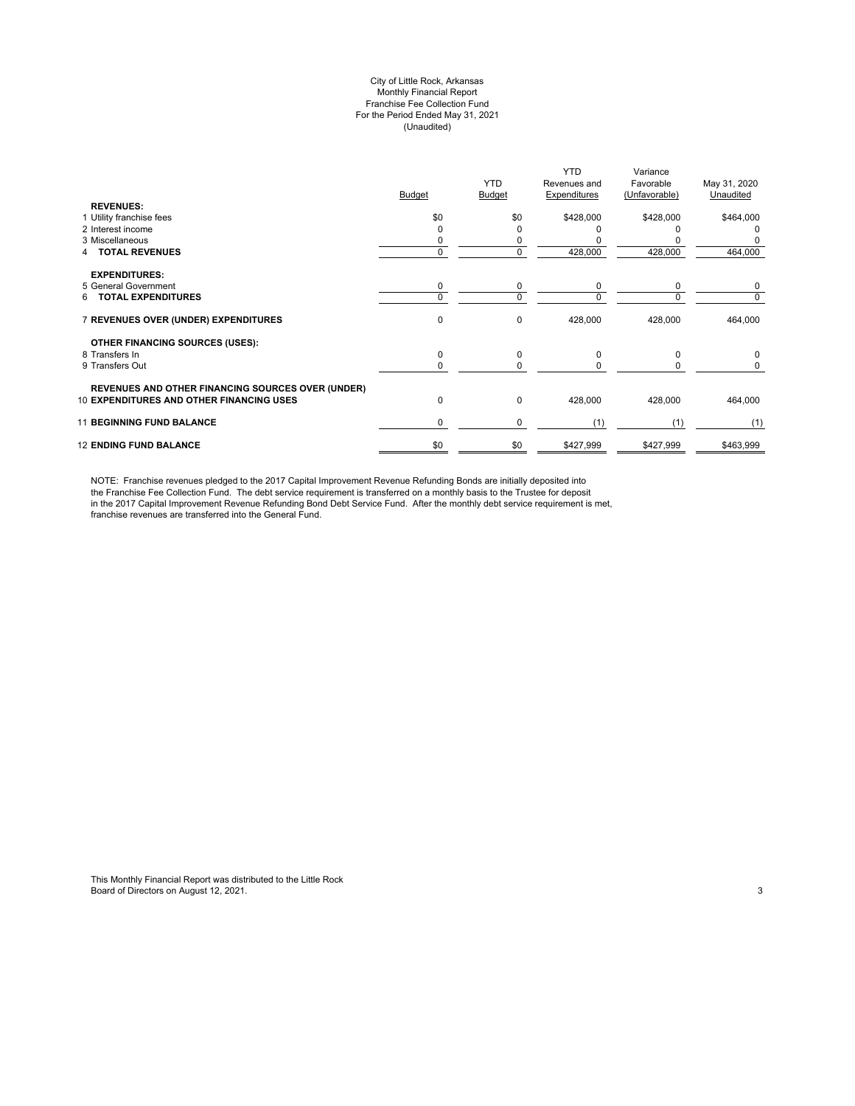#### City of Little Rock, Arkansas Monthly Financial Report Franchise Fee Collection Fund For the Period Ended May 31, 2021 (Unaudited)

|                                                          | <b>Budget</b> | <b>YTD</b><br><b>Budget</b> | <b>YTD</b><br>Revenues and<br>Expenditures | Variance<br>Favorable<br>(Unfavorable) | May 31, 2020<br>Unaudited |
|----------------------------------------------------------|---------------|-----------------------------|--------------------------------------------|----------------------------------------|---------------------------|
| <b>REVENUES:</b>                                         |               |                             |                                            |                                        |                           |
| 1 Utility franchise fees                                 | \$0           | \$0                         | \$428,000                                  | \$428,000                              | \$464,000                 |
| 2 Interest income                                        |               | ი                           |                                            |                                        |                           |
| 3 Miscellaneous                                          |               | 0                           |                                            |                                        |                           |
| <b>TOTAL REVENUES</b>                                    | $\Omega$      | 0                           | 428,000                                    | 428,000                                | 464,000                   |
| <b>EXPENDITURES:</b>                                     |               |                             |                                            |                                        |                           |
| 5 General Government                                     | 0             | 0                           | 0                                          | 0                                      | 0                         |
| <b>TOTAL EXPENDITURES</b><br>6.                          | $\Omega$      | 0                           | $\Omega$                                   | $\Omega$                               | 0                         |
| 7 REVENUES OVER (UNDER) EXPENDITURES                     | 0             | 0                           | 428,000                                    | 428,000                                | 464,000                   |
| OTHER FINANCING SOURCES (USES):                          |               |                             |                                            |                                        |                           |
| 8 Transfers In                                           | 0             | 0                           | $\Omega$                                   | $\Omega$                               | 0                         |
| 9 Transfers Out                                          | $\Omega$      | 0                           | $\Omega$                                   | <sup>0</sup>                           | 0                         |
| <b>REVENUES AND OTHER FINANCING SOURCES OVER (UNDER)</b> |               |                             |                                            |                                        |                           |
| <b>10 EXPENDITURES AND OTHER FINANCING USES</b>          | 0             | 0                           | 428,000                                    | 428,000                                | 464,000                   |
| <b>11 BEGINNING FUND BALANCE</b>                         | 0             | 0                           | (1)                                        | (1)                                    | (1)                       |
| <b>12 ENDING FUND BALANCE</b>                            | \$0           | \$0                         | \$427,999                                  | \$427,999                              | \$463,999                 |

NOTE: Franchise revenues pledged to the 2017 Capital Improvement Revenue Refunding Bonds are initially deposited into the Franchise Fee Collection Fund. The debt service requirement is transferred on a monthly basis to the Trustee for deposit in the 2017 Capital Improvement Revenue Refunding Bond Debt Service Fund. After the monthly debt service requirement is met, franchise revenues are transferred into the General Fund.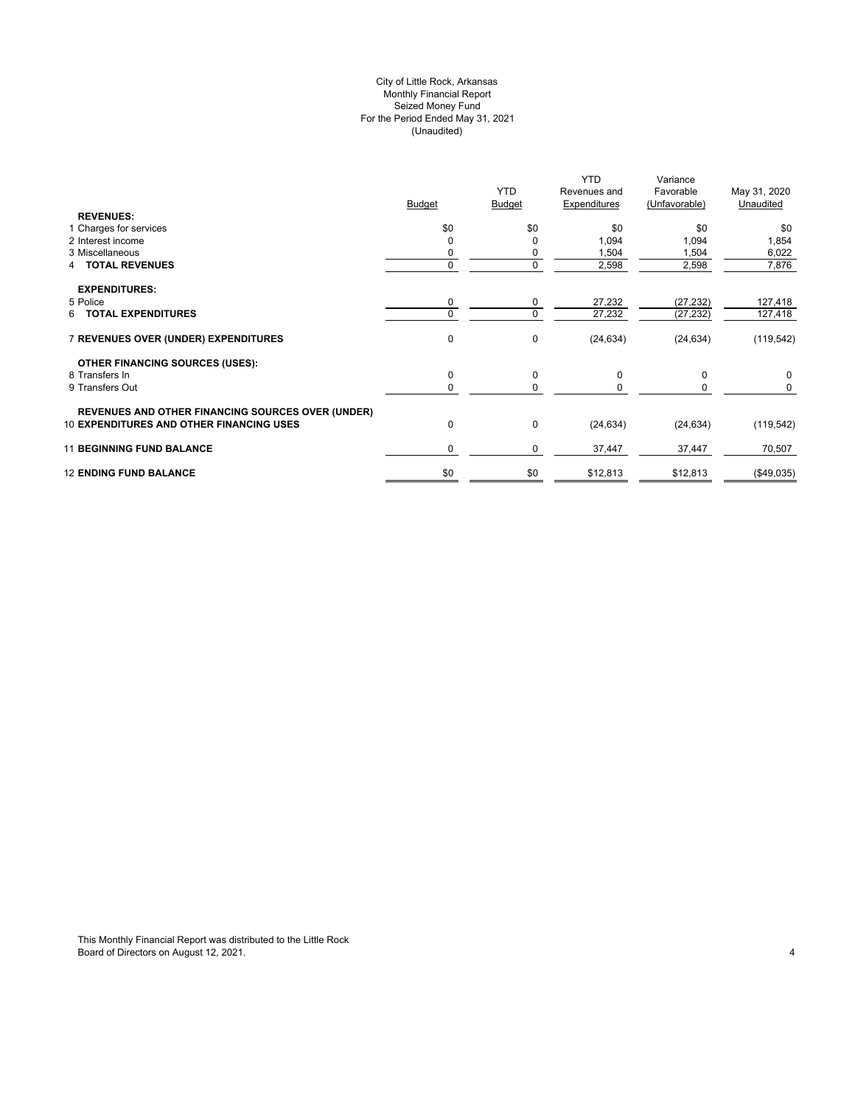## City of Little Rock, Arkansas (Unaudited) For the Period Ended May 31, 2021 Seized Money Fund Monthly Financial Report

| <b>REVENUES:</b>                                         | <b>Budget</b> | <b>YTD</b><br><b>Budget</b> | <b>YTD</b><br>Revenues and<br>Expenditures | Variance<br>Favorable<br>(Unfavorable) | May 31, 2020<br>Unaudited |
|----------------------------------------------------------|---------------|-----------------------------|--------------------------------------------|----------------------------------------|---------------------------|
| 1 Charges for services                                   | \$0           | \$0                         | \$0                                        | \$0                                    | \$0                       |
| 2 Interest income                                        |               | 0                           | 1,094                                      | 1,094                                  | 1,854                     |
| 3 Miscellaneous                                          |               | 0                           | 1,504                                      | 1,504                                  | 6,022                     |
| <b>4 TOTAL REVENUES</b>                                  |               | 0                           | 2,598                                      | 2,598                                  | 7,876                     |
| <b>EXPENDITURES:</b>                                     |               |                             |                                            |                                        |                           |
| 5 Police                                                 | 0             | 0                           | 27,232                                     | (27, 232)                              | 127,418                   |
| 6 TOTAL EXPENDITURES                                     | 0             | 0                           | 27,232                                     | (27, 232)                              | 127,418                   |
| 7 REVENUES OVER (UNDER) EXPENDITURES                     | $\mathbf 0$   | 0                           | (24, 634)                                  | (24, 634)                              | (119, 542)                |
| <b>OTHER FINANCING SOURCES (USES):</b>                   |               |                             |                                            |                                        |                           |
| 8 Transfers In                                           | $\mathbf 0$   | 0                           | 0                                          | 0                                      | 0                         |
| 9 Transfers Out                                          | 0             | 0                           | $\Omega$                                   |                                        | 0                         |
| <b>REVENUES AND OTHER FINANCING SOURCES OVER (UNDER)</b> |               |                             |                                            |                                        |                           |
| <b>10 EXPENDITURES AND OTHER FINANCING USES</b>          | $\mathbf 0$   | 0                           | (24, 634)                                  | (24, 634)                              | (119, 542)                |
| <b>11 BEGINNING FUND BALANCE</b>                         | $\Omega$      | 0                           | 37,447                                     | 37,447                                 | 70,507                    |
| <b>12 ENDING FUND BALANCE</b>                            | \$0           | \$0                         | \$12,813                                   | \$12,813                               | (\$49,035)                |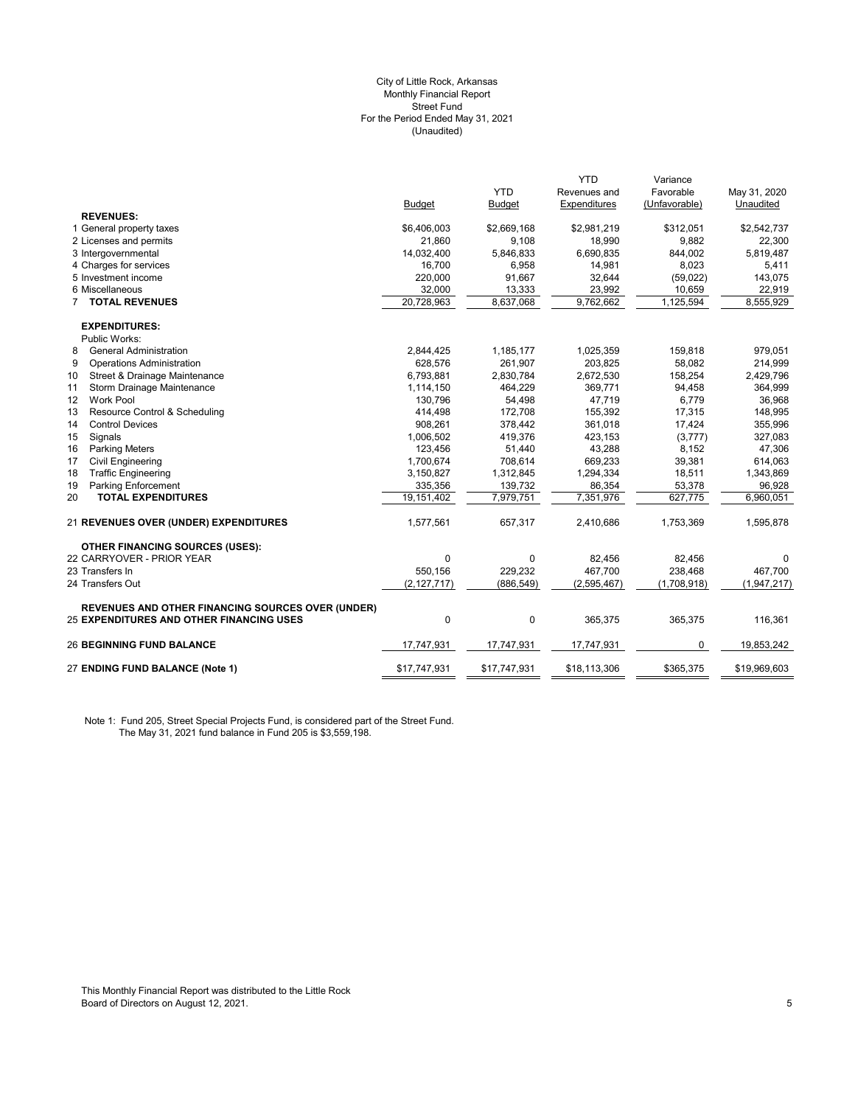#### (Unaudited) City of Little Rock, Arkansas Monthly Financial Report Street Fund For the Period Ended May 31, 2021

|                                                                                                      |               |               | <b>YTD</b>             | Variance      |              |
|------------------------------------------------------------------------------------------------------|---------------|---------------|------------------------|---------------|--------------|
|                                                                                                      |               | <b>YTD</b>    | Revenues and           | Favorable     | May 31, 2020 |
|                                                                                                      | <b>Budget</b> | <b>Budget</b> | Expenditures           | (Unfavorable) | Unaudited    |
| <b>REVENUES:</b>                                                                                     |               |               |                        |               |              |
| 1 General property taxes                                                                             | \$6,406,003   | \$2,669,168   | \$2,981,219            | \$312,051     | \$2,542,737  |
| 2 Licenses and permits                                                                               | 21,860        | 9,108         | 18,990                 | 9,882         | 22,300       |
| 3 Intergovernmental                                                                                  | 14,032,400    | 5,846,833     | 6,690,835              | 844,002       | 5,819,487    |
| 4 Charges for services                                                                               | 16.700        | 6,958         | 14,981                 | 8.023         | 5,411        |
| 5 Investment income                                                                                  | 220,000       | 91,667        | 32,644                 | (59, 022)     | 143,075      |
| 6 Miscellaneous                                                                                      | 32,000        | 13,333        | 23,992                 | 10,659        | 22,919       |
| <b>7 TOTAL REVENUES</b>                                                                              | 20,728,963    | 8,637,068     | $\overline{9,762,662}$ | 1,125,594     | 8,555,929    |
| <b>EXPENDITURES:</b>                                                                                 |               |               |                        |               |              |
| Public Works:                                                                                        |               |               |                        |               |              |
| <b>General Administration</b><br>8                                                                   | 2,844,425     | 1,185,177     | 1,025,359              | 159,818       | 979,051      |
| 9<br><b>Operations Administration</b>                                                                | 628,576       | 261,907       | 203,825                | 58,082        | 214,999      |
| 10<br>Street & Drainage Maintenance                                                                  | 6,793,881     | 2,830,784     | 2,672,530              | 158,254       | 2,429,796    |
| 11<br>Storm Drainage Maintenance                                                                     | 1,114,150     | 464,229       | 369,771                | 94,458        | 364,999      |
| Work Pool<br>12                                                                                      | 130,796       | 54,498        | 47,719                 | 6,779         | 36,968       |
| 13<br>Resource Control & Scheduling                                                                  | 414,498       | 172,708       | 155,392                | 17,315        | 148,995      |
| 14<br><b>Control Devices</b>                                                                         | 908,261       | 378,442       | 361,018                | 17,424        | 355,996      |
| 15<br>Signals                                                                                        | 1,006,502     | 419,376       | 423,153                | (3,777)       | 327,083      |
| <b>Parking Meters</b><br>16                                                                          | 123,456       | 51,440        | 43,288                 | 8,152         | 47,306       |
| 17<br><b>Civil Engineering</b>                                                                       | 1,700,674     | 708,614       | 669,233                | 39,381        | 614,063      |
| <b>Traffic Engineering</b><br>18                                                                     | 3,150,827     | 1,312,845     | 1,294,334              | 18,511        | 1,343,869    |
| 19<br><b>Parking Enforcement</b>                                                                     | 335,356       | 139,732       | 86,354                 | 53,378        | 96,928       |
| <b>TOTAL EXPENDITURES</b><br>20                                                                      | 19,151,402    | 7,979,751     | 7,351,976              | 627,775       | 6,960,051    |
| 21 REVENUES OVER (UNDER) EXPENDITURES                                                                | 1,577,561     | 657,317       | 2,410,686              | 1,753,369     | 1,595,878    |
| <b>OTHER FINANCING SOURCES (USES):</b>                                                               |               |               |                        |               |              |
| 22 CARRYOVER - PRIOR YEAR                                                                            | 0             | 0             | 82,456                 | 82,456        | 0            |
| 23 Transfers In                                                                                      | 550.156       | 229,232       | 467,700                | 238,468       | 467,700      |
| 24 Transfers Out                                                                                     | (2, 127, 717) | (886, 549)    | (2,595,467)            | (1,708,918)   | (1,947,217)  |
| <b>REVENUES AND OTHER FINANCING SOURCES OVER (UNDER)</b><br>25 EXPENDITURES AND OTHER FINANCING USES | 0             | 0             | 365,375                | 365,375       | 116,361      |
| <b>26 BEGINNING FUND BALANCE</b>                                                                     | 17,747,931    | 17,747,931    | 17,747,931             | 0             | 19,853,242   |
| 27 ENDING FUND BALANCE (Note 1)                                                                      | \$17,747,931  | \$17,747,931  | \$18,113,306           | \$365,375     | \$19,969,603 |
|                                                                                                      |               |               |                        |               |              |

Note 1: Fund 205, Street Special Projects Fund, is considered part of the Street Fund. The May 31, 2021 fund balance in Fund 205 is \$3,559,198.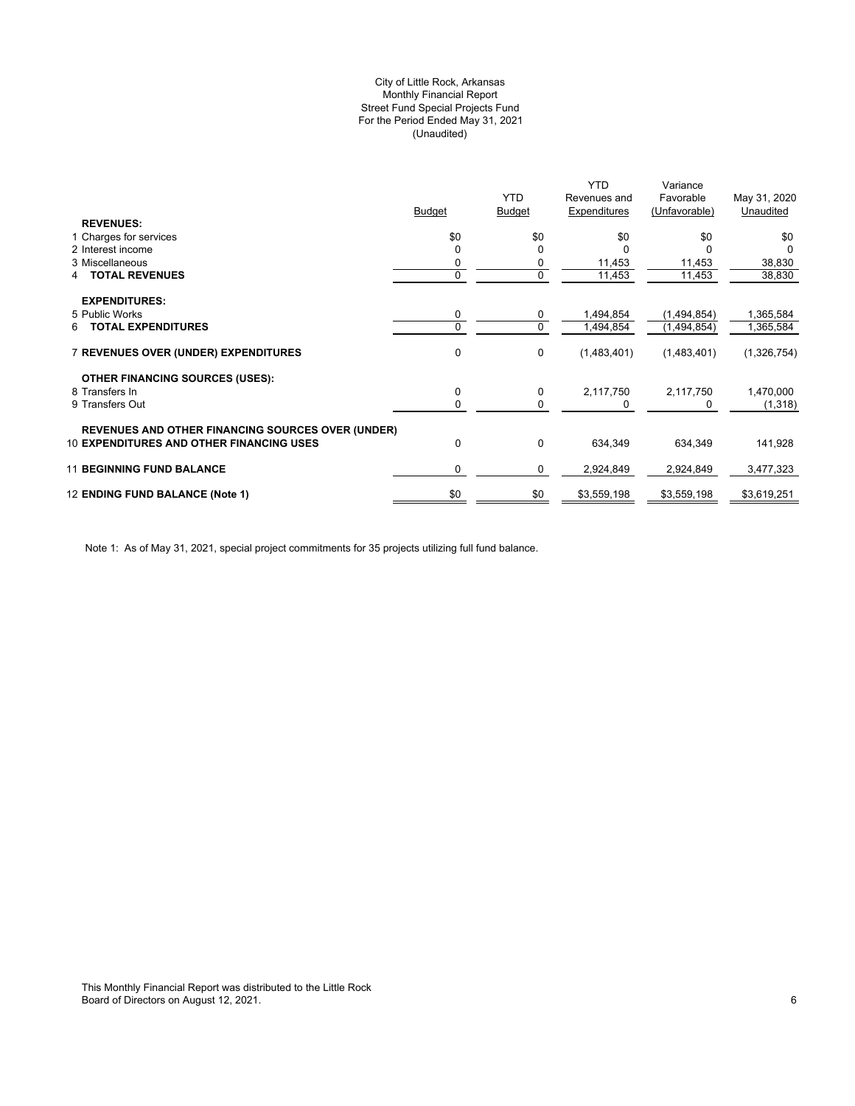## (Unaudited) City of Little Rock, Arkansas Monthly Financial Report Street Fund Special Projects Fund For the Period Ended May 31, 2021

|                                                          |        |               | <b>YTD</b>   | Variance      |              |
|----------------------------------------------------------|--------|---------------|--------------|---------------|--------------|
|                                                          |        | <b>YTD</b>    | Revenues and | Favorable     | May 31, 2020 |
|                                                          | Budget | <b>Budget</b> | Expenditures | (Unfavorable) | Unaudited    |
| <b>REVENUES:</b>                                         |        |               |              |               |              |
| 1 Charges for services                                   | \$0    | \$0           | \$0          | \$0           | \$0          |
| 2 Interest income                                        |        | $\Omega$      |              |               | $\Omega$     |
| 3 Miscellaneous                                          |        | 0             | 11,453       | 11,453        | 38,830       |
| <b>TOTAL REVENUES</b><br>4                               | 0      | 0             | 11,453       | 11,453        | 38,830       |
| <b>EXPENDITURES:</b>                                     |        |               |              |               |              |
| 5 Public Works                                           | 0      | 0             | 1,494,854    | (1,494,854)   | 1,365,584    |
| <b>TOTAL EXPENDITURES</b><br>6                           | 0      | 0             | 1,494,854    | (1,494,854)   | 1,365,584    |
| <b>7 REVENUES OVER (UNDER) EXPENDITURES</b>              | 0      | 0             | (1,483,401)  | (1,483,401)   | (1,326,754)  |
| <b>OTHER FINANCING SOURCES (USES):</b>                   |        |               |              |               |              |
| 8 Transfers In                                           | 0      | 0             | 2,117,750    | 2,117,750     | 1,470,000    |
| 9 Transfers Out                                          | 0      | 0             |              | 0             | (1,318)      |
| <b>REVENUES AND OTHER FINANCING SOURCES OVER (UNDER)</b> |        |               |              |               |              |
| <b>10 EXPENDITURES AND OTHER FINANCING USES</b>          | 0      | 0             | 634,349      | 634,349       | 141,928      |
| <b>11 BEGINNING FUND BALANCE</b>                         | 0      | 0             | 2,924,849    | 2,924,849     | 3,477,323    |
| 12 ENDING FUND BALANCE (Note 1)                          | \$0    | \$0           | \$3,559,198  | \$3,559,198   | \$3,619,251  |
|                                                          |        |               |              |               |              |

Note 1: As of May 31, 2021, special project commitments for 35 projects utilizing full fund balance.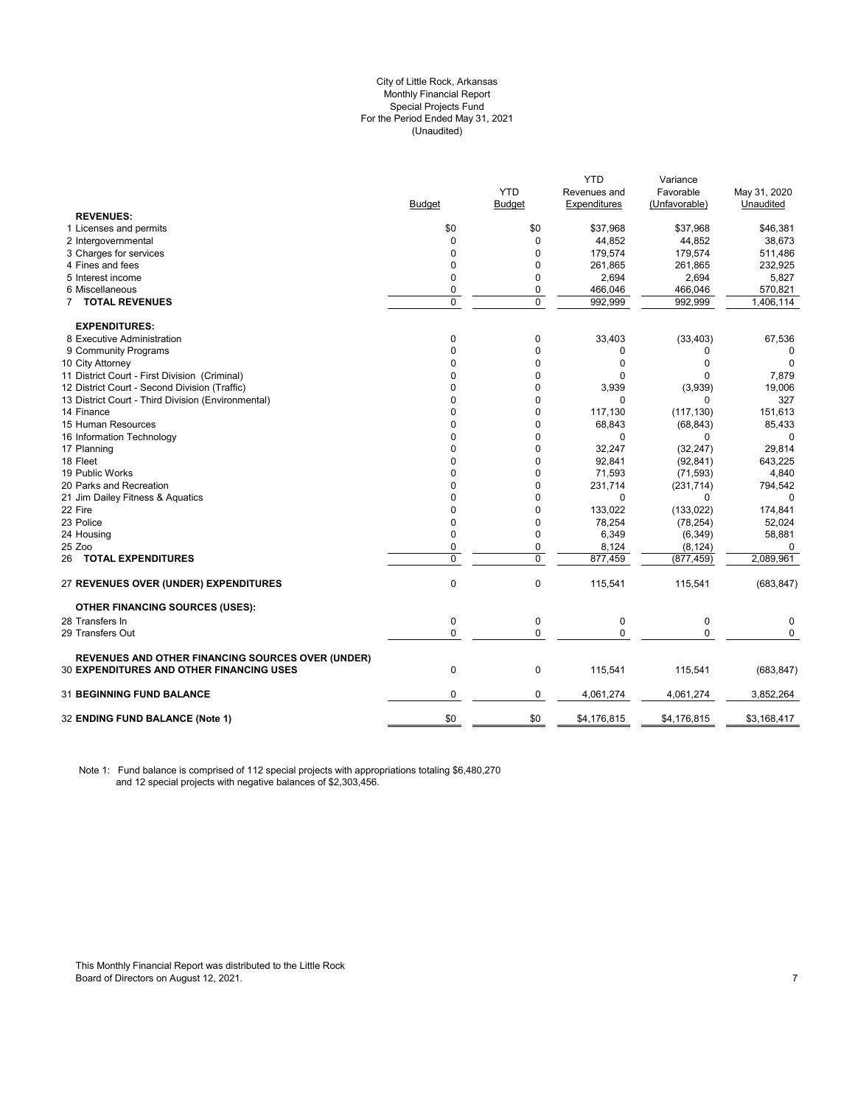#### City of Little Rock, Arkansas (Unaudited) For the Period Ended May 31, 2021 Special Projects Fund Monthly Financial Report

|                                                                                                      | <b>Budget</b> | <b>YTD</b><br>Budget | <b>YTD</b><br>Revenues and<br>Expenditures | Variance<br>Favorable<br>(Unfavorable) | May 31, 2020<br>Unaudited |
|------------------------------------------------------------------------------------------------------|---------------|----------------------|--------------------------------------------|----------------------------------------|---------------------------|
| <b>REVENUES:</b>                                                                                     |               |                      |                                            |                                        |                           |
| 1 Licenses and permits                                                                               | \$0           | \$0                  | \$37,968                                   | \$37,968                               | \$46,381                  |
| 2 Intergovernmental                                                                                  | 0             | 0                    | 44,852                                     | 44,852                                 | 38,673                    |
| 3 Charges for services                                                                               | $\Omega$      | $\Omega$             | 179,574                                    | 179.574                                | 511,486                   |
| 4 Fines and fees                                                                                     | $\mathbf 0$   | 0                    | 261,865                                    | 261,865                                | 232,925                   |
| 5 Interest income                                                                                    | $\mathbf 0$   | 0                    | 2,694                                      | 2,694                                  | 5,827                     |
| 6 Miscellaneous                                                                                      | 0             | 0                    | 466,046                                    | 466,046                                | 570,821                   |
| 7 TOTAL REVENUES                                                                                     | $\mathbf 0$   | $\mathbf 0$          | 992,999                                    | 992,999                                | 1,406,114                 |
| <b>EXPENDITURES:</b>                                                                                 |               |                      |                                            |                                        |                           |
| 8 Executive Administration                                                                           | 0             | 0                    | 33,403                                     | (33, 403)                              | 67,536                    |
| 9 Community Programs                                                                                 | $\mathbf 0$   | 0                    | 0                                          | 0                                      | 0                         |
| 10 City Attorney                                                                                     | $\Omega$      | 0                    | $\Omega$                                   | 0                                      | $\Omega$                  |
| 11 District Court - First Division (Criminal)                                                        | 0             | 0                    | $\Omega$                                   | 0                                      | 7,879                     |
| 12 District Court - Second Division (Traffic)                                                        | 0             | 0                    | 3,939                                      | (3,939)                                | 19,006                    |
| 13 District Court - Third Division (Environmental)                                                   | $\Omega$      | 0                    | $\Omega$                                   | $\Omega$                               | 327                       |
| 14 Finance                                                                                           | $\Omega$      | 0                    | 117,130                                    | (117, 130)                             | 151,613                   |
| 15 Human Resources                                                                                   | 0             | 0                    | 68,843                                     | (68, 843)                              | 85,433                    |
| 16 Information Technology                                                                            | $\Omega$      | 0                    | $\Omega$                                   | 0                                      | $\Omega$                  |
| 17 Planning                                                                                          | 0             | 0                    | 32,247                                     | (32, 247)                              | 29,814                    |
| 18 Fleet                                                                                             | 0             | 0                    | 92,841                                     | (92, 841)                              | 643,225                   |
| 19 Public Works                                                                                      | $\Omega$      | 0                    | 71,593                                     | (71, 593)                              | 4,840                     |
| 20 Parks and Recreation                                                                              | 0             | 0                    | 231,714                                    | (231, 714)                             | 794,542                   |
| 21 Jim Dailey Fitness & Aquatics                                                                     | $\Omega$      | 0                    | $\Omega$                                   | $\Omega$                               | $\mathbf 0$               |
| 22 Fire                                                                                              | $\Omega$      | 0                    | 133,022                                    | (133, 022)                             | 174,841                   |
| 23 Police                                                                                            | $\mathbf 0$   | 0                    | 78,254                                     | (78, 254)                              | 52,024                    |
| 24 Housing                                                                                           | $\mathbf 0$   | 0                    | 6,349                                      | (6, 349)                               | 58,881                    |
| 25 Zoo                                                                                               | $\Omega$      | 0                    | 8,124                                      | (8, 124)                               | 0                         |
| 26 TOTAL EXPENDITURES                                                                                | $\mathbf 0$   | 0                    | 877,459                                    | (877, 459)                             | 2,089,961                 |
| <b>27 REVENUES OVER (UNDER) EXPENDITURES</b>                                                         | $\mathbf 0$   | $\pmb{0}$            | 115,541                                    | 115,541                                | (683, 847)                |
| <b>OTHER FINANCING SOURCES (USES):</b>                                                               |               |                      |                                            |                                        |                           |
| 28 Transfers In                                                                                      | $\mathbf 0$   | $\pmb{0}$            | $\mathbf 0$                                | $\mathbf 0$                            | 0                         |
| 29 Transfers Out                                                                                     | $\mathbf 0$   | $\mathbf 0$          | $\Omega$                                   | $\mathbf 0$                            | $\mathbf 0$               |
| REVENUES AND OTHER FINANCING SOURCES OVER (UNDER)<br><b>30 EXPENDITURES AND OTHER FINANCING USES</b> | $\mathbf 0$   | 0                    | 115,541                                    | 115,541                                | (683, 847)                |
|                                                                                                      |               |                      |                                            |                                        |                           |
| 31 BEGINNING FUND BALANCE                                                                            | $\mathbf 0$   | 0                    | 4,061,274                                  | 4,061,274                              | 3,852,264                 |
| 32 ENDING FUND BALANCE (Note 1)                                                                      | \$0           | \$0                  | \$4,176,815                                | \$4,176,815                            | \$3,168,417               |

Note 1: Fund balance is comprised of 112 special projects with appropriations totaling \$6,480,270 and 12 special projects with negative balances of \$2,303,456.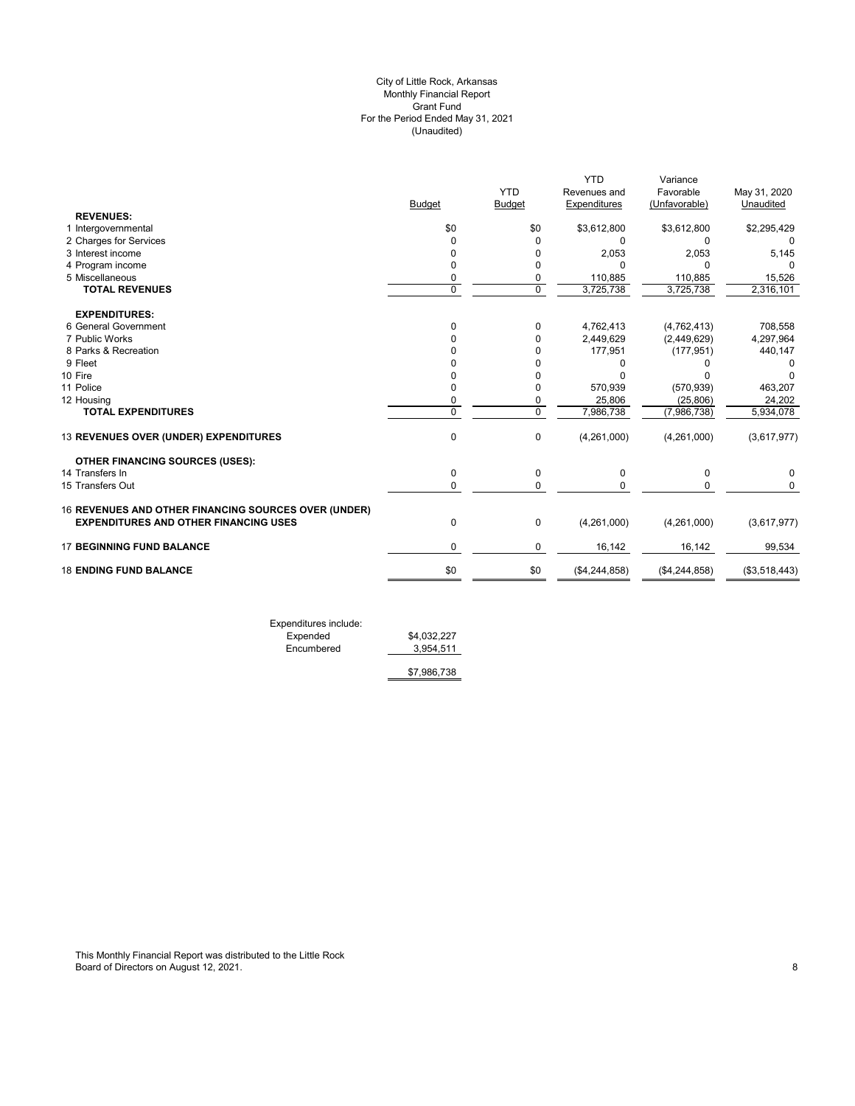#### (Unaudited) City of Little Rock, Arkansas Monthly Financial Report Grant Fund For the Period Ended May 31, 2021

| \$0<br>$\Omega$<br>0<br>$\Omega$<br>0<br>$\overline{0}$ | <b>YTD</b><br><b>Budget</b><br>\$0<br>$\Omega$<br>0<br>$\mathbf 0$<br>0<br>$\overline{0}$ | Revenues and<br><b>Expenditures</b><br>\$3,612,800<br>$\Omega$<br>2,053<br>n<br>110,885<br>3,725,738 | Favorable<br>(Unfavorable)<br>\$3,612,800<br>0<br>2,053<br>0<br>110,885<br>3,725,738 | May 31, 2020<br>Unaudited<br>\$2,295,429<br>0<br>5,145<br>15,526<br>2,316,101 |
|---------------------------------------------------------|-------------------------------------------------------------------------------------------|------------------------------------------------------------------------------------------------------|--------------------------------------------------------------------------------------|-------------------------------------------------------------------------------|
|                                                         |                                                                                           |                                                                                                      |                                                                                      |                                                                               |
|                                                         |                                                                                           |                                                                                                      |                                                                                      |                                                                               |
|                                                         |                                                                                           |                                                                                                      |                                                                                      |                                                                               |
|                                                         |                                                                                           |                                                                                                      |                                                                                      |                                                                               |
|                                                         |                                                                                           |                                                                                                      |                                                                                      |                                                                               |
|                                                         |                                                                                           |                                                                                                      |                                                                                      |                                                                               |
|                                                         |                                                                                           |                                                                                                      |                                                                                      |                                                                               |
|                                                         |                                                                                           |                                                                                                      |                                                                                      |                                                                               |
|                                                         |                                                                                           |                                                                                                      |                                                                                      |                                                                               |
|                                                         |                                                                                           |                                                                                                      |                                                                                      |                                                                               |
| $\Omega$                                                |                                                                                           |                                                                                                      |                                                                                      | 708,558                                                                       |
| n                                                       | $\Omega$                                                                                  |                                                                                                      |                                                                                      | 4,297,964                                                                     |
|                                                         | 0                                                                                         |                                                                                                      |                                                                                      | 440,147                                                                       |
|                                                         | 0                                                                                         |                                                                                                      |                                                                                      |                                                                               |
|                                                         | $\Omega$                                                                                  |                                                                                                      |                                                                                      |                                                                               |
| 0                                                       | 0                                                                                         | 570,939                                                                                              | (570, 939)                                                                           | 463,207                                                                       |
| 0                                                       | 0                                                                                         | 25,806                                                                                               | (25, 806)                                                                            | 24,202                                                                        |
| $\Omega$                                                | $\mathbf 0$                                                                               | 7,986,738                                                                                            | (7,986,738)                                                                          | 5,934,078                                                                     |
| $\mathbf 0$                                             | 0                                                                                         | (4,261,000)                                                                                          | (4,261,000)                                                                          | (3,617,977)                                                                   |
|                                                         |                                                                                           |                                                                                                      |                                                                                      |                                                                               |
| $\mathbf 0$                                             | 0                                                                                         | 0                                                                                                    | 0                                                                                    | 0                                                                             |
| $\Omega$                                                | $\Omega$                                                                                  | $\Omega$                                                                                             | 0                                                                                    | 0                                                                             |
|                                                         |                                                                                           |                                                                                                      |                                                                                      |                                                                               |
| $\mathbf 0$                                             | 0                                                                                         | (4,261,000)                                                                                          | (4,261,000)                                                                          | (3,617,977)                                                                   |
| $\Omega$                                                | $\mathbf 0$                                                                               | 16,142                                                                                               | 16,142                                                                               | 99,534                                                                        |
| \$0                                                     | \$0                                                                                       | (\$4,244,858)                                                                                        | (\$4,244,858)                                                                        | (\$3,518,443)                                                                 |
|                                                         |                                                                                           | 0                                                                                                    | 4,762,413<br>2,449,629<br>177,951                                                    | (4,762,413)<br>(2,449,629)<br>(177, 951)                                      |

Expenditures include: Expended \$4,032,227 Encumbered 3,954,511

\$7,986,738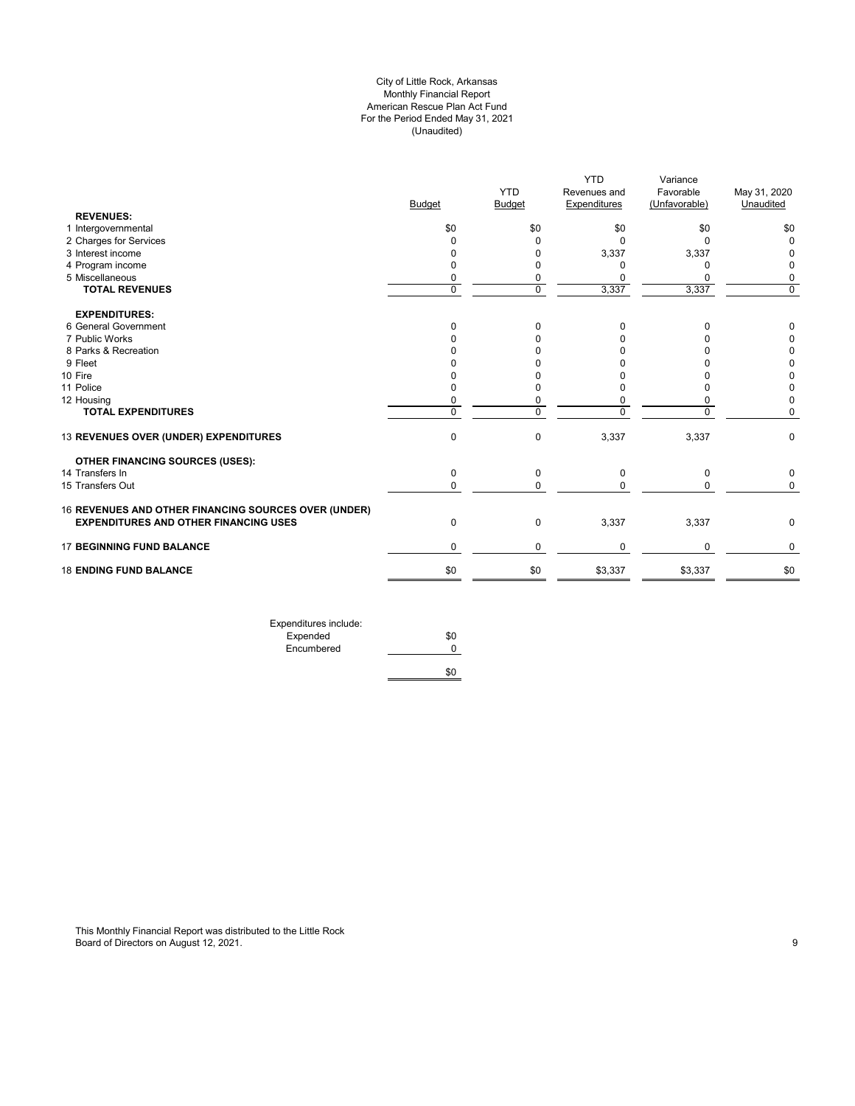## City of Little Rock, Arkansas Monthly Financial Report American Rescue Plan Act Fund For the Period Ended May 31, 2021 (Unaudited)

|             |                      | Revenues and         | Favorable           | May 31, 2020         |
|-------------|----------------------|----------------------|---------------------|----------------------|
|             | <b>YTD</b>           |                      |                     | Unaudited            |
|             |                      |                      |                     |                      |
|             |                      |                      |                     | \$0                  |
| $\Omega$    | $\Omega$             | $\Omega$             | $\Omega$            | 0                    |
| 0           | O                    | 3,337                | 3,337               | 0                    |
| 0           | 0                    | O                    | $\mathbf 0$         | 0                    |
| 0           | 0                    |                      | 0                   | 0                    |
| $\mathbf 0$ | $\mathbf 0$          | 3,337                | 3,337               | 0                    |
|             |                      |                      |                     |                      |
| $\Omega$    | 0                    | 0                    | $\Omega$            | 0                    |
|             |                      |                      | n                   | 0                    |
|             |                      |                      |                     | 0                    |
|             |                      |                      |                     | 0                    |
|             |                      |                      |                     | 0                    |
| O           | O                    | 0                    | n                   | 0                    |
| 0           | 0                    | 0                    | 0                   | 0                    |
| $\Omega$    | 0                    | $\Omega$             | $\Omega$            | 0                    |
| $\mathbf 0$ | $\mathbf 0$          | 3,337                | 3,337               | 0                    |
|             |                      |                      |                     |                      |
| $\mathbf 0$ | 0                    | 0                    | $\mathbf 0$         | 0                    |
| 0           | 0                    | $\Omega$             | 0                   | 0                    |
|             |                      |                      |                     |                      |
| $\mathbf 0$ | $\mathbf 0$          | 3,337                | 3,337               | 0                    |
| 0           | 0                    | <sup>0</sup>         | $\mathbf 0$         | 0                    |
| \$0         | \$0                  | \$3,337              | \$3,337             | \$0                  |
|             | <b>Budget</b><br>\$0 | <b>Budget</b><br>\$0 | Expenditures<br>\$0 | (Unfavorable)<br>\$0 |

\$0

Expenditures include: Expended \$0 Encumbered 0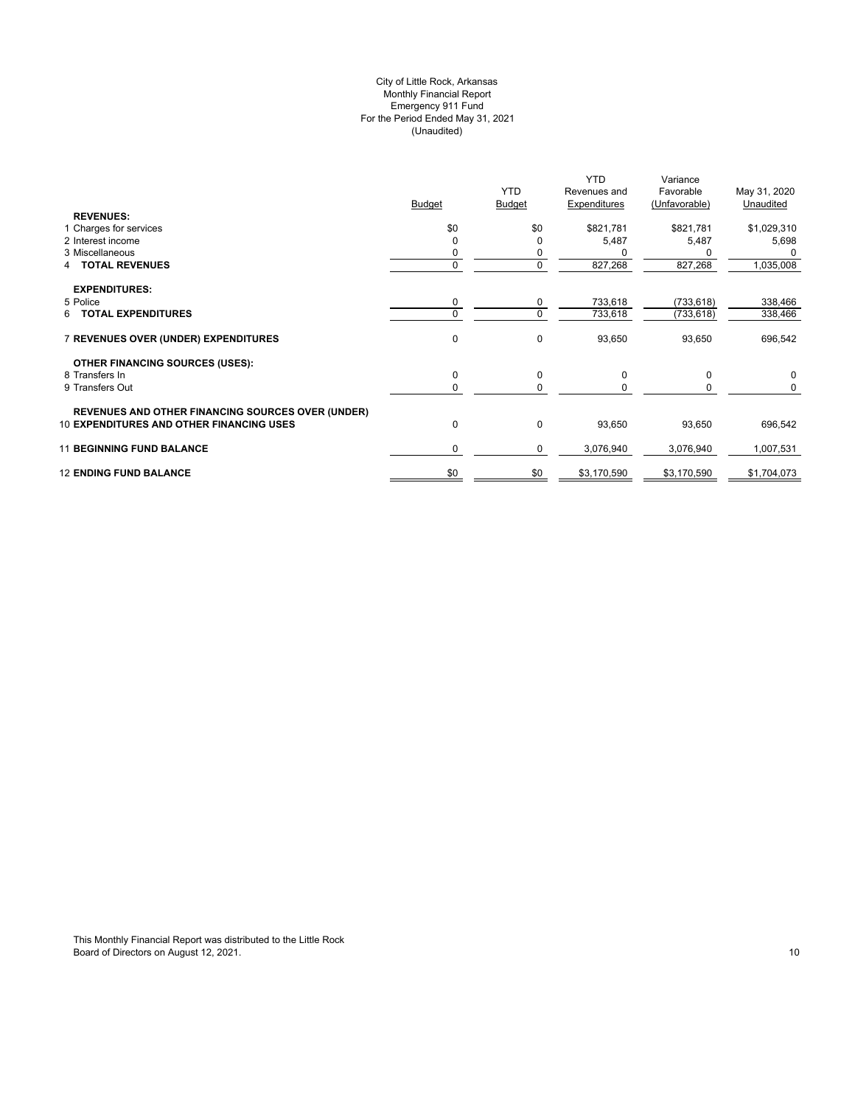## (Unaudited) City of Little Rock, Arkansas Monthly Financial Report Emergency 911 Fund For the Period Ended May 31, 2021

| <b>REVENUES:</b>                                         | <b>Budget</b> | <b>YTD</b><br><b>Budget</b> | <b>YTD</b><br>Revenues and<br>Expenditures | Variance<br>Favorable<br>(Unfavorable) | May 31, 2020<br>Unaudited |
|----------------------------------------------------------|---------------|-----------------------------|--------------------------------------------|----------------------------------------|---------------------------|
| 1 Charges for services                                   | \$0           | \$0                         | \$821,781                                  | \$821,781                              | \$1,029,310               |
| 2 Interest income                                        |               | 0                           | 5,487                                      | 5,487                                  | 5,698                     |
| 3 Miscellaneous                                          |               |                             |                                            |                                        |                           |
| <b>TOTAL REVENUES</b><br>4                               | 0             | 0                           | 827,268                                    | 827,268                                | 1,035,008                 |
| <b>EXPENDITURES:</b>                                     |               |                             |                                            |                                        |                           |
| 5 Police                                                 | 0             | $\mathbf 0$                 | 733,618                                    | (733, 618)                             | 338,466                   |
| <b>TOTAL EXPENDITURES</b><br>6                           | $\Omega$      | $\mathbf 0$                 | 733,618                                    | (733, 618)                             | 338,466                   |
| 7 REVENUES OVER (UNDER) EXPENDITURES                     | 0             | 0                           | 93,650                                     | 93,650                                 | 696,542                   |
| <b>OTHER FINANCING SOURCES (USES):</b>                   |               |                             |                                            |                                        |                           |
| 8 Transfers In                                           | 0             | 0                           | 0                                          | 0                                      | 0                         |
| 9 Transfers Out                                          | 0             | $\mathbf 0$                 |                                            | 0                                      | 0                         |
| <b>REVENUES AND OTHER FINANCING SOURCES OVER (UNDER)</b> |               |                             |                                            |                                        |                           |
| <b>10 EXPENDITURES AND OTHER FINANCING USES</b>          | 0             | $\mathbf 0$                 | 93,650                                     | 93,650                                 | 696,542                   |
| <b>11 BEGINNING FUND BALANCE</b>                         | $\mathbf 0$   | 0                           | 3,076,940                                  | 3,076,940                              | 1,007,531                 |
| <b>12 ENDING FUND BALANCE</b>                            | \$0           | \$0                         | \$3,170,590                                | \$3,170,590                            | \$1,704,073               |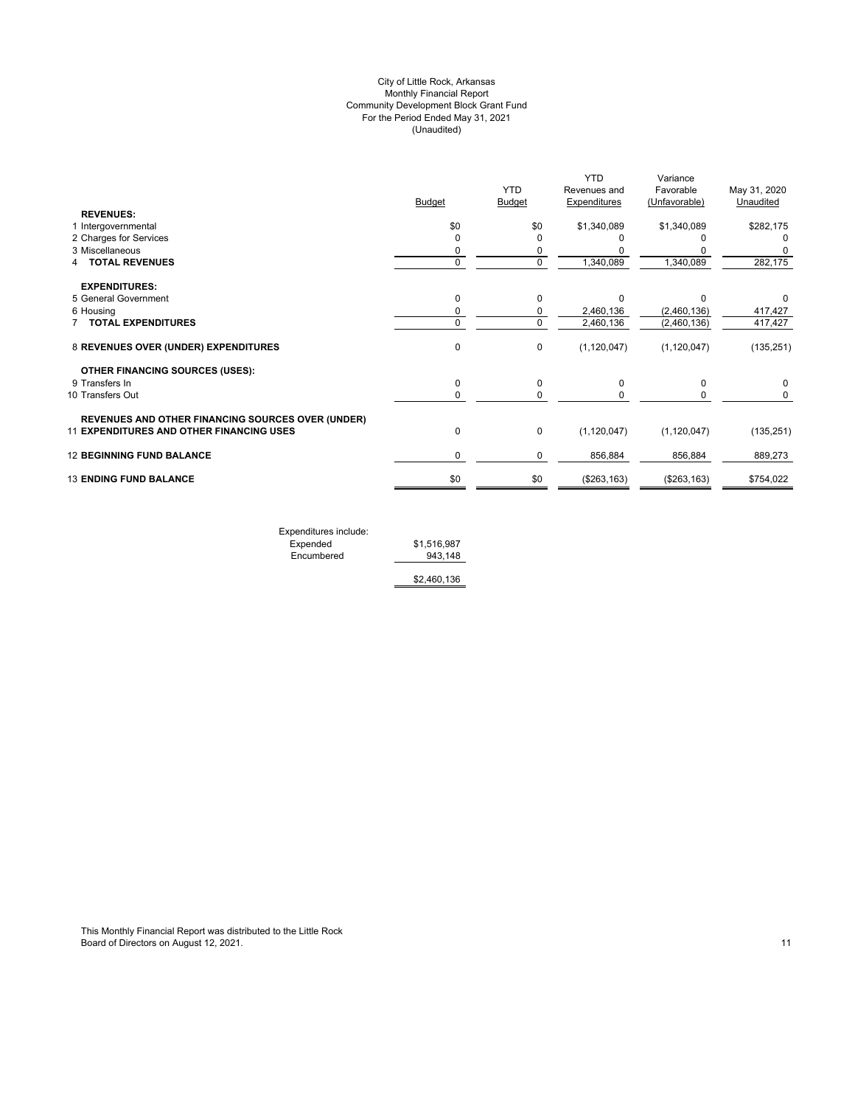## (Unaudited) City of Little Rock, Arkansas Monthly Financial Report Community Development Block Grant Fund For the Period Ended May 31, 2021

|                                                          |               |               | <b>YTD</b>          | Variance      |              |
|----------------------------------------------------------|---------------|---------------|---------------------|---------------|--------------|
|                                                          |               | <b>YTD</b>    | Revenues and        | Favorable     | May 31, 2020 |
|                                                          | <b>Budget</b> | <b>Budget</b> | <b>Expenditures</b> | (Unfavorable) | Unaudited    |
| <b>REVENUES:</b>                                         |               |               |                     |               |              |
| 1 Intergovernmental                                      | \$0           | \$0           | \$1,340,089         | \$1,340,089   | \$282,175    |
| 2 Charges for Services                                   | $\Omega$      |               |                     |               |              |
| 3 Miscellaneous                                          | 0             | 0             |                     |               |              |
| <b>TOTAL REVENUES</b>                                    | $\mathbf 0$   | $\mathbf 0$   | 1,340,089           | 1,340,089     | 282,175      |
| <b>EXPENDITURES:</b>                                     |               |               |                     |               |              |
| 5 General Government                                     | 0             | $\Omega$      | $\Omega$            | n             |              |
| 6 Housing                                                | 0             | 0             | 2,460,136           | (2,460,136)   | 417,427      |
| 7 TOTAL EXPENDITURES                                     | $\mathbf 0$   | 0             | 2,460,136           | (2,460,136)   | 417,427      |
| 8 REVENUES OVER (UNDER) EXPENDITURES                     | 0             | 0             | (1, 120, 047)       | (1, 120, 047) | (135, 251)   |
| <b>OTHER FINANCING SOURCES (USES):</b>                   |               |               |                     |               |              |
| 9 Transfers In                                           | 0             | 0             | 0                   | 0             | 0            |
| 10 Transfers Out                                         | 0             | 0             |                     | 0             | 0            |
| <b>REVENUES AND OTHER FINANCING SOURCES OVER (UNDER)</b> |               |               |                     |               |              |
| <b>11 EXPENDITURES AND OTHER FINANCING USES</b>          | $\mathbf 0$   | 0             | (1, 120, 047)       | (1, 120, 047) | (135, 251)   |
| <b>12 BEGINNING FUND BALANCE</b>                         | 0             | 0             | 856,884             | 856,884       | 889,273      |
| <b>13 ENDING FUND BALANCE</b>                            | \$0           | \$0           | (\$263, 163)        | (\$263, 163)  | \$754,022    |
|                                                          |               |               |                     |               |              |
|                                                          |               |               |                     |               |              |

Expenditures include: Expended \$1,516,987 Encumbered 943,148

\$2,460,136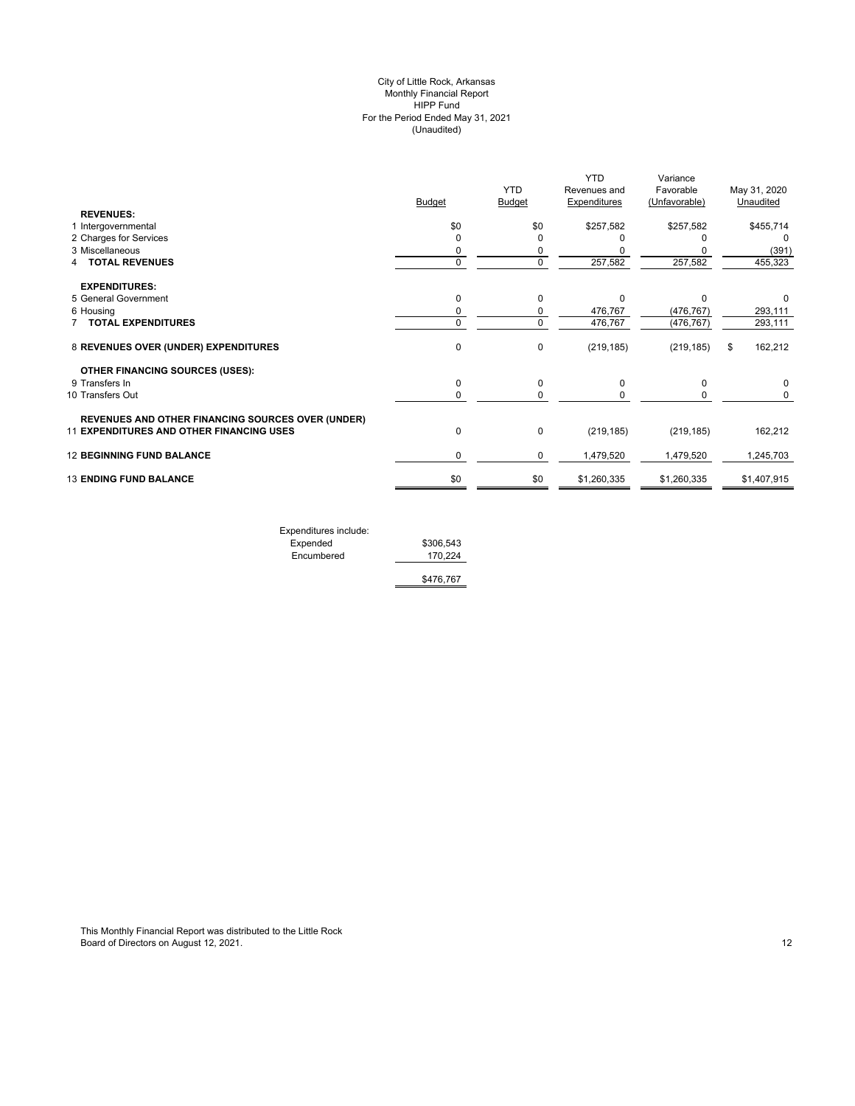## (Unaudited) City of Little Rock, Arkansas Monthly Financial Report HIPP Fund For the Period Ended May 31, 2021

|                                                   | <b>Budget</b> | <b>YTD</b><br>Budget | <b>YTD</b><br>Revenues and<br>Expenditures | Variance<br>Favorable<br>(Unfavorable) | May 31, 2020<br>Unaudited |
|---------------------------------------------------|---------------|----------------------|--------------------------------------------|----------------------------------------|---------------------------|
| <b>REVENUES:</b>                                  |               |                      |                                            |                                        |                           |
| 1 Intergovernmental                               | \$0           | \$0                  | \$257,582                                  | \$257,582                              | \$455,714                 |
| 2 Charges for Services                            | 0             | O                    |                                            |                                        | $\Omega$                  |
| 3 Miscellaneous                                   | 0             | 0                    |                                            |                                        | (391)                     |
| <b>TOTAL REVENUES</b>                             | 0             | $\Omega$             | 257,582                                    | 257,582                                | 455,323                   |
| <b>EXPENDITURES:</b>                              |               |                      |                                            |                                        |                           |
| 5 General Government                              | $\mathbf 0$   | $\Omega$             | $\Omega$                                   | $\Omega$                               |                           |
| 6 Housing                                         | 0             | 0                    | 476,767                                    | (476, 767)                             | 293,111                   |
| 7 TOTAL EXPENDITURES                              | 0             | $\Omega$             | 476,767                                    | (476, 767)                             | 293,111                   |
| 8 REVENUES OVER (UNDER) EXPENDITURES              | $\mathbf 0$   | $\mathbf 0$          | (219, 185)                                 | (219, 185)                             | 162,212<br>\$             |
| <b>OTHER FINANCING SOURCES (USES):</b>            |               |                      |                                            |                                        |                           |
| 9 Transfers In                                    | $\mathbf 0$   | 0                    | 0                                          | 0                                      |                           |
| 10 Transfers Out                                  | 0             | 0                    | 0                                          | 0                                      | 0                         |
| REVENUES AND OTHER FINANCING SOURCES OVER (UNDER) |               |                      |                                            |                                        |                           |
| 11 EXPENDITURES AND OTHER FINANCING USES          | $\mathbf 0$   | $\mathbf 0$          | (219, 185)                                 | (219, 185)                             | 162,212                   |
| <b>12 BEGINNING FUND BALANCE</b>                  | 0             | 0                    | 1,479,520                                  | 1,479,520                              | 1,245,703                 |
| <b>13 ENDING FUND BALANCE</b>                     | \$0           | \$0                  | \$1,260,335                                | \$1,260,335                            | \$1,407,915               |
|                                                   |               |                      |                                            |                                        |                           |

| Expenditures include: |           |
|-----------------------|-----------|
| Expended              | \$306.543 |
| Encumbered            | 170.224   |
|                       | \$476,767 |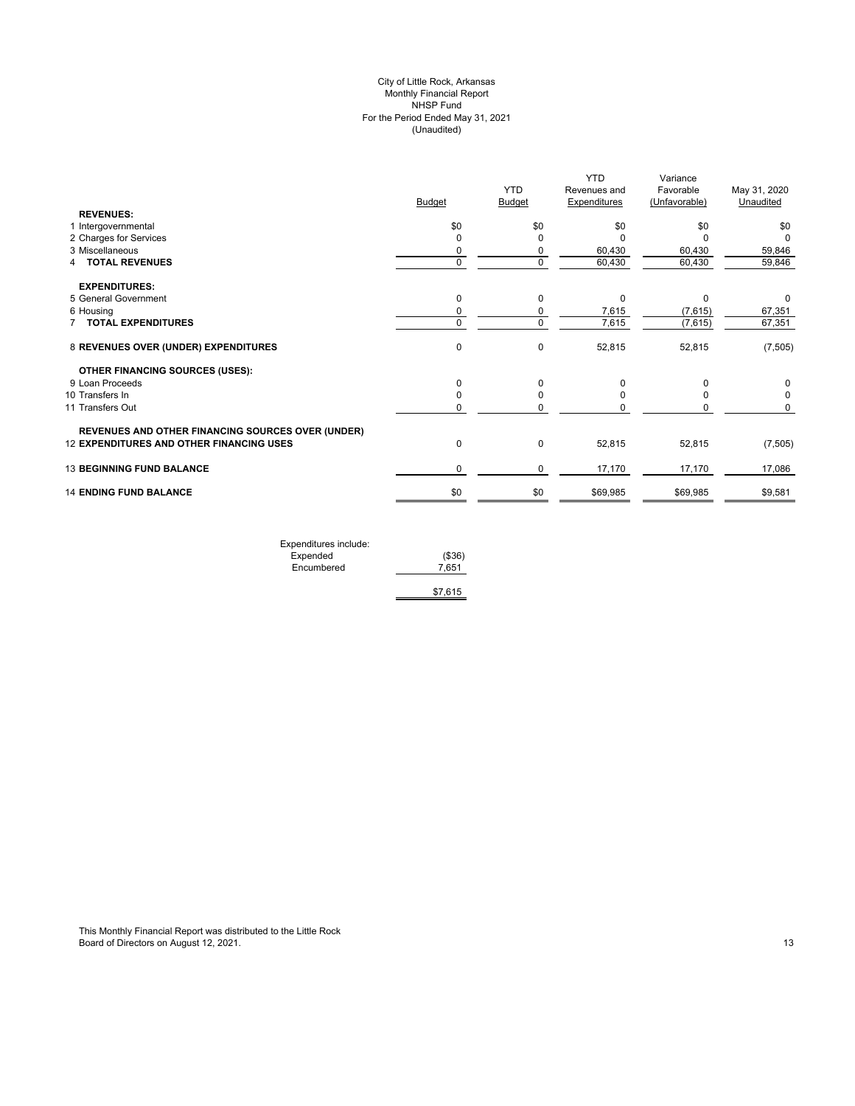## (Unaudited) City of Little Rock, Arkansas Monthly Financial Report NHSP Fund For the Period Ended May 31, 2021

|                                                   |               | <b>YTD</b>    | <b>YTD</b><br>Revenues and | Variance<br>Favorable | May 31, 2020 |
|---------------------------------------------------|---------------|---------------|----------------------------|-----------------------|--------------|
|                                                   | <b>Budget</b> | <b>Budget</b> | <b>Expenditures</b>        | (Unfavorable)         | Unaudited    |
| <b>REVENUES:</b>                                  | \$0           | \$0           | \$0                        |                       |              |
| 1 Intergovernmental<br>2 Charges for Services     | $\Omega$      |               | ŋ                          | \$0                   | \$0<br>O     |
| 3 Miscellaneous                                   | 0             | 0             | 60,430                     | 60,430                | 59,846       |
| <b>4 TOTAL REVENUES</b>                           | $\mathbf 0$   | 0             | 60,430                     | 60,430                | 59,846       |
|                                                   |               |               |                            |                       |              |
| <b>EXPENDITURES:</b>                              |               |               |                            |                       |              |
| 5 General Government                              | 0             | $\mathbf 0$   | 0                          | $\Omega$              | 0            |
| 6 Housing                                         | 0             | 0             | 7,615                      | (7,615)               | 67,351       |
| 7 TOTAL EXPENDITURES                              | $\mathbf 0$   | $\mathbf 0$   | 7,615                      | (7,615)               | 67,351       |
| 8 REVENUES OVER (UNDER) EXPENDITURES              | $\mathbf 0$   | 0             | 52,815                     | 52,815                | (7, 505)     |
| <b>OTHER FINANCING SOURCES (USES):</b>            |               |               |                            |                       |              |
| 9 Loan Proceeds                                   | 0             | $\Omega$      | $\Omega$                   |                       | 0            |
| 10 Transfers In                                   | 0             | $\Omega$      |                            |                       | $\Omega$     |
| 11 Transfers Out                                  | 0             | 0             |                            |                       | 0            |
| REVENUES AND OTHER FINANCING SOURCES OVER (UNDER) |               |               |                            |                       |              |
| <b>12 EXPENDITURES AND OTHER FINANCING USES</b>   | $\pmb{0}$     | $\mathbf 0$   | 52,815                     | 52,815                | (7, 505)     |
| <b>13 BEGINNING FUND BALANCE</b>                  | 0             | 0             | 17,170                     | 17,170                | 17,086       |
| <b>14 ENDING FUND BALANCE</b>                     | \$0           | \$0           | \$69,985                   | \$69,985              | \$9,581      |
|                                                   |               |               |                            |                       |              |

| Expenditures include: |         |
|-----------------------|---------|
| Expended              | (\$36)  |
| Encumbered            | 7.651   |
|                       |         |
|                       | \$7.615 |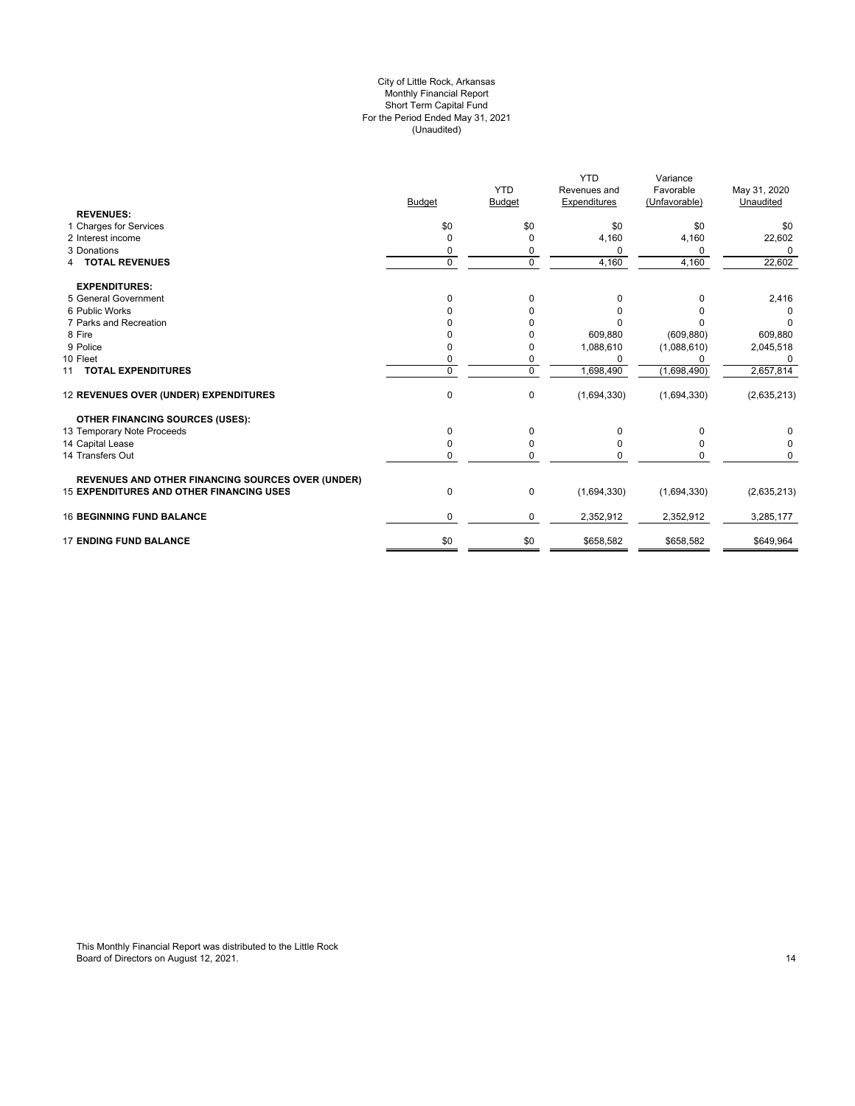#### For the Period Ended May 31, 2021 (Unaudited) City of Little Rock, Arkansas Monthly Financial Report Short Term Capital Fund

|                                                          |               |               | <b>YTD</b>   | Variance      |              |
|----------------------------------------------------------|---------------|---------------|--------------|---------------|--------------|
|                                                          |               | <b>YTD</b>    | Revenues and | Favorable     | May 31, 2020 |
|                                                          | <b>Budget</b> | <b>Budget</b> | Expenditures | (Unfavorable) | Unaudited    |
| <b>REVENUES:</b>                                         |               |               |              |               |              |
| 1 Charges for Services                                   | \$0           | \$0           | \$0          | \$0           | \$0          |
| 2 Interest income                                        |               | $\mathbf 0$   | 4,160        | 4,160         | 22,602       |
| 3 Donations                                              |               | 0             | $\Omega$     | 0             | $\Omega$     |
| <b>4 TOTAL REVENUES</b>                                  | $\mathbf 0$   | $\mathbf 0$   | 4,160        | 4,160         | 22,602       |
| <b>EXPENDITURES:</b>                                     |               |               |              |               |              |
| 5 General Government                                     | O             | 0             | 0            | 0             | 2,416        |
| 6 Public Works                                           |               | O             | 0            |               |              |
| 7 Parks and Recreation                                   |               |               |              |               | O            |
| 8 Fire                                                   |               |               | 609,880      | (609, 880)    | 609,880      |
| 9 Police                                                 |               | O             | 1,088,610    | (1,088,610)   | 2,045,518    |
| 10 Fleet                                                 |               | 0             | $\Omega$     | n             | 0            |
| 11 TOTAL EXPENDITURES                                    | $\Omega$      | $\Omega$      | 1,698,490    | (1,698,490)   | 2,657,814    |
| 12 REVENUES OVER (UNDER) EXPENDITURES                    | 0             | 0             | (1,694,330)  | (1,694,330)   | (2,635,213)  |
| <b>OTHER FINANCING SOURCES (USES):</b>                   |               |               |              |               |              |
| 13 Temporary Note Proceeds                               | <sup>0</sup>  | $\Omega$      | $\Omega$     |               |              |
| 14 Capital Lease                                         |               | 0             | 0            | ŋ             | 0            |
| 14 Transfers Out                                         | 0             | $\mathbf 0$   | 0            |               | 0            |
| <b>REVENUES AND OTHER FINANCING SOURCES OVER (UNDER)</b> |               |               |              |               |              |
| <b>15 EXPENDITURES AND OTHER FINANCING USES</b>          | 0             | 0             | (1,694,330)  | (1,694,330)   | (2,635,213)  |
| <b>16 BEGINNING FUND BALANCE</b>                         | 0             | $\mathbf 0$   | 2,352,912    | 2,352,912     | 3,285,177    |
| <b>17 ENDING FUND BALANCE</b>                            | \$0           | \$0           | \$658,582    | \$658,582     | \$649,964    |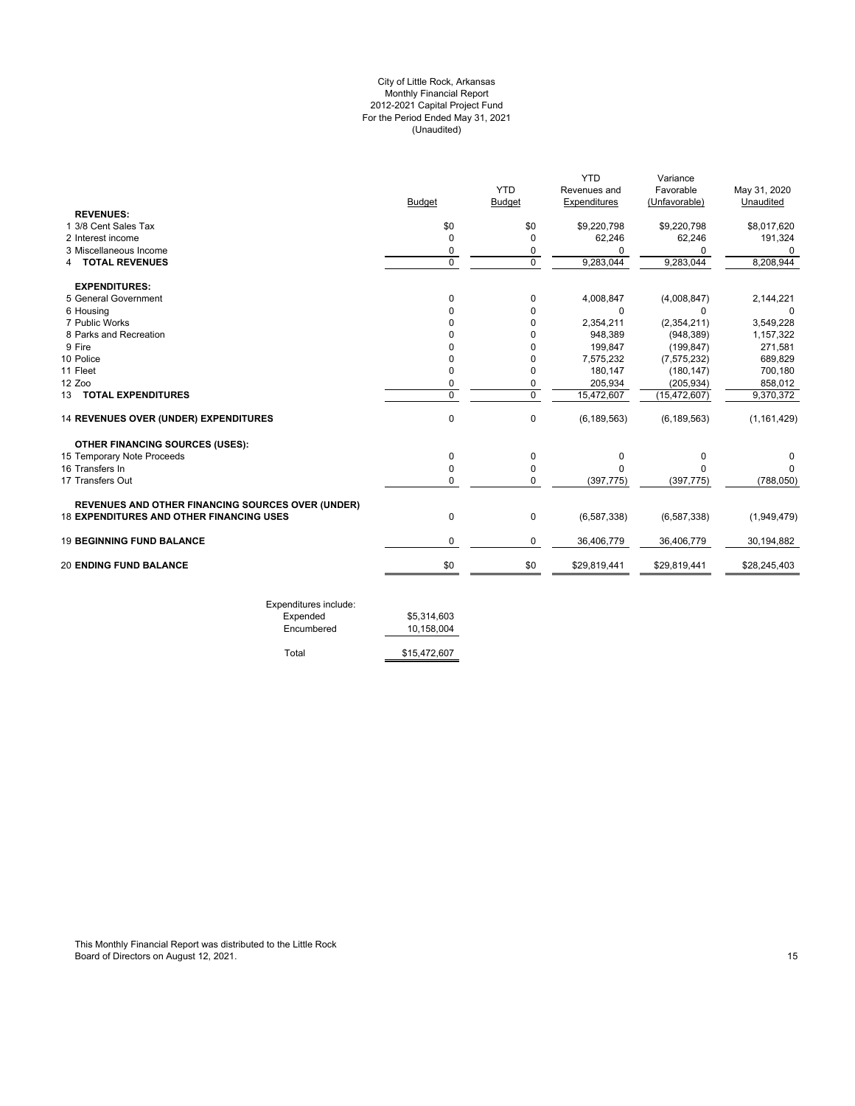## For the Period Ended May 31, 2021 (Unaudited) City of Little Rock, Arkansas Monthly Financial Report 2012-2021 Capital Project Fund

|                                                          |               |                | <b>YTD</b>    | Variance       |               |
|----------------------------------------------------------|---------------|----------------|---------------|----------------|---------------|
|                                                          |               | <b>YTD</b>     | Revenues and  | Favorable      | May 31, 2020  |
|                                                          | <b>Budget</b> | <b>Budget</b>  | Expenditures  | (Unfavorable)  | Unaudited     |
| <b>REVENUES:</b>                                         |               |                |               |                |               |
| 1 3/8 Cent Sales Tax                                     | \$0           | \$0            | \$9,220,798   | \$9,220,798    | \$8,017,620   |
| 2 Interest income                                        | 0             | 0              | 62,246        | 62,246         | 191,324       |
| 3 Miscellaneous Income                                   | 0             | 0              | <sup>0</sup>  | 0              | $\Omega$      |
| <b>TOTAL REVENUES</b><br>4                               | $\Omega$      | $\Omega$       | 9,283,044     | 9,283,044      | 8,208,944     |
| <b>EXPENDITURES:</b>                                     |               |                |               |                |               |
| 5 General Government                                     | 0             | 0              | 4,008,847     | (4,008,847)    | 2,144,221     |
| 6 Housing                                                | <sup>0</sup>  | 0              | 0             | $\Omega$       |               |
| 7 Public Works                                           | U             | 0              | 2,354,211     | (2,354,211)    | 3,549,228     |
| 8 Parks and Recreation                                   |               | U              | 948,389       | (948, 389)     | 1,157,322     |
| 9 Fire                                                   |               | 0              | 199,847       | (199.847)      | 271,581       |
| 10 Police                                                | O             | 0              | 7,575,232     | (7, 575, 232)  | 689,829       |
| 11 Fleet                                                 | 0             | 0              | 180,147       | (180, 147)     | 700,180       |
| 12 Zoo                                                   | 0             | 0              | 205,934       | (205, 934)     | 858,012       |
| 13 TOTAL EXPENDITURES                                    | $\mathbf 0$   | $\overline{0}$ | 15,472,607    | (15, 472, 607) | 9,370,372     |
| 14 REVENUES OVER (UNDER) EXPENDITURES                    | $\mathbf 0$   | $\mathbf 0$    | (6, 189, 563) | (6, 189, 563)  | (1, 161, 429) |
| <b>OTHER FINANCING SOURCES (USES):</b>                   |               |                |               |                |               |
| 15 Temporary Note Proceeds                               | 0             | 0              | 0             | 0              | O             |
| 16 Transfers In                                          | $\Omega$      | 0              | $\Omega$      | n              |               |
| 17 Transfers Out                                         | $\Omega$      | 0              | (397, 775)    | (397, 775)     | (788, 050)    |
| <b>REVENUES AND OTHER FINANCING SOURCES OVER (UNDER)</b> |               |                |               |                |               |
| <b>18 EXPENDITURES AND OTHER FINANCING USES</b>          | 0             | $\pmb{0}$      | (6, 587, 338) | (6,587,338)    | (1,949,479)   |
| <b>19 BEGINNING FUND BALANCE</b>                         | 0             | 0              | 36,406,779    | 36,406,779     | 30,194,882    |
| <b>20 ENDING FUND BALANCE</b>                            | \$0           | \$0            | \$29,819,441  | \$29,819,441   | \$28,245,403  |

| Expended   | \$5.314.603  |
|------------|--------------|
| Encumbered | 10.158.004   |
|            |              |
| Total      | \$15,472,607 |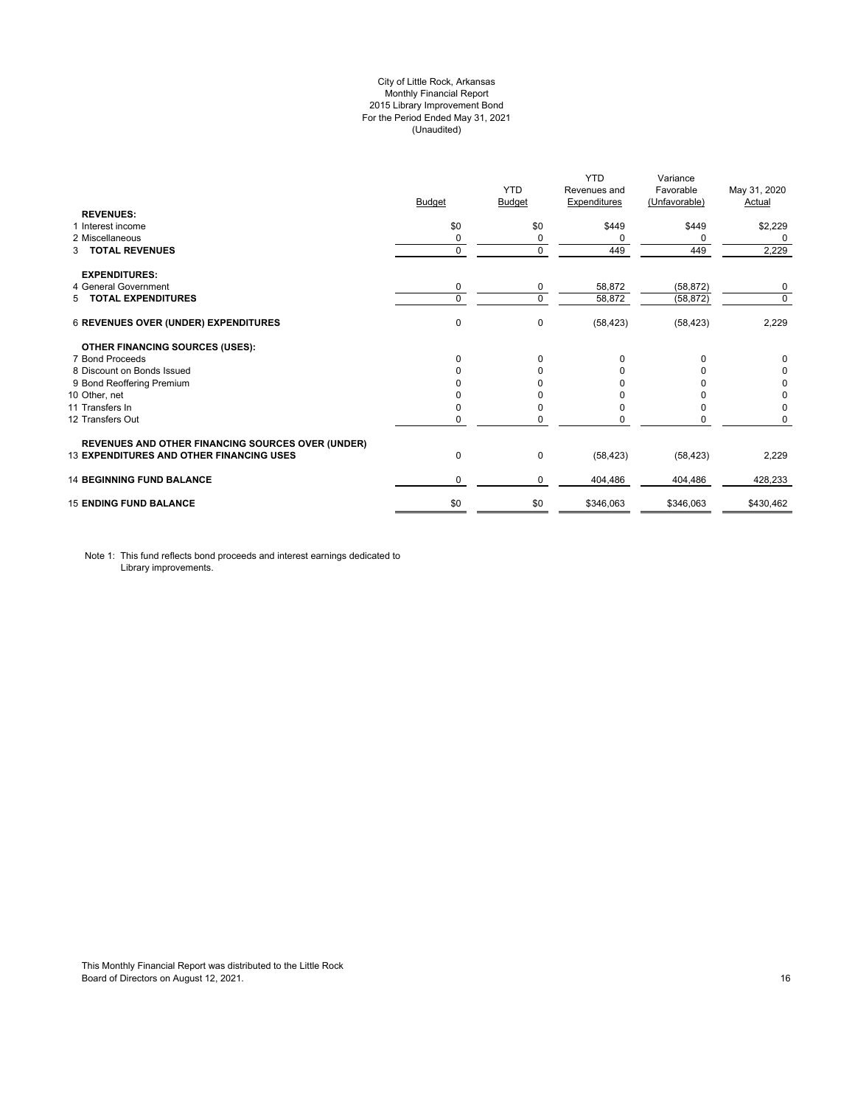## City of Little Rock, Arkansas Monthly Financial Report 2015 Library Improvement Bond For the Period Ended May 31, 2021 (Unaudited)

| <b>REVENUES:</b>                                         | <b>Budget</b> | <b>YTD</b><br>Budget | <b>YTD</b><br>Revenues and<br><b>Expenditures</b> | Variance<br>Favorable<br>(Unfavorable) | May 31, 2020<br>Actual |
|----------------------------------------------------------|---------------|----------------------|---------------------------------------------------|----------------------------------------|------------------------|
| 1 Interest income                                        | \$0           | \$0                  | \$449                                             | \$449                                  | \$2,229                |
| 2 Miscellaneous                                          | 0             | 0                    | 0                                                 | $\Omega$                               | 0                      |
| <b>TOTAL REVENUES</b><br>3                               | $\mathbf 0$   | $\Omega$             | 449                                               | 449                                    | 2,229                  |
| <b>EXPENDITURES:</b>                                     |               |                      |                                                   |                                        |                        |
| 4 General Government                                     | 0             | 0                    | 58,872                                            | (58, 872)                              | 0                      |
| 5 TOTAL EXPENDITURES                                     | $\mathbf 0$   | $\Omega$             | 58,872                                            | (58, 872)                              | $\mathbf 0$            |
| <b>6 REVENUES OVER (UNDER) EXPENDITURES</b>              | 0             | 0                    | (58, 423)                                         | (58, 423)                              | 2,229                  |
| <b>OTHER FINANCING SOURCES (USES):</b>                   |               |                      |                                                   |                                        |                        |
| 7 Bond Proceeds                                          | $\Omega$      | $\Omega$             | 0                                                 | $\Omega$                               | 0                      |
| 8 Discount on Bonds Issued                               | $\Omega$      | <sup>0</sup>         | <sup>0</sup>                                      |                                        | 0                      |
| 9 Bond Reoffering Premium                                |               |                      |                                                   |                                        | 0                      |
| 10 Other, net                                            |               |                      |                                                   |                                        | 0                      |
| 11 Transfers In                                          | 0             |                      | 0                                                 |                                        | 0                      |
| 12 Transfers Out                                         | 0             |                      |                                                   | 0                                      | 0                      |
| <b>REVENUES AND OTHER FINANCING SOURCES OVER (UNDER)</b> |               |                      |                                                   |                                        |                        |
| <b>13 EXPENDITURES AND OTHER FINANCING USES</b>          | 0             | 0                    | (58, 423)                                         | (58, 423)                              | 2,229                  |
| <b>14 BEGINNING FUND BALANCE</b>                         | $\Omega$      | 0                    | 404,486                                           | 404,486                                | 428,233                |
| <b>15 ENDING FUND BALANCE</b>                            | \$0           | \$0                  | \$346,063                                         | \$346,063                              | \$430,462              |

Note 1: This fund reflects bond proceeds and interest earnings dedicated to Library improvements.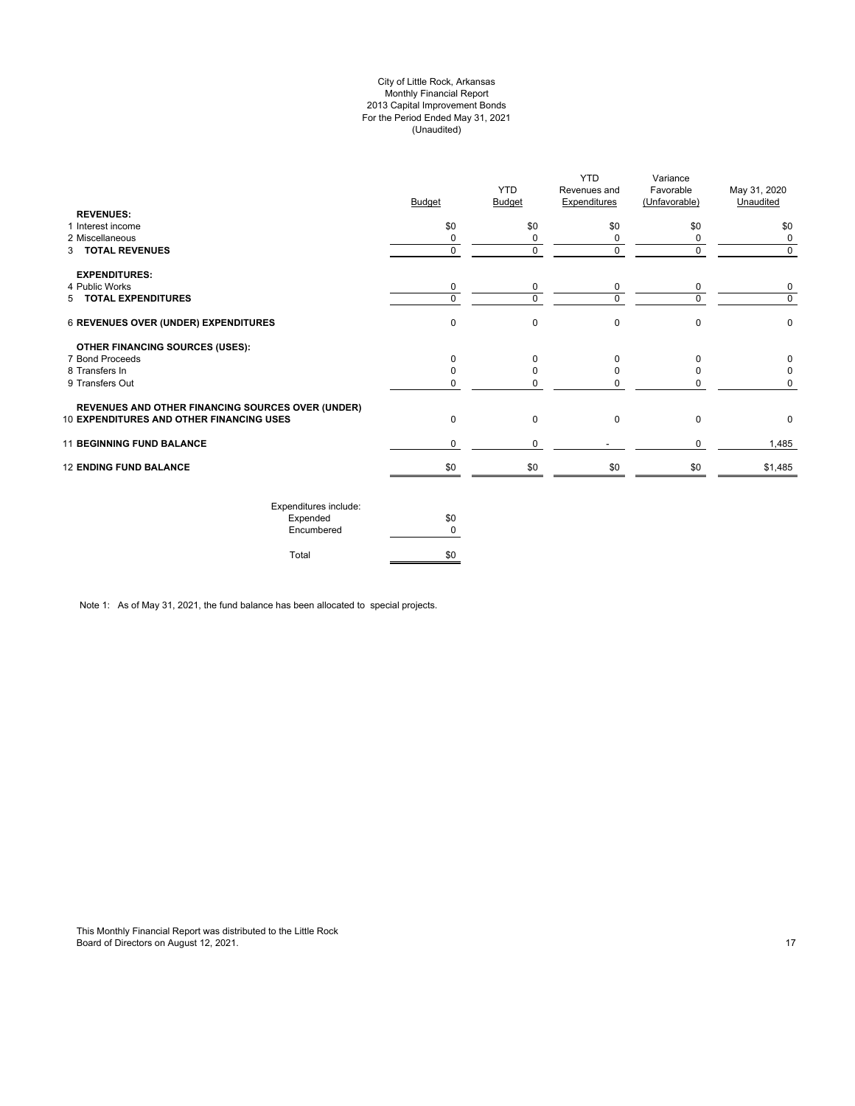## City of Little Rock, Arkansas Monthly Financial Report 2013 Capital Improvement Bonds For the Period Ended May 31, 2021 (Unaudited)

| <b>REVENUES:</b>                                         | <b>Budget</b> | <b>YTD</b><br>Budget | <b>YTD</b><br>Revenues and<br><b>Expenditures</b> | Variance<br>Favorable<br>(Unfavorable) | May 31, 2020<br>Unaudited |
|----------------------------------------------------------|---------------|----------------------|---------------------------------------------------|----------------------------------------|---------------------------|
| 1 Interest income                                        | \$0           | \$0                  | \$0                                               | \$0                                    | \$0                       |
| 2 Miscellaneous                                          | 0             |                      | 0                                                 | 0                                      | 0                         |
| 3 TOTAL REVENUES                                         | 0             | 0                    | $\mathbf 0$                                       | 0                                      | $\mathbf 0$               |
| <b>EXPENDITURES:</b>                                     |               |                      |                                                   |                                        |                           |
| 4 Public Works                                           | 0             | 0                    | 0                                                 | 0                                      | 0                         |
| 5 TOTAL EXPENDITURES                                     | 0             | $\Omega$             | $\Omega$                                          | 0                                      | $\Omega$                  |
| 6 REVENUES OVER (UNDER) EXPENDITURES                     | 0             | $\Omega$             | $\mathbf 0$                                       | $\mathbf 0$                            | $\mathbf 0$               |
| <b>OTHER FINANCING SOURCES (USES):</b>                   |               |                      |                                                   |                                        |                           |
| 7 Bond Proceeds                                          | $\Omega$      |                      | $\Omega$                                          | $\Omega$                               | 0                         |
| 8 Transfers In                                           |               |                      | $\Omega$                                          | 0                                      | 0                         |
| 9 Transfers Out                                          | 0             |                      | $\Omega$                                          | 0                                      | 0                         |
| <b>REVENUES AND OTHER FINANCING SOURCES OVER (UNDER)</b> |               |                      |                                                   |                                        |                           |
| 10 EXPENDITURES AND OTHER FINANCING USES                 | 0             | $\Omega$             | $\mathbf 0$                                       | $\mathbf 0$                            | 0                         |
| <b>11 BEGINNING FUND BALANCE</b>                         | 0             | 0                    |                                                   | 0                                      | 1,485                     |
| <b>12 ENDING FUND BALANCE</b>                            | \$0           | \$0                  | \$0                                               | \$0                                    | \$1,485                   |
|                                                          |               |                      |                                                   |                                        |                           |

| Expenditures include: |     |
|-----------------------|-----|
| Expended              | \$0 |
| Encumbered            | n   |
| Total                 |     |

Note 1: As of May 31, 2021, the fund balance has been allocated to special projects.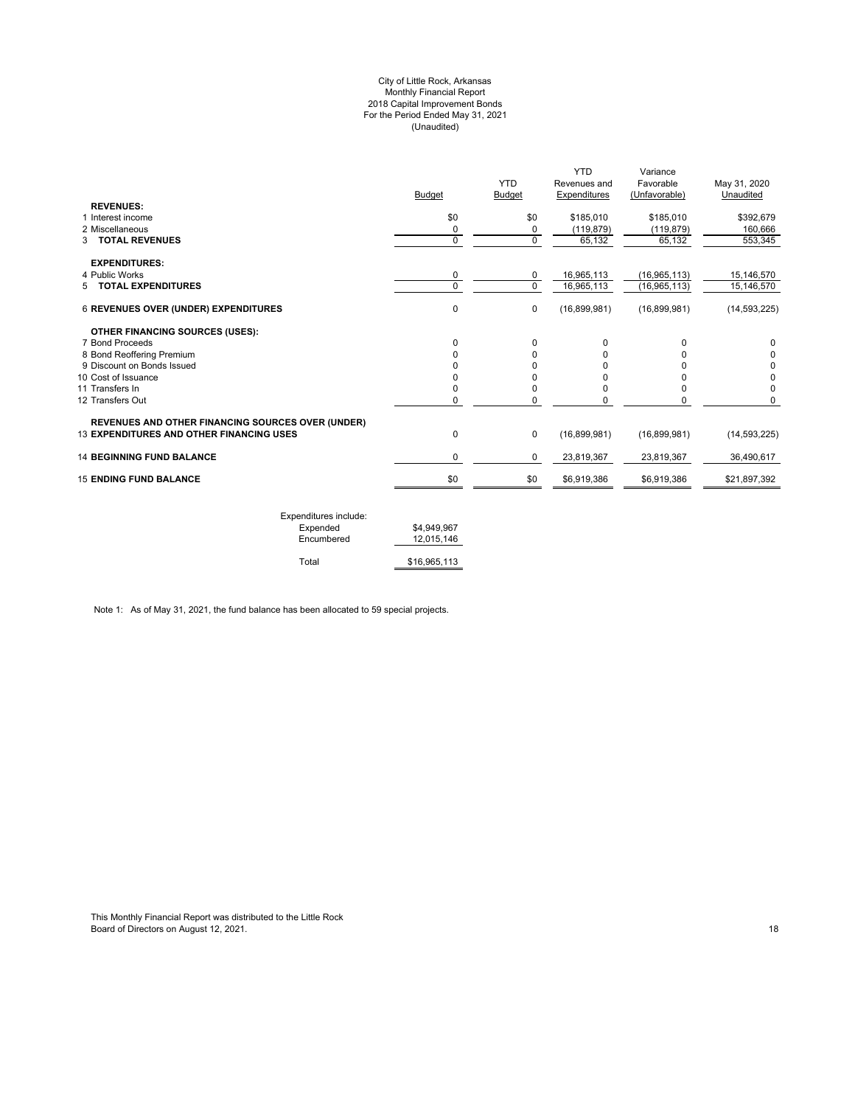#### City of Little Rock, Arkansas Monthly Financial Report 2018 Capital Improvement Bonds For the Period Ended May 31, 2021 (Unaudited)

| \$0<br>0<br>$\mathbf 0$<br>0<br>$\Omega$<br>$\pmb{0}$ | \$185,010<br>(119, 879)<br>65,132<br>16,965,113<br>16,965,113<br>(16,899,981) | \$185,010<br>(119, 879)<br>65,132<br>(16, 965, 113)<br>(16, 965, 113)<br>(16,899,981) | \$392,679<br>160,666<br>553,345<br>15,146,570<br>15,146,570<br>(14, 593, 225) |
|-------------------------------------------------------|-------------------------------------------------------------------------------|---------------------------------------------------------------------------------------|-------------------------------------------------------------------------------|
|                                                       |                                                                               |                                                                                       |                                                                               |
|                                                       |                                                                               |                                                                                       |                                                                               |
|                                                       |                                                                               |                                                                                       |                                                                               |
|                                                       |                                                                               |                                                                                       |                                                                               |
|                                                       |                                                                               |                                                                                       |                                                                               |
|                                                       |                                                                               |                                                                                       |                                                                               |
|                                                       |                                                                               |                                                                                       |                                                                               |
|                                                       |                                                                               |                                                                                       |                                                                               |
|                                                       |                                                                               |                                                                                       |                                                                               |
| $\Omega$                                              | 0                                                                             | $\Omega$                                                                              | 0                                                                             |
| 0                                                     | 0                                                                             |                                                                                       |                                                                               |
| ŋ                                                     | U                                                                             |                                                                                       | 0                                                                             |
| ŋ                                                     | 0                                                                             |                                                                                       | 0                                                                             |
| 0                                                     | 0                                                                             | 0                                                                                     | $\Omega$                                                                      |
| 0                                                     | 0                                                                             | 0                                                                                     | $\Omega$                                                                      |
|                                                       |                                                                               |                                                                                       |                                                                               |
| $\mathbf 0$                                           | (16,899,981)                                                                  | (16,899,981)                                                                          | (14, 593, 225)                                                                |
| 0                                                     | 23,819,367                                                                    | 23,819,367                                                                            | 36.490.617                                                                    |
|                                                       | \$6,919,386                                                                   | \$6,919,386                                                                           | \$21,897,392                                                                  |
|                                                       | \$0                                                                           |                                                                                       |                                                                               |

| Expenditures include: |              |
|-----------------------|--------------|
| Expended              | \$4.949.967  |
| Encumbered            | 12.015.146   |
| Total                 | \$16,965,113 |
|                       |              |

Note 1: As of May 31, 2021, the fund balance has been allocated to 59 special projects.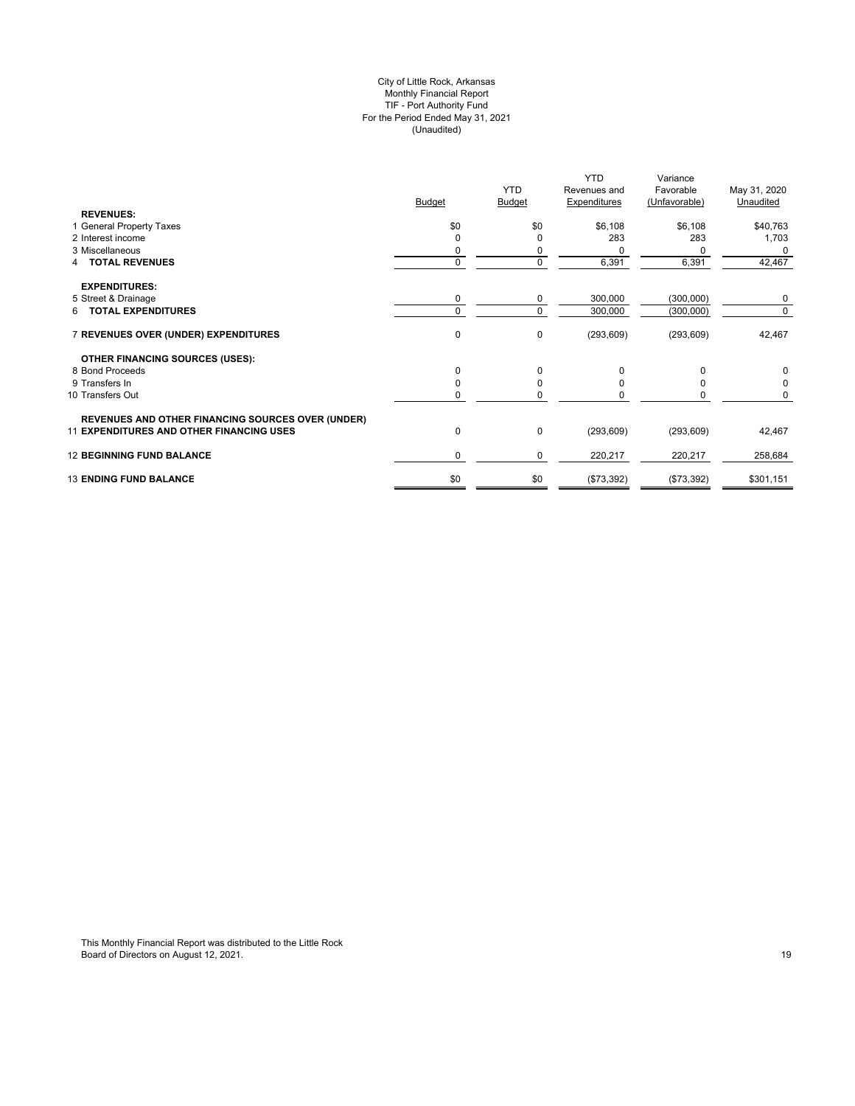## City of Little Rock, Arkansas Monthly Financial Report TIF - Port Authority Fund For the Period Ended May 31, 2021 (Unaudited)

|                                                          | <b>Budget</b> | <b>YTD</b><br><b>Budget</b> | <b>YTD</b><br>Revenues and<br><b>Expenditures</b> | Variance<br>Favorable<br>(Unfavorable) | May 31, 2020<br>Unaudited |
|----------------------------------------------------------|---------------|-----------------------------|---------------------------------------------------|----------------------------------------|---------------------------|
| <b>REVENUES:</b>                                         |               |                             |                                                   |                                        |                           |
| 1 General Property Taxes                                 | \$0           | \$0                         | \$6,108                                           | \$6,108                                | \$40,763                  |
| 2 Interest income                                        | O             | $\Omega$                    | 283                                               | 283                                    | 1,703                     |
| 3 Miscellaneous                                          |               | 0                           | $\Omega$                                          |                                        | $\Omega$                  |
| <b>4 TOTAL REVENUES</b>                                  | 0             | 0                           | 6,391                                             | 6,391                                  | 42,467                    |
| <b>EXPENDITURES:</b>                                     |               |                             |                                                   |                                        |                           |
| 5 Street & Drainage                                      | 0             | 0                           | 300,000                                           | (300,000)                              | $\Omega$                  |
| 6 TOTAL EXPENDITURES                                     | $\Omega$      | $\mathbf 0$                 | 300,000                                           | (300,000)                              | $\Omega$                  |
| 7 REVENUES OVER (UNDER) EXPENDITURES                     | $\mathbf 0$   | 0                           | (293, 609)                                        | (293, 609)                             | 42,467                    |
| <b>OTHER FINANCING SOURCES (USES):</b>                   |               |                             |                                                   |                                        |                           |
| 8 Bond Proceeds                                          | 0             | $\mathbf 0$                 | <sup>0</sup>                                      |                                        |                           |
| 9 Transfers In                                           | O             | $\mathbf 0$                 |                                                   |                                        |                           |
| 10 Transfers Out                                         | 0             | $\mathbf 0$                 | n                                                 |                                        |                           |
| <b>REVENUES AND OTHER FINANCING SOURCES OVER (UNDER)</b> |               |                             |                                                   |                                        |                           |
| <b>11 EXPENDITURES AND OTHER FINANCING USES</b>          | 0             | 0                           | (293, 609)                                        | (293, 609)                             | 42,467                    |
| <b>12 BEGINNING FUND BALANCE</b>                         | 0             | 0                           | 220,217                                           | 220,217                                | 258,684                   |
| <b>13 ENDING FUND BALANCE</b>                            | \$0           | \$0                         | (\$73,392)                                        | (\$73,392)                             | \$301,151                 |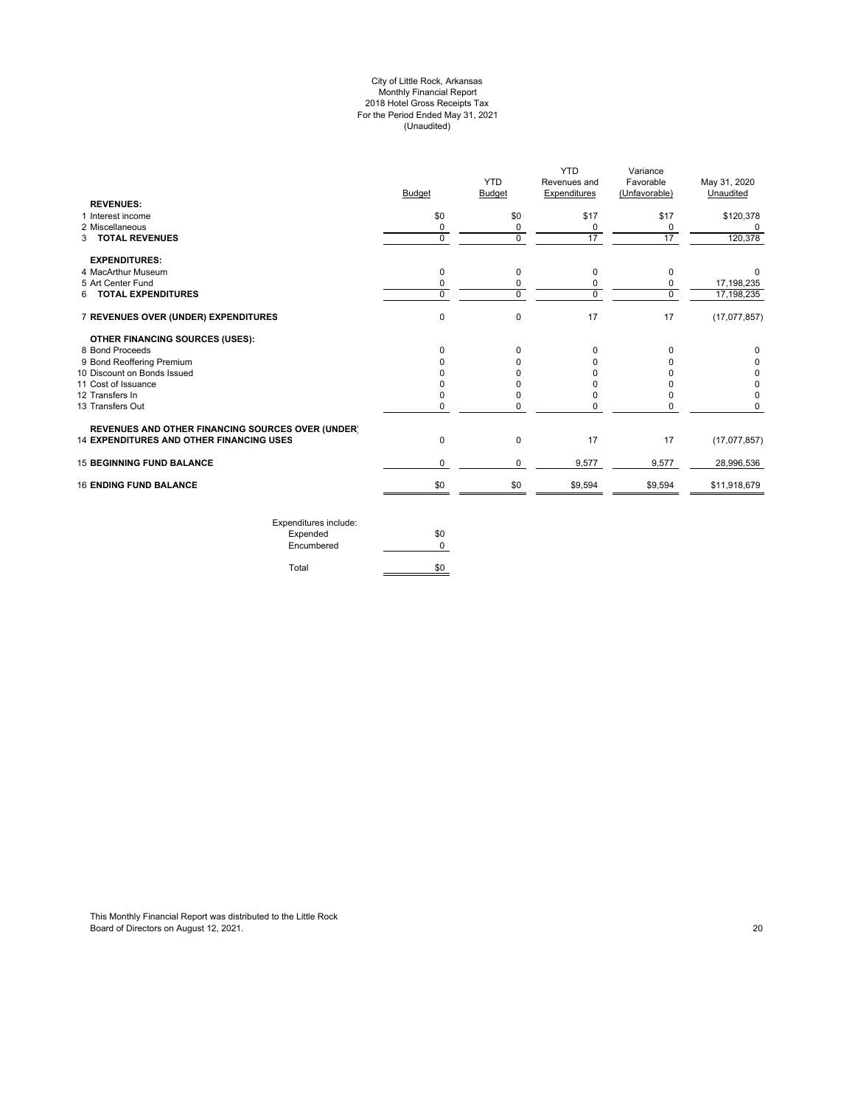#### City of Little Rock, Arkansas Monthly Financial Report 2018 Hotel Gross Receipts Tax For the Period Ended May 31, 2021 (Unaudited)

|                                                          | <b>Budget</b> | <b>YTD</b><br><b>Budget</b> | YTD<br>Revenues and<br>Expenditures | Variance<br>Favorable<br>(Unfavorable) | May 31, 2020<br>Unaudited |
|----------------------------------------------------------|---------------|-----------------------------|-------------------------------------|----------------------------------------|---------------------------|
| <b>REVENUES:</b>                                         |               |                             |                                     |                                        |                           |
| 1 Interest income                                        | \$0           | \$0                         | \$17                                | \$17                                   | \$120,378                 |
| 2 Miscellaneous                                          | 0             | 0                           | 0                                   | 0                                      | 0                         |
| 3 TOTAL REVENUES                                         | $\Omega$      | $\Omega$                    | 17                                  | 17                                     | 120,378                   |
| <b>EXPENDITURES:</b>                                     |               |                             |                                     |                                        |                           |
| 4 MacArthur Museum                                       | 0             | 0                           | 0                                   | $\Omega$                               |                           |
| 5 Art Center Fund                                        | $\Omega$      | 0                           | 0                                   | 0                                      | 17,198,235                |
| 6 TOTAL EXPENDITURES                                     | $\Omega$      | $\Omega$                    | 0                                   | $\Omega$                               | 17,198,235                |
| 7 REVENUES OVER (UNDER) EXPENDITURES                     | $\mathbf 0$   | $\mathbf 0$                 | 17                                  | 17                                     | (17,077,857)              |
| OTHER FINANCING SOURCES (USES):                          |               |                             |                                     |                                        |                           |
| 8 Bond Proceeds                                          | $\Omega$      | 0                           | 0                                   | $\Omega$                               | <sup>0</sup>              |
| 9 Bond Reoffering Premium                                |               | 0                           | ŋ                                   |                                        | 0                         |
| 10 Discount on Bonds Issued                              |               | U                           |                                     |                                        | 0                         |
| 11 Cost of Issuance                                      |               | U                           |                                     |                                        | 0                         |
| 12 Transfers In                                          |               | 0                           |                                     |                                        | 0                         |
| 13 Transfers Out                                         | 0             | 0                           | $\Omega$                            |                                        | 0                         |
| <b>REVENUES AND OTHER FINANCING SOURCES OVER (UNDER)</b> |               |                             |                                     |                                        |                           |
| <b>14 EXPENDITURES AND OTHER FINANCING USES</b>          | $\Omega$      | 0                           | 17                                  | 17                                     | (17,077,857)              |
| <b>15 BEGINNING FUND BALANCE</b>                         | 0             | 0                           | 9,577                               | 9,577                                  | 28,996,536                |
| <b>16 ENDING FUND BALANCE</b>                            | \$0           | \$0                         | \$9,594                             | \$9,594                                | \$11,918,679              |

Expenditures include: Expended \$0 Encumbered 0 Total \$0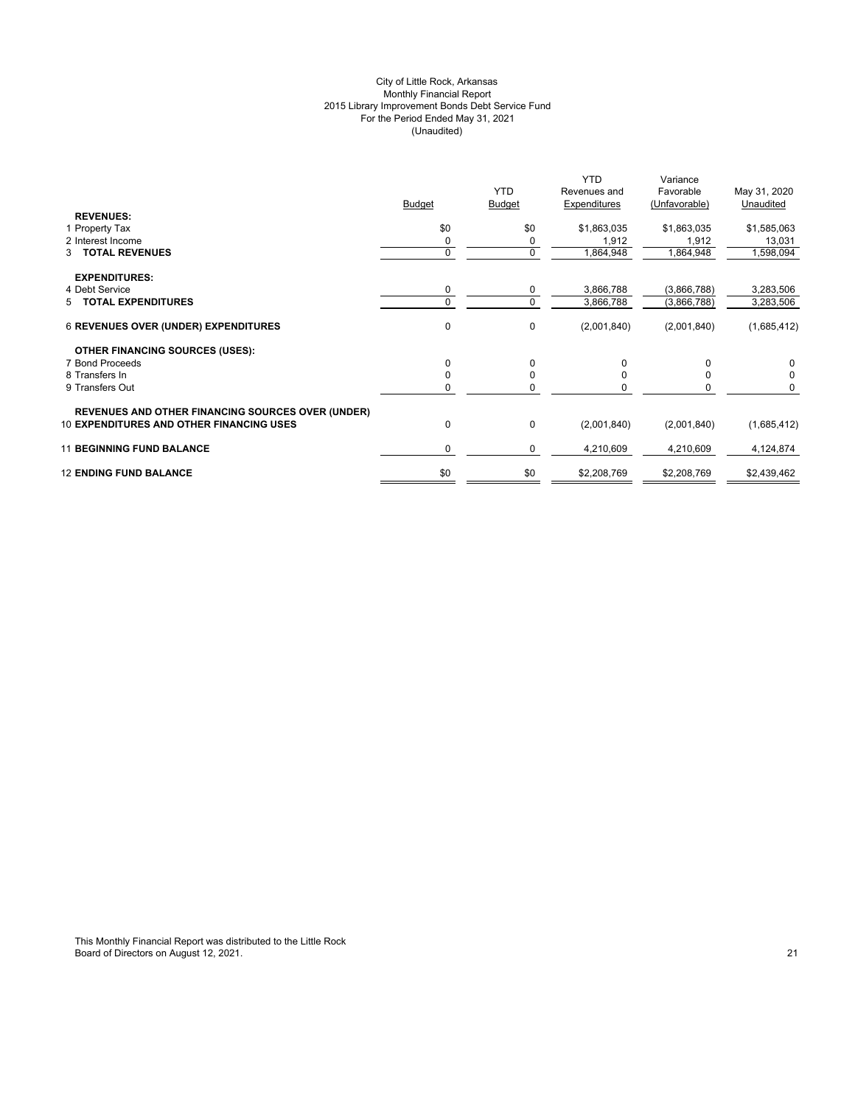## City of Little Rock, Arkansas Monthly Financial Report 2015 Library Improvement Bonds Debt Service Fund For the Period Ended May 31, 2021 (Unaudited)

|                                                          | <b>Budget</b> | <b>YTD</b><br><b>Budget</b> | <b>YTD</b><br>Revenues and<br>Expenditures | Variance<br>Favorable<br>(Unfavorable) | May 31, 2020<br>Unaudited |
|----------------------------------------------------------|---------------|-----------------------------|--------------------------------------------|----------------------------------------|---------------------------|
| <b>REVENUES:</b>                                         |               |                             |                                            |                                        |                           |
| 1 Property Tax                                           | \$0           | \$0                         | \$1,863,035                                | \$1,863,035                            | \$1,585,063               |
| 2 Interest Income                                        | 0             | 0                           | 1,912                                      | 1,912                                  | 13,031                    |
| 3 TOTAL REVENUES                                         | $\Omega$      | 0                           | 1,864,948                                  | 1,864,948                              | 1,598,094                 |
| <b>EXPENDITURES:</b>                                     |               |                             |                                            |                                        |                           |
| 4 Debt Service                                           | 0             | 0                           | 3,866,788                                  | (3,866,788)                            | 3,283,506                 |
| 5 TOTAL EXPENDITURES                                     | $\Omega$      | $\mathbf 0$                 | 3,866,788                                  | (3,866,788)                            | 3,283,506                 |
| <b>6 REVENUES OVER (UNDER) EXPENDITURES</b>              | 0             | $\mathbf 0$                 | (2,001,840)                                | (2,001,840)                            | (1,685,412)               |
| <b>OTHER FINANCING SOURCES (USES):</b>                   |               |                             |                                            |                                        |                           |
| 7 Bond Proceeds                                          | 0             | $\Omega$                    | 0                                          |                                        | 0                         |
| 8 Transfers In                                           | 0             | 0                           |                                            |                                        | 0                         |
| 9 Transfers Out                                          | n             | 0                           |                                            |                                        | 0                         |
| <b>REVENUES AND OTHER FINANCING SOURCES OVER (UNDER)</b> |               |                             |                                            |                                        |                           |
| <b>10 EXPENDITURES AND OTHER FINANCING USES</b>          | 0             | $\mathbf 0$                 | (2,001,840)                                | (2,001,840)                            | (1,685,412)               |
| <b>11 BEGINNING FUND BALANCE</b>                         | $\Omega$      | 0                           | 4,210,609                                  | 4,210,609                              | 4,124,874                 |
| <b>12 ENDING FUND BALANCE</b>                            | \$0           | \$0                         | \$2,208,769                                | \$2,208,769                            | \$2,439,462               |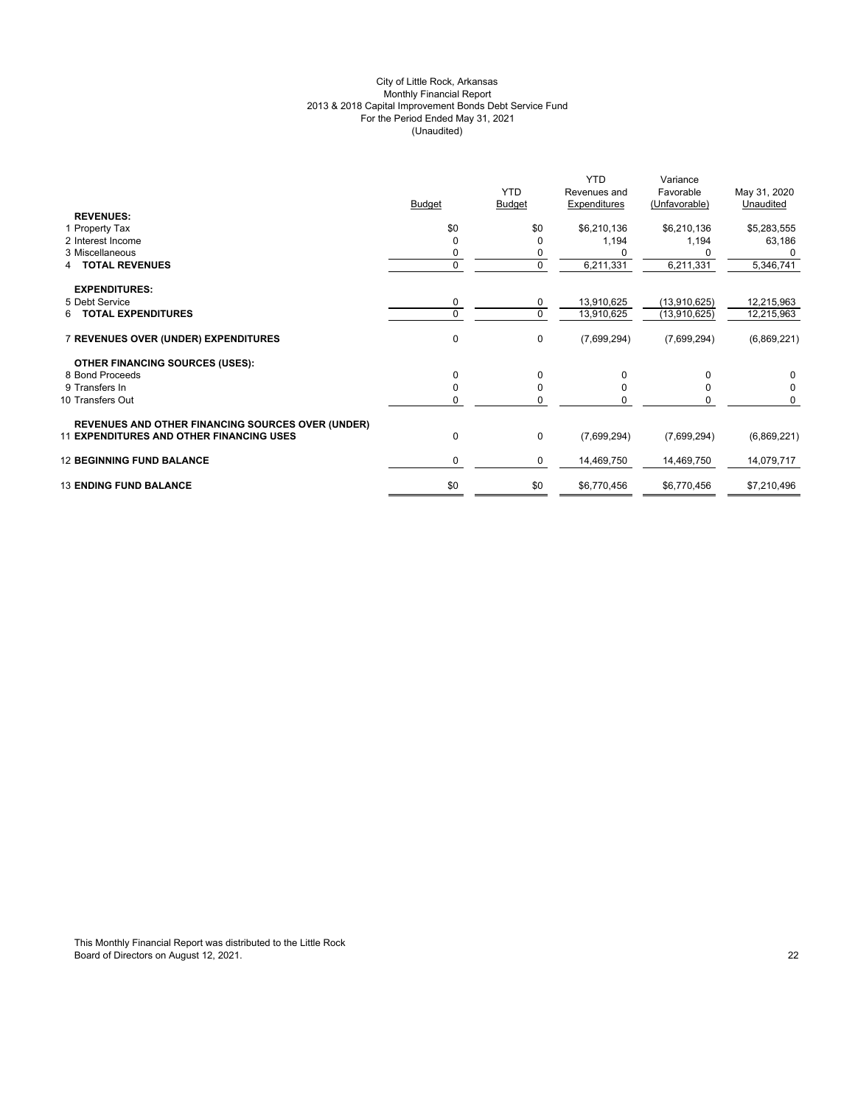## City of Little Rock, Arkansas Monthly Financial Report 2013 & 2018 Capital Improvement Bonds Debt Service Fund For the Period Ended May 31, 2021 (Unaudited)

|                                                          | <b>Budget</b> | <b>YTD</b><br><b>Budget</b> | <b>YTD</b><br>Revenues and<br>Expenditures | Variance<br>Favorable<br>(Unfavorable) | May 31, 2020<br>Unaudited |
|----------------------------------------------------------|---------------|-----------------------------|--------------------------------------------|----------------------------------------|---------------------------|
| <b>REVENUES:</b>                                         |               |                             |                                            |                                        |                           |
| 1 Property Tax                                           | \$0           | \$0                         | \$6,210,136                                | \$6,210,136                            | \$5,283,555               |
| 2 Interest Income                                        | $\Omega$      | 0                           | 1,194                                      | 1,194                                  | 63,186                    |
| 3 Miscellaneous                                          | 0             | 0                           |                                            |                                        |                           |
| <b>TOTAL REVENUES</b>                                    | $\mathbf 0$   | 0                           | 6,211,331                                  | 6,211,331                              | 5,346,741                 |
| <b>EXPENDITURES:</b>                                     |               |                             |                                            |                                        |                           |
| 5 Debt Service                                           | 0             | 0                           | 13,910,625                                 | (13,910,625)                           | 12,215,963                |
| 6 TOTAL EXPENDITURES                                     | $\Omega$      | $\mathbf 0$                 | 13,910,625                                 | (13,910,625)                           | 12,215,963                |
| 7 REVENUES OVER (UNDER) EXPENDITURES                     | 0             | 0                           | (7,699,294)                                | (7,699,294)                            | (6,869,221)               |
| <b>OTHER FINANCING SOURCES (USES):</b>                   |               |                             |                                            |                                        |                           |
| 8 Bond Proceeds                                          | $\Omega$      | 0                           | 0                                          | $\Omega$                               | 0                         |
| 9 Transfers In                                           | $\Omega$      | $\mathbf 0$                 | $\Omega$                                   | $\Omega$                               | 0                         |
| 10 Transfers Out                                         | 0             | 0                           | O                                          | $\Omega$                               | $\Omega$                  |
| <b>REVENUES AND OTHER FINANCING SOURCES OVER (UNDER)</b> |               |                             |                                            |                                        |                           |
| <b>11 EXPENDITURES AND OTHER FINANCING USES</b>          | 0             | 0                           | (7,699,294)                                | (7,699,294)                            | (6,869,221)               |
| <b>12 BEGINNING FUND BALANCE</b>                         | $\mathbf 0$   | 0                           | 14,469,750                                 | 14,469,750                             | 14,079,717                |
| <b>13 ENDING FUND BALANCE</b>                            | \$0           | \$0                         | \$6,770,456                                | \$6,770,456                            | \$7,210,496               |
|                                                          |               |                             |                                            |                                        |                           |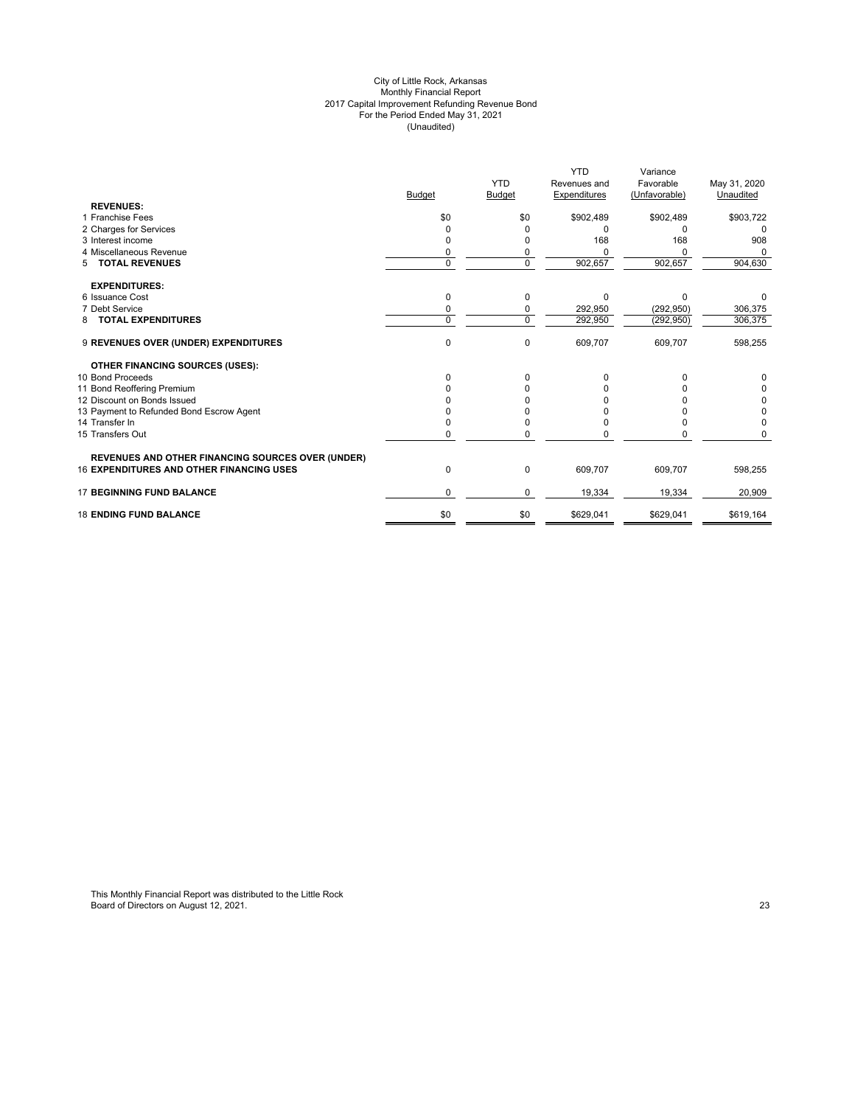#### City of Little Rock, Arkansas Monthly Financial Report 2017 Capital Improvement Refunding Revenue Bond For the Period Ended May 31, 2021 (Unaudited)

|                                                          |               |               | <b>YTD</b>   | Variance      |              |
|----------------------------------------------------------|---------------|---------------|--------------|---------------|--------------|
|                                                          |               | <b>YTD</b>    | Revenues and | Favorable     | May 31, 2020 |
|                                                          | <b>Budget</b> | <b>Budget</b> | Expenditures | (Unfavorable) | Unaudited    |
| <b>REVENUES:</b>                                         |               |               |              |               |              |
| 1 Franchise Fees                                         | \$0           | \$0           | \$902,489    | \$902,489     | \$903,722    |
| 2 Charges for Services                                   | O             |               |              | O             |              |
| 3 Interest income                                        |               |               | 168          | 168           | 908          |
| 4 Miscellaneous Revenue                                  | 0             | 0             |              | O             |              |
| <b>TOTAL REVENUES</b><br>5                               | $\Omega$      | 0             | 902,657      | 902,657       | 904,630      |
| <b>EXPENDITURES:</b>                                     |               |               |              |               |              |
| 6 Issuance Cost                                          | $\Omega$      | 0             | $\Omega$     | $\Omega$      |              |
| 7 Debt Service                                           | 0             | 0             | 292,950      | (292, 950)    | 306,375      |
| <b>TOTAL EXPENDITURES</b><br>8                           | $\Omega$      | $\Omega$      | 292,950      | (292, 950)    | 306,375      |
| 9 REVENUES OVER (UNDER) EXPENDITURES                     | 0             | 0             | 609,707      | 609,707       | 598,255      |
| <b>OTHER FINANCING SOURCES (USES):</b>                   |               |               |              |               |              |
| 10 Bond Proceeds                                         | <sup>0</sup>  | 0             |              |               |              |
| 11 Bond Reoffering Premium                               |               |               |              |               |              |
| 12 Discount on Bonds Issued                              |               |               |              |               | 0            |
| 13 Payment to Refunded Bond Escrow Agent                 |               |               |              |               | 0            |
| 14 Transfer In                                           |               |               |              |               | $\Omega$     |
| 15 Transfers Out                                         | <sup>0</sup>  | O             |              |               |              |
| <b>REVENUES AND OTHER FINANCING SOURCES OVER (UNDER)</b> |               |               |              |               |              |
| <b>16 EXPENDITURES AND OTHER FINANCING USES</b>          | 0             | 0             | 609,707      | 609,707       | 598,255      |
| <b>17 BEGINNING FUND BALANCE</b>                         | $\Omega$      | 0             | 19,334       | 19,334        | 20,909       |
| <b>18 ENDING FUND BALANCE</b>                            | \$0           | \$0           | \$629,041    | \$629,041     | \$619,164    |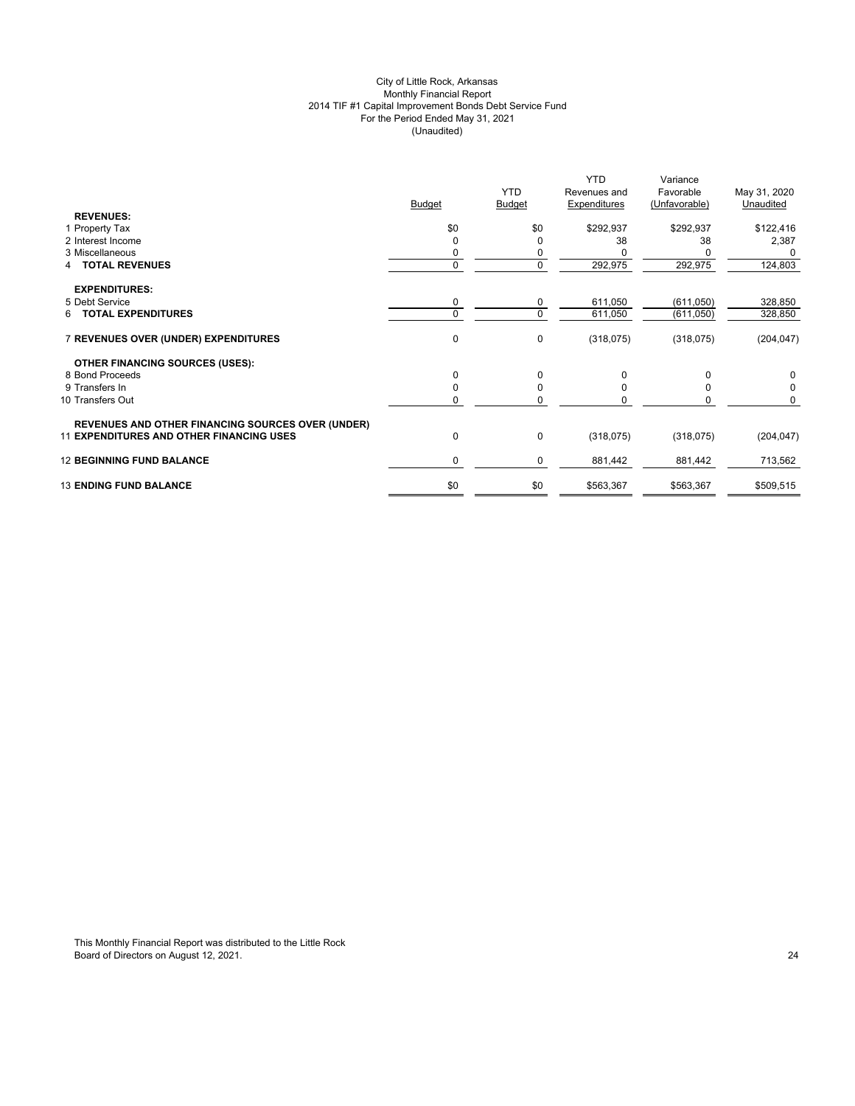## City of Little Rock, Arkansas Monthly Financial Report 2014 TIF #1 Capital Improvement Bonds Debt Service Fund For the Period Ended May 31, 2021 (Unaudited)

|                                                          | <b>Budget</b> | <b>YTD</b><br><b>Budget</b> | <b>YTD</b><br>Revenues and<br>Expenditures | Variance<br>Favorable<br>(Unfavorable) | May 31, 2020<br>Unaudited |
|----------------------------------------------------------|---------------|-----------------------------|--------------------------------------------|----------------------------------------|---------------------------|
| <b>REVENUES:</b>                                         |               |                             |                                            |                                        |                           |
| 1 Property Tax                                           | \$0           | \$0                         | \$292,937                                  | \$292,937                              | \$122,416                 |
| 2 Interest Income                                        | $\Omega$      | 0                           | 38                                         | 38                                     | 2,387                     |
| 3 Miscellaneous                                          | 0             | 0                           |                                            |                                        |                           |
| <b>TOTAL REVENUES</b><br>4                               | $\mathbf{0}$  | 0                           | 292,975                                    | 292,975                                | 124,803                   |
| <b>EXPENDITURES:</b>                                     |               |                             |                                            |                                        |                           |
| 5 Debt Service                                           | 0             | 0                           | 611,050                                    | (611,050)                              | 328,850                   |
| 6 TOTAL EXPENDITURES                                     | $\Omega$      | $\mathbf 0$                 | 611,050                                    | (611, 050)                             | 328,850                   |
| 7 REVENUES OVER (UNDER) EXPENDITURES                     | 0             | 0                           | (318, 075)                                 | (318, 075)                             | (204, 047)                |
| <b>OTHER FINANCING SOURCES (USES):</b>                   |               |                             |                                            |                                        |                           |
| 8 Bond Proceeds                                          | $\Omega$      | 0                           | 0                                          | $\Omega$                               | 0                         |
| 9 Transfers In                                           | $\Omega$      | $\mathbf 0$                 | <sup>0</sup>                               | $\Omega$                               | 0                         |
| 10 Transfers Out                                         | 0             | 0                           |                                            | O                                      | $\Omega$                  |
| <b>REVENUES AND OTHER FINANCING SOURCES OVER (UNDER)</b> |               |                             |                                            |                                        |                           |
| <b>11 EXPENDITURES AND OTHER FINANCING USES</b>          | 0             | $\pmb{0}$                   | (318,075)                                  | (318,075)                              | (204, 047)                |
| <b>12 BEGINNING FUND BALANCE</b>                         | $\mathbf 0$   | 0                           | 881,442                                    | 881,442                                | 713,562                   |
| <b>13 ENDING FUND BALANCE</b>                            | \$0           | \$0                         | \$563,367                                  | \$563,367                              | \$509,515                 |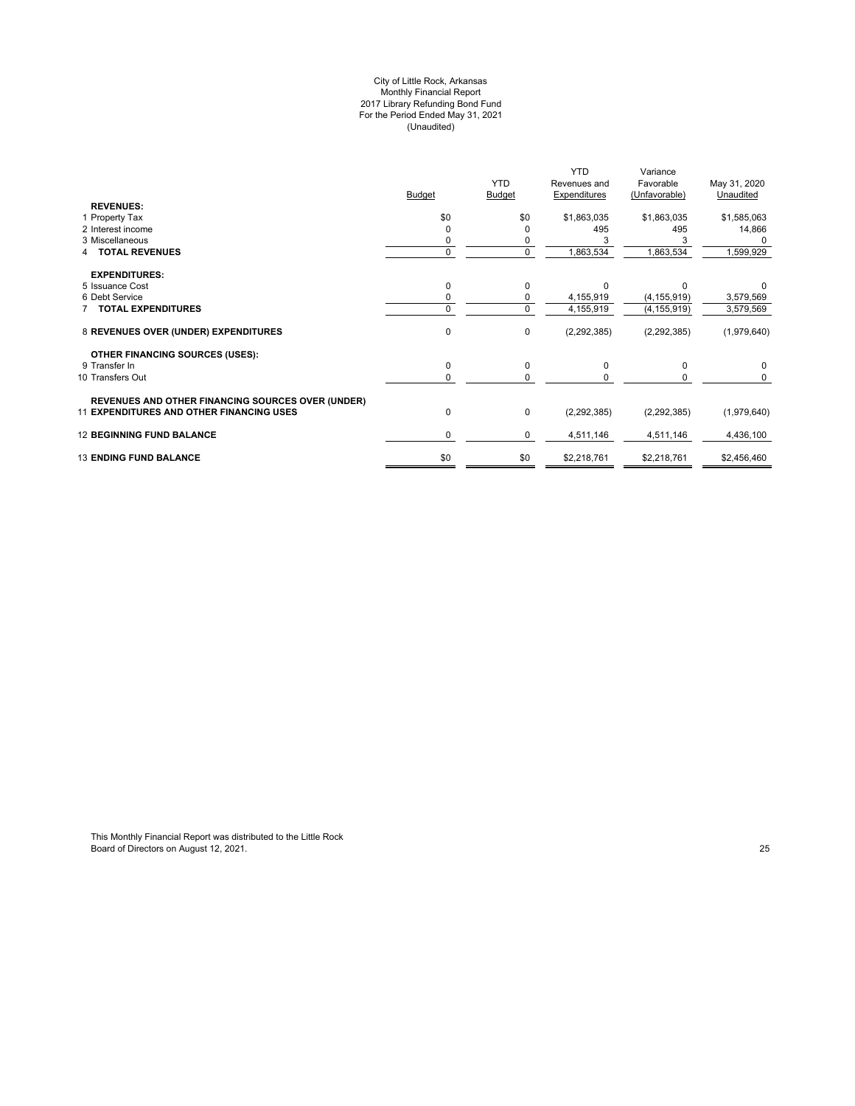#### City of Little Rock, Arkansas Monthly Financial Report 2017 Library Refunding Bond Fund For the Period Ended May 31, 2021 (Unaudited)

|                                                          |               |               | <b>YTD</b>    | Variance      |              |
|----------------------------------------------------------|---------------|---------------|---------------|---------------|--------------|
|                                                          |               | <b>YTD</b>    | Revenues and  | Favorable     | May 31, 2020 |
|                                                          | <b>Budget</b> | <b>Budget</b> | Expenditures  | (Unfavorable) | Unaudited    |
| <b>REVENUES:</b>                                         |               |               |               |               |              |
| 1 Property Tax                                           | \$0           | \$0           | \$1,863,035   | \$1,863,035   | \$1,585,063  |
| 2 Interest income                                        |               | 0             | 495           | 495           | 14,866       |
| 3 Miscellaneous                                          |               |               |               |               |              |
| <b>TOTAL REVENUES</b>                                    | $\Omega$      | $\mathbf 0$   | 1,863,534     | 1,863,534     | 1,599,929    |
| <b>EXPENDITURES:</b>                                     |               |               |               |               |              |
| 5 Issuance Cost                                          |               | 0             | U             | <sup>0</sup>  |              |
| 6 Debt Service                                           |               | 0             | 4,155,919     | (4, 155, 919) | 3,579,569    |
| <b>TOTAL EXPENDITURES</b>                                | $\Omega$      | $\mathbf 0$   | 4,155,919     | (4, 155, 919) | 3,579,569    |
| 8 REVENUES OVER (UNDER) EXPENDITURES                     | 0             | $\pmb{0}$     | (2, 292, 385) | (2, 292, 385) | (1,979,640)  |
| <b>OTHER FINANCING SOURCES (USES):</b>                   |               |               |               |               |              |
| 9 Transfer In                                            | 0             | $\pmb{0}$     | $\Omega$      | 0             | 0            |
| 10 Transfers Out                                         | 0             | 0             |               | 0             | 0            |
| <b>REVENUES AND OTHER FINANCING SOURCES OVER (UNDER)</b> |               |               |               |               |              |
| <b>11 EXPENDITURES AND OTHER FINANCING USES</b>          | 0             | $\pmb{0}$     | (2, 292, 385) | (2, 292, 385) | (1,979,640)  |
| <b>12 BEGINNING FUND BALANCE</b>                         | 0             | 0             | 4,511,146     | 4,511,146     | 4,436,100    |
| <b>13 ENDING FUND BALANCE</b>                            | \$0           | \$0           | \$2,218,761   | \$2,218,761   | \$2,456,460  |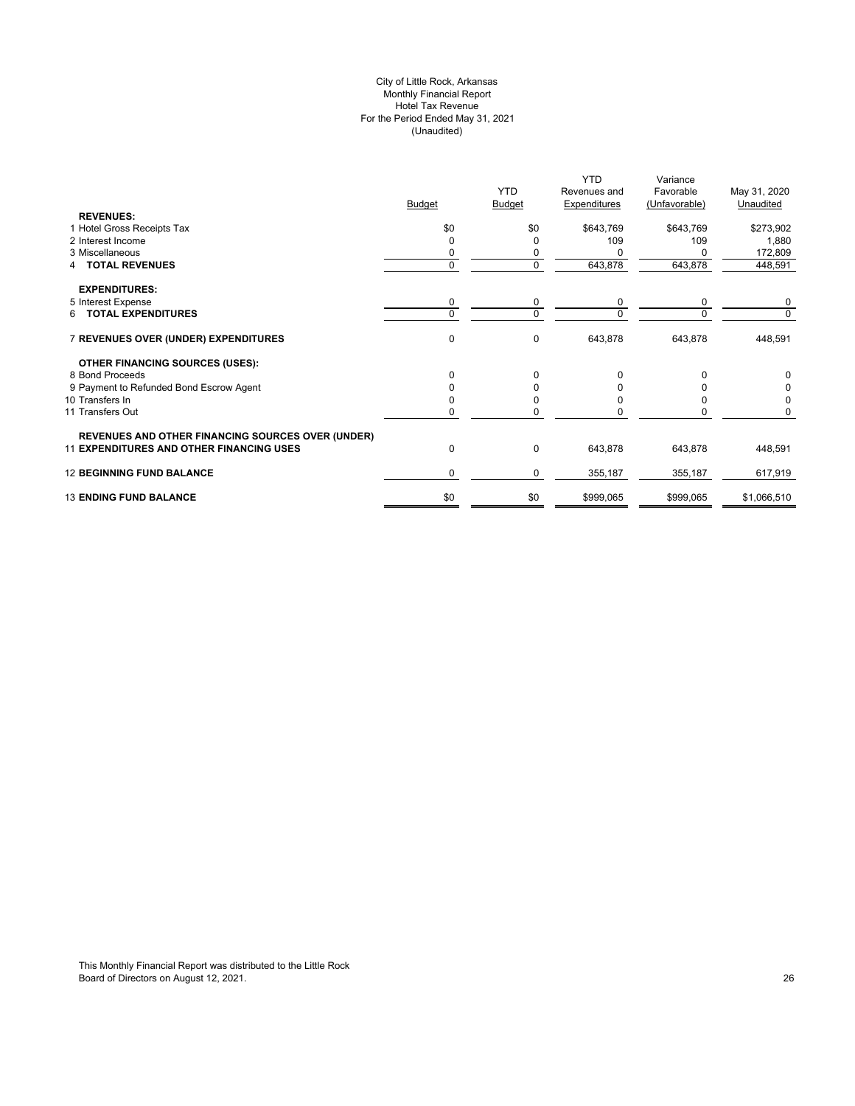## City of Little Rock, Arkansas Monthly Financial Report Hotel Tax Revenue For the Period Ended May 31, 2021 (Unaudited)

|                                                          |               |              | <b>YTD</b>   | Variance      |              |
|----------------------------------------------------------|---------------|--------------|--------------|---------------|--------------|
|                                                          |               | <b>YTD</b>   | Revenues and | Favorable     | May 31, 2020 |
|                                                          | <b>Budget</b> | Budget       | Expenditures | (Unfavorable) | Unaudited    |
| <b>REVENUES:</b>                                         |               |              |              |               |              |
| 1 Hotel Gross Receipts Tax                               | \$0           | \$0          | \$643,769    | \$643,769     | \$273,902    |
| 2 Interest Income                                        | 0             | $\Omega$     | 109          | 109           | 1,880        |
| 3 Miscellaneous                                          |               | 0            |              |               | 172,809      |
| <b>TOTAL REVENUES</b>                                    | 0             | $\mathbf 0$  | 643,878      | 643,878       | 448,591      |
| <b>EXPENDITURES:</b>                                     |               |              |              |               |              |
| 5 Interest Expense                                       | 0             | 0            | $\mathbf 0$  | 0             | 0            |
| 6 TOTAL EXPENDITURES                                     | $\Omega$      | $\mathbf 0$  | $\Omega$     | $\Omega$      | 0            |
| 7 REVENUES OVER (UNDER) EXPENDITURES                     | 0             | $\mathbf 0$  | 643,878      | 643,878       | 448,591      |
| <b>OTHER FINANCING SOURCES (USES):</b>                   |               |              |              |               |              |
| 8 Bond Proceeds                                          | 0             | $\Omega$     |              | O             |              |
| 9 Payment to Refunded Bond Escrow Agent                  |               | 0            |              |               | 0            |
| 10 Transfers In                                          |               | <sup>0</sup> |              |               | 0            |
| 11 Transfers Out                                         | U             | $\Omega$     |              | n             | 0            |
| <b>REVENUES AND OTHER FINANCING SOURCES OVER (UNDER)</b> |               |              |              |               |              |
| <b>11 EXPENDITURES AND OTHER FINANCING USES</b>          | 0             | $\mathbf 0$  | 643,878      | 643,878       | 448,591      |
| <b>12 BEGINNING FUND BALANCE</b>                         | 0             | $\mathbf 0$  | 355,187      | 355,187       | 617,919      |
| <b>13 ENDING FUND BALANCE</b>                            | \$0           | \$0          | \$999,065    | \$999,065     | \$1,066,510  |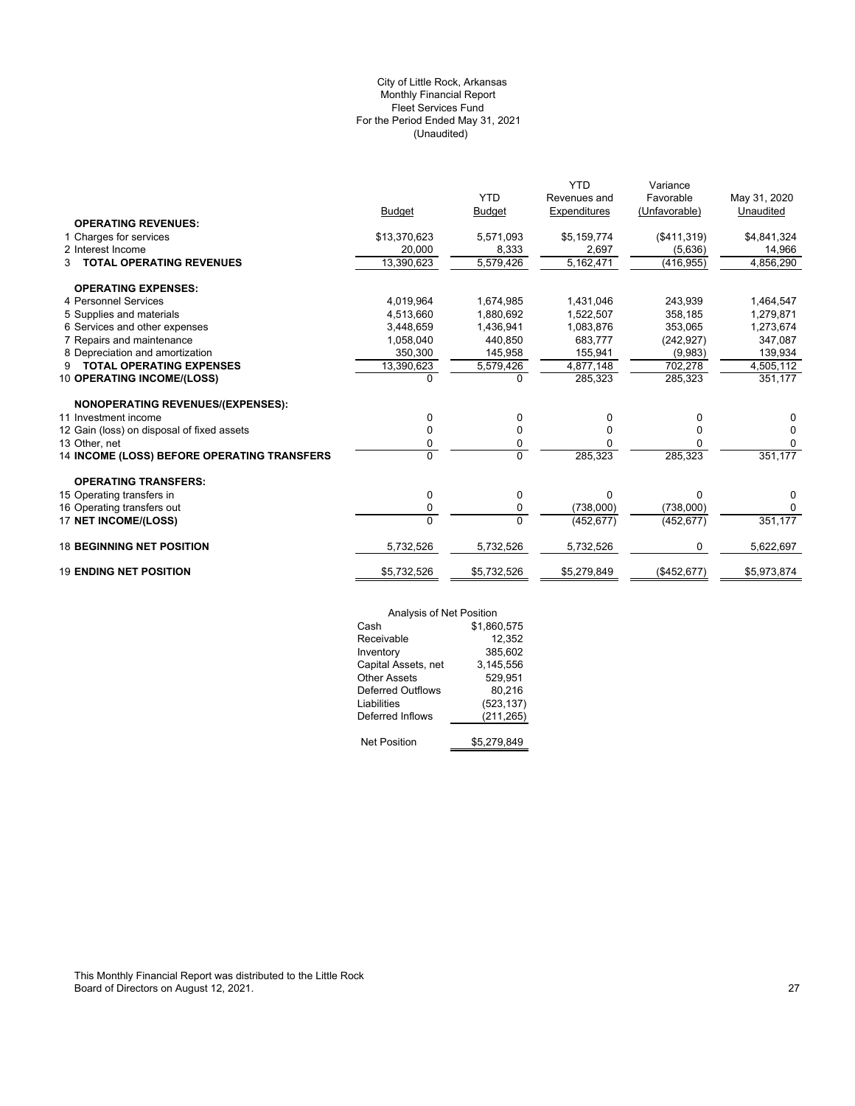## (Unaudited) City of Little Rock, Arkansas Monthly Financial Report Fleet Services Fund For the Period Ended May 31, 2021

|                                             |                |               | <b>YTD</b>   | Variance      |              |
|---------------------------------------------|----------------|---------------|--------------|---------------|--------------|
|                                             |                | <b>YTD</b>    | Revenues and | Favorable     | May 31, 2020 |
|                                             | <b>Budget</b>  | <b>Budget</b> | Expenditures | (Unfavorable) | Unaudited    |
| <b>OPERATING REVENUES:</b>                  |                |               |              |               |              |
| 1 Charges for services                      | \$13,370,623   | 5,571,093     | \$5,159,774  | (\$411,319)   | \$4,841,324  |
| 2 Interest Income                           | 20,000         | 8,333         | 2,697        | (5,636)       | 14,966       |
| <b>TOTAL OPERATING REVENUES</b><br>3        | 13,390,623     | 5,579,426     | 5,162,471    | (416, 955)    | 4,856,290    |
| <b>OPERATING EXPENSES:</b>                  |                |               |              |               |              |
| 4 Personnel Services                        | 4,019,964      | 1,674,985     | 1,431,046    | 243,939       | 1,464,547    |
| 5 Supplies and materials                    | 4,513,660      | 1,880,692     | 1,522,507    | 358,185       | 1,279,871    |
| 6 Services and other expenses               | 3,448,659      | 1,436,941     | 1,083,876    | 353,065       | 1,273,674    |
| 7 Repairs and maintenance                   | 1.058.040      | 440.850       | 683.777      | (242, 927)    | 347,087      |
| 8 Depreciation and amortization             | 350,300        | 145,958       | 155,941      | (9,983)       | 139,934      |
| <b>TOTAL OPERATING EXPENSES</b><br>9        | 13,390,623     | 5,579,426     | 4,877,148    | 702,278       | 4,505,112    |
| 10 OPERATING INCOME/(LOSS)                  | $\Omega$       | $\Omega$      | 285,323      | 285,323       | 351,177      |
| NONOPERATING REVENUES/(EXPENSES):           |                |               |              |               |              |
| 11 Investment income                        | 0              | 0             | 0            | 0             | 0            |
| 12 Gain (loss) on disposal of fixed assets  | 0              | 0             | $\Omega$     | 0             | $\Omega$     |
| 13 Other, net                               | 0              | 0             | 0            | 0             | $\Omega$     |
| 14 INCOME (LOSS) BEFORE OPERATING TRANSFERS | $\Omega$       | $\Omega$      | 285,323      | 285,323       | 351,177      |
| <b>OPERATING TRANSFERS:</b>                 |                |               |              |               |              |
| 15 Operating transfers in                   | 0              | 0             | $\Omega$     | 0             | 0            |
| 16 Operating transfers out                  | 0              | 0             | (738,000)    | (738,000)     | 0            |
| 17 NET INCOME/(LOSS)                        | $\overline{0}$ | $\Omega$      | (452, 677)   | (452, 677)    | 351,177      |
| <b>18 BEGINNING NET POSITION</b>            | 5,732,526      | 5,732,526     | 5,732,526    | 0             | 5,622,697    |
| <b>19 ENDING NET POSITION</b>               | \$5,732,526    | \$5,732,526   | \$5,279,849  | (\$452, 677)  | \$5,973,874  |
|                                             |                |               |              |               |              |

| Analysis of Net Position |             |
|--------------------------|-------------|
| Cash                     | \$1,860,575 |
| Receivable               | 12,352      |
| Inventory                | 385,602     |
| Capital Assets, net      | 3,145,556   |
| <b>Other Assets</b>      | 529,951     |
| <b>Deferred Outflows</b> | 80.216      |
| Liabilities              | (523, 137)  |
| Deferred Inflows         | (211, 265)  |
| <b>Net Position</b>      | \$5.279.849 |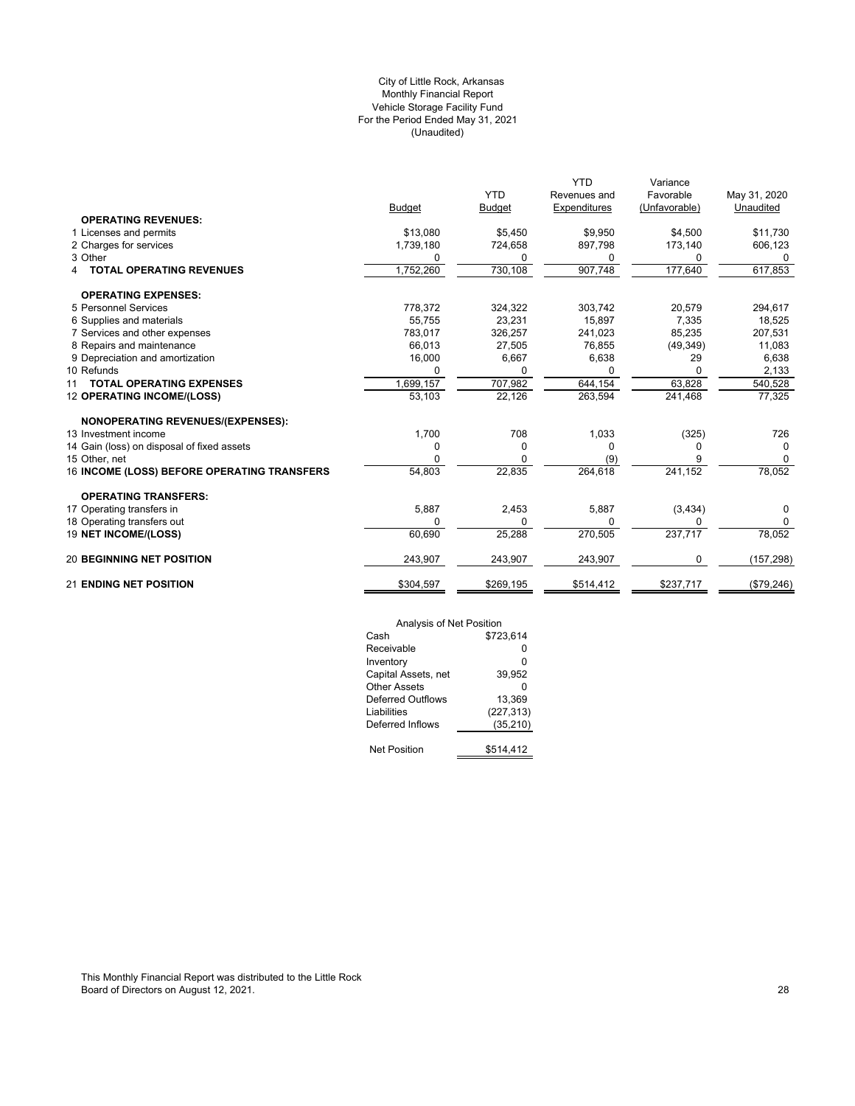## (Unaudited) City of Little Rock, Arkansas Monthly Financial Report Vehicle Storage Facility Fund For the Period Ended May 31, 2021

|                                             |               |               | <b>YTD</b>   | Variance      |              |
|---------------------------------------------|---------------|---------------|--------------|---------------|--------------|
|                                             |               | <b>YTD</b>    | Revenues and | Favorable     | May 31, 2020 |
|                                             | <b>Budget</b> | <b>Budget</b> | Expenditures | (Unfavorable) | Unaudited    |
| <b>OPERATING REVENUES:</b>                  |               |               |              |               |              |
| 1 Licenses and permits                      | \$13,080      | \$5,450       | \$9,950      | \$4,500       | \$11,730     |
| 2 Charges for services                      | 1,739,180     | 724,658       | 897,798      | 173,140       | 606,123      |
| 3 Other                                     | 0             | 0             | 0            | 0             | 0            |
| <b>TOTAL OPERATING REVENUES</b>             | 1,752,260     | 730,108       | 907,748      | 177,640       | 617,853      |
| <b>OPERATING EXPENSES:</b>                  |               |               |              |               |              |
| 5 Personnel Services                        | 778,372       | 324,322       | 303,742      | 20,579        | 294,617      |
| 6 Supplies and materials                    | 55,755        | 23,231        | 15,897       | 7,335         | 18,525       |
| 7 Services and other expenses               | 783.017       | 326,257       | 241,023      | 85,235        | 207,531      |
| 8 Repairs and maintenance                   | 66,013        | 27,505        | 76,855       | (49, 349)     | 11,083       |
| 9 Depreciation and amortization             | 16,000        | 6,667         | 6,638        | 29            | 6,638        |
| 10 Refunds                                  |               | 0             |              |               | 2,133        |
| <b>TOTAL OPERATING EXPENSES</b><br>11       | 1,699,157     | 707,982       | 644,154      | 63,828        | 540,528      |
| <b>12 OPERATING INCOME/(LOSS)</b>           | 53,103        | 22,126        | 263,594      | 241,468       | 77,325       |
| <b>NONOPERATING REVENUES/(EXPENSES):</b>    |               |               |              |               |              |
| 13 Investment income                        | 1,700         | 708           | 1,033        | (325)         | 726          |
| 14 Gain (loss) on disposal of fixed assets  | 0             | 0             | <sup>0</sup> | O             | 0            |
| 15 Other, net                               | O             | <sup>0</sup>  | (9)          |               | $\Omega$     |
| 16 INCOME (LOSS) BEFORE OPERATING TRANSFERS | 54,803        | 22,835        | 264,618      | 241,152       | 78,052       |
| <b>OPERATING TRANSFERS:</b>                 |               |               |              |               |              |
| 17 Operating transfers in                   | 5,887         | 2,453         | 5,887        | (3, 434)      | 0            |
| 18 Operating transfers out                  | $\Omega$      | 0             | $\Omega$     | U             | 0            |
| 19 NET INCOME/(LOSS)                        | 60,690        | 25,288        | 270,505      | 237,717       | 78,052       |
| <b>20 BEGINNING NET POSITION</b>            | 243,907       | 243,907       | 243,907      | 0             | (157, 298)   |
| <b>21 ENDING NET POSITION</b>               | \$304,597     | \$269,195     | \$514,412    | \$237,717     | (\$79,246)   |

| Analysis of Net Position |            |
|--------------------------|------------|
| Cash                     | \$723.614  |
| Receivable               | ŋ          |
| Inventory                | 0          |
| Capital Assets, net      | 39,952     |
| Other Assets             | ŋ          |
| Deferred Outflows        | 13,369     |
| Liabilities              | (227, 313) |
| Deferred Inflows         | (35, 210)  |
|                          |            |
| <b>Net Position</b>      | \$514.412  |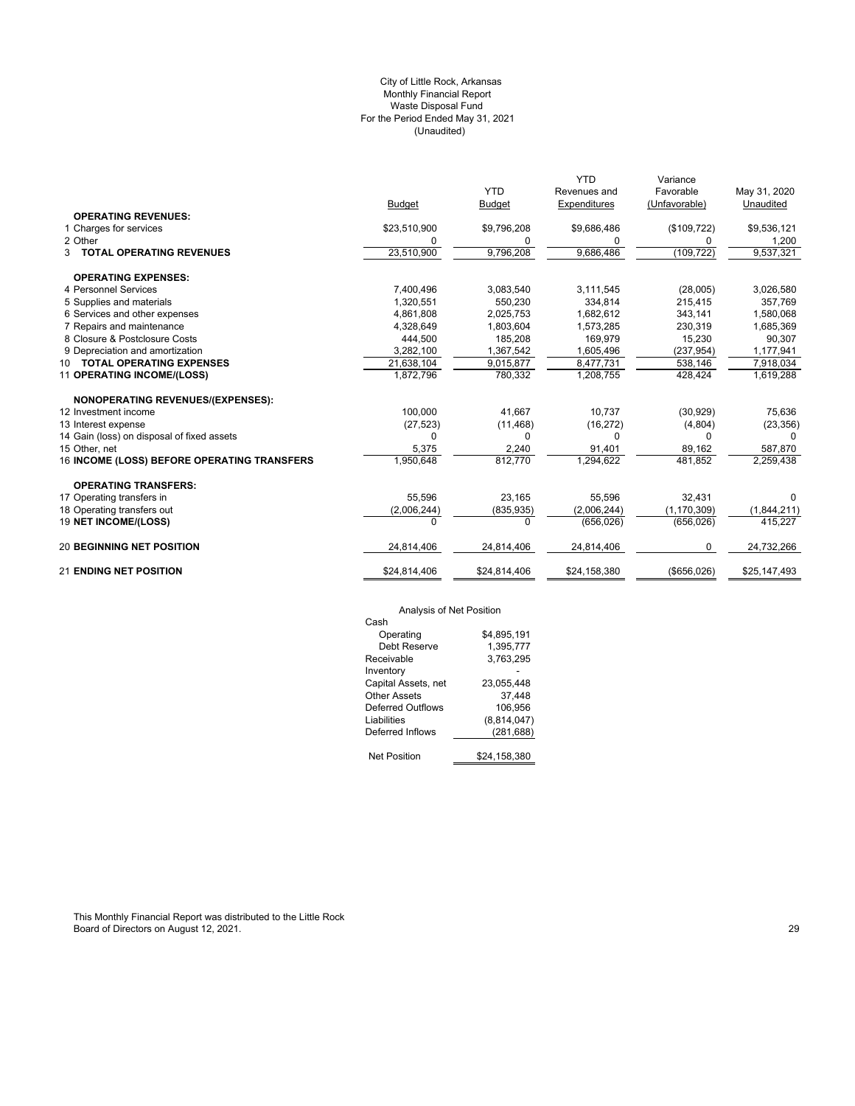## (Unaudited) City of Little Rock, Arkansas Monthly Financial Report Waste Disposal Fund For the Period Ended May 31, 2021

|                                             |              |               | <b>YTD</b>   | Variance      |              |
|---------------------------------------------|--------------|---------------|--------------|---------------|--------------|
|                                             |              | <b>YTD</b>    | Revenues and | Favorable     | May 31, 2020 |
|                                             | Budget       | <b>Budget</b> | Expenditures | (Unfavorable) | Unaudited    |
| <b>OPERATING REVENUES:</b>                  |              |               |              |               |              |
| 1 Charges for services                      | \$23,510,900 | \$9,796,208   | \$9,686,486  | (\$109, 722)  | \$9,536,121  |
| 2 Other                                     | 0            | 0             | 0            | 0             | 1,200        |
| <b>3 TOTAL OPERATING REVENUES</b>           | 23,510,900   | 9,796,208     | 9,686,486    | (109, 722)    | 9,537,321    |
| <b>OPERATING EXPENSES:</b>                  |              |               |              |               |              |
| 4 Personnel Services                        | 7,400,496    | 3,083,540     | 3,111,545    | (28,005)      | 3,026,580    |
| 5 Supplies and materials                    | 1,320,551    | 550,230       | 334.814      | 215,415       | 357,769      |
| 6 Services and other expenses               | 4,861,808    | 2,025,753     | 1,682,612    | 343,141       | 1,580,068    |
| 7 Repairs and maintenance                   | 4,328,649    | 1,803,604     | 1,573,285    | 230,319       | 1,685,369    |
| 8 Closure & Postclosure Costs               | 444,500      | 185,208       | 169,979      | 15,230        | 90,307       |
| 9 Depreciation and amortization             | 3,282,100    | 1,367,542     | 1,605,496    | (237, 954)    | 1,177,941    |
| 10 TOTAL OPERATING EXPENSES                 | 21,638,104   | 9,015,877     | 8,477,731    | 538,146       | 7,918,034    |
| 11 OPERATING INCOME/(LOSS)                  | 1,872,796    | 780,332       | 1,208,755    | 428,424       | 1,619,288    |
| <b>NONOPERATING REVENUES/(EXPENSES):</b>    |              |               |              |               |              |
| 12 Investment income                        | 100,000      | 41.667        | 10,737       | (30, 929)     | 75,636       |
| 13 Interest expense                         | (27, 523)    | (11, 468)     | (16, 272)    | (4,804)       | (23, 356)    |
| 14 Gain (loss) on disposal of fixed assets  | $\Omega$     | 0             | 0            | $\Omega$      | $\Omega$     |
| 15 Other, net                               | 5,375        | 2,240         | 91,401       | 89,162        | 587,870      |
| 16 INCOME (LOSS) BEFORE OPERATING TRANSFERS | 1,950,648    | 812,770       | 1,294,622    | 481,852       | 2,259,438    |
| <b>OPERATING TRANSFERS:</b>                 |              |               |              |               |              |
| 17 Operating transfers in                   | 55,596       | 23,165        | 55,596       | 32,431        | $\Omega$     |
| 18 Operating transfers out                  | (2,006,244)  | (835, 935)    | (2,006,244)  | (1, 170, 309) | (1,844,211)  |
| 19 NET INCOME/(LOSS)                        | $\Omega$     | 0             | (656, 026)   | (656, 026)    | 415,227      |
| <b>20 BEGINNING NET POSITION</b>            | 24,814,406   | 24,814,406    | 24,814,406   | 0             | 24,732,266   |
| <b>21 ENDING NET POSITION</b>               | \$24,814,406 | \$24,814,406  | \$24,158,380 | ( \$656,026)  | \$25,147,493 |

# Analysis of Net Position

| $\overline{ }$ , that you on the through $\overline{ }$ |              |
|---------------------------------------------------------|--------------|
| Cash                                                    |              |
| Operating                                               | \$4.895.191  |
| Debt Reserve                                            | 1,395,777    |
| Receivable                                              | 3.763.295    |
| Inventory                                               |              |
| Capital Assets, net                                     | 23,055,448   |
| Other Assets                                            | 37.448       |
| Deferred Outflows                                       | 106.956      |
| Liabilities                                             | (8,814,047)  |
| Deferred Inflows                                        | (281, 688)   |
|                                                         |              |
| <b>Net Position</b>                                     | \$24.158.380 |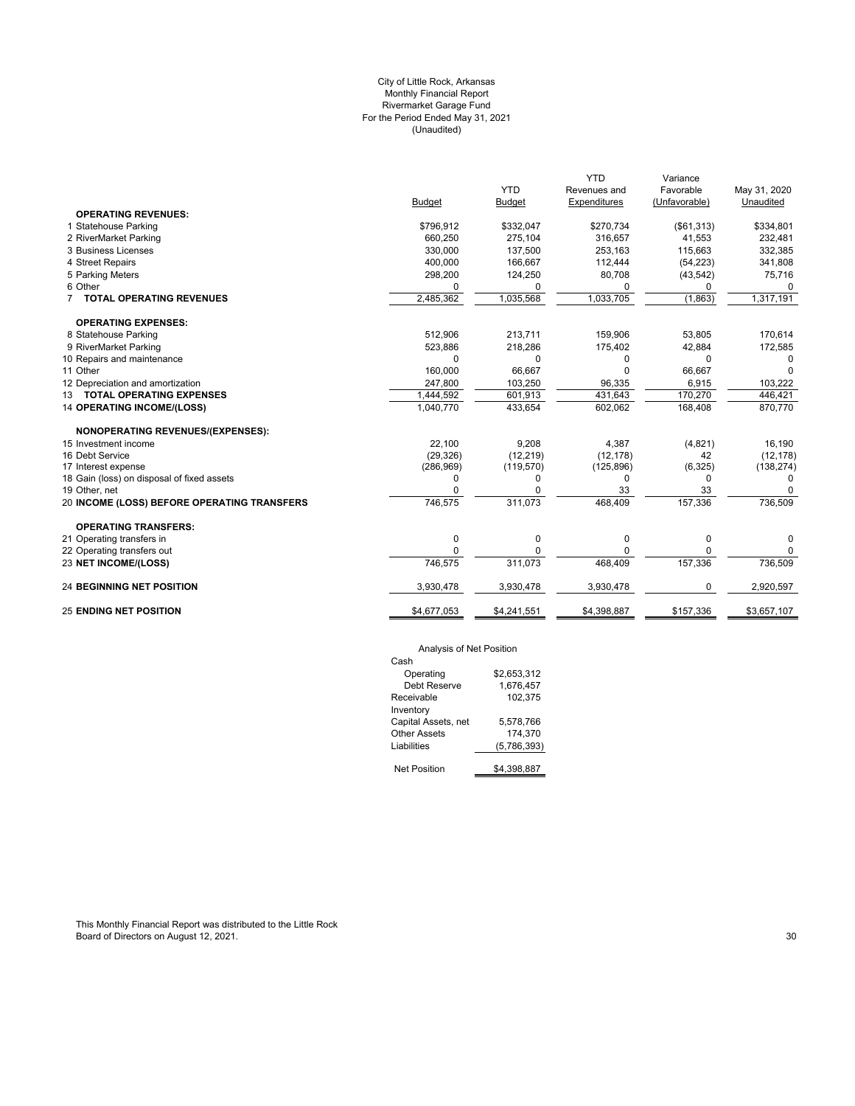## (Unaudited) City of Little Rock, Arkansas Monthly Financial Report Rivermarket Garage Fund For the Period Ended May 31, 2021

|                                             |             |               | <b>YTD</b>   | Variance      |              |
|---------------------------------------------|-------------|---------------|--------------|---------------|--------------|
|                                             |             | <b>YTD</b>    | Revenues and | Favorable     | May 31, 2020 |
|                                             | Budget      | <b>Budget</b> | Expenditures | (Unfavorable) | Unaudited    |
| <b>OPERATING REVENUES:</b>                  |             |               |              |               |              |
| 1 Statehouse Parking                        | \$796,912   | \$332,047     | \$270,734    | ( \$61, 313)  | \$334,801    |
| 2 RiverMarket Parking                       | 660,250     | 275,104       | 316,657      | 41,553        | 232,481      |
| 3 Business Licenses                         | 330,000     | 137,500       | 253,163      | 115,663       | 332,385      |
| 4 Street Repairs                            | 400,000     | 166,667       | 112,444      | (54, 223)     | 341,808      |
| 5 Parking Meters                            | 298,200     | 124,250       | 80,708       | (43, 542)     | 75,716       |
| 6 Other                                     | $\Omega$    | 0             | O            | 0             | $\Omega$     |
| 7 TOTAL OPERATING REVENUES                  | 2,485,362   | 1,035,568     | 1,033,705    | (1,863)       | 1,317,191    |
| <b>OPERATING EXPENSES:</b>                  |             |               |              |               |              |
| 8 Statehouse Parking                        | 512,906     | 213,711       | 159,906      | 53,805        | 170,614      |
| 9 RiverMarket Parking                       | 523,886     | 218,286       | 175,402      | 42,884        | 172,585      |
| 10 Repairs and maintenance                  | $\Omega$    | 0             | 0            | $\Omega$      | 0            |
| 11 Other                                    | 160.000     | 66.667        | U            | 66,667        | $\Omega$     |
| 12 Depreciation and amortization            | 247,800     | 103.250       | 96,335       | 6,915         | 103,222      |
| 13 TOTAL OPERATING EXPENSES                 | 1,444,592   | 601,913       | 431,643      | 170,270       | 446,421      |
| <b>14 OPERATING INCOME/(LOSS)</b>           | 1,040,770   | 433,654       | 602,062      | 168,408       | 870,770      |
| <b>NONOPERATING REVENUES/(EXPENSES):</b>    |             |               |              |               |              |
| 15 Investment income                        | 22,100      | 9,208         | 4,387        | (4,821)       | 16,190       |
| 16 Debt Service                             | (29, 326)   | (12, 219)     | (12, 178)    | 42            | (12, 178)    |
| 17 Interest expense                         | (286, 969)  | (119, 570)    | (125, 896)   | (6,325)       | (138, 274)   |
| 18 Gain (loss) on disposal of fixed assets  | 0           | 0             | 0            | 0             | 0            |
| 19 Other, net                               | $\Omega$    | O             | 33           | 33            |              |
| 20 INCOME (LOSS) BEFORE OPERATING TRANSFERS | 746,575     | 311,073       | 468,409      | 157,336       | 736,509      |
| <b>OPERATING TRANSFERS:</b>                 |             |               |              |               |              |
| 21 Operating transfers in                   | 0           | 0             | 0            | 0             | 0            |
| 22 Operating transfers out                  | $\Omega$    | 0             | 0            | $\mathbf 0$   | 0            |
| 23 NET INCOME/(LOSS)                        | 746,575     | 311,073       | 468,409      | 157,336       | 736,509      |
| <b>24 BEGINNING NET POSITION</b>            | 3,930,478   | 3,930,478     | 3,930,478    | 0             | 2,920,597    |
| <b>25 ENDING NET POSITION</b>               | \$4,677,053 | \$4,241,551   | \$4,398,887  | \$157,336     | \$3,657,107  |
|                                             |             |               |              |               |              |

## Analysis of Net Position

| Cash                |             |
|---------------------|-------------|
| Operating           | \$2,653,312 |
| Debt Reserve        | 1.676.457   |
| Receivable          | 102,375     |
| Inventory           |             |
| Capital Assets, net | 5.578.766   |
| Other Assets        | 174.370     |
| Liabilities         | (5,786,393) |
|                     |             |
| <b>Net Position</b> | \$4.398.887 |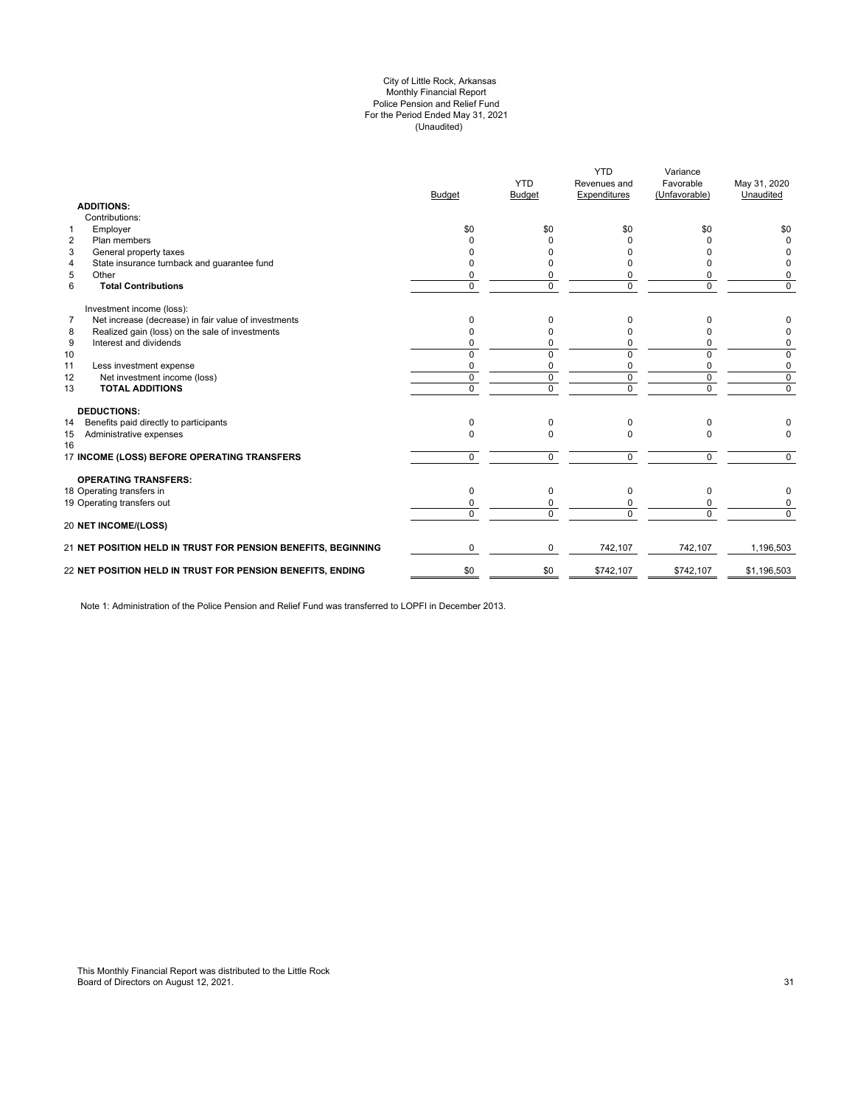#### (Unaudited) City of Little Rock, Arkansas Monthly Financial Report Police Pension and Relief Fund For the Period Ended May 31, 2021

| <b>ADDITIONS:</b>                                                      | <b>Budget</b>  | <b>YTD</b><br><b>Budget</b> | <b>YTD</b><br>Revenues and<br>Expenditures | Variance<br>Favorable<br>(Unfavorable) | May 31, 2020<br>Unaudited |
|------------------------------------------------------------------------|----------------|-----------------------------|--------------------------------------------|----------------------------------------|---------------------------|
| Contributions:                                                         |                |                             |                                            |                                        |                           |
| Employer<br>1                                                          | \$0            | \$0                         | \$0                                        | \$0                                    | \$0                       |
| $\overline{2}$<br>Plan members                                         | n              | 0                           |                                            |                                        | $\Omega$                  |
| 3<br>General property taxes                                            |                | 0                           |                                            |                                        | 0                         |
| State insurance turnback and guarantee fund<br>$\overline{4}$          |                | <sup>0</sup>                |                                            |                                        | 0                         |
| 5<br>Other                                                             | 0              | 0                           |                                            | 0                                      | 0                         |
| 6<br><b>Total Contributions</b>                                        | $\Omega$       | $\Omega$                    | $\Omega$                                   | 0                                      | $\Omega$                  |
| Investment income (loss):                                              |                |                             |                                            |                                        |                           |
| $\overline{7}$<br>Net increase (decrease) in fair value of investments | $\Omega$       | 0                           | $\Omega$                                   | 0                                      | 0                         |
| Realized gain (loss) on the sale of investments<br>8                   | $\Omega$       | 0                           |                                            | n                                      | 0                         |
| 9<br>Interest and dividends                                            | $\Omega$       | 0                           | 0                                          | 0                                      | 0                         |
| 10                                                                     | $\Omega$       | $\Omega$                    | $\Omega$                                   | $\Omega$                               | $\mathbf 0$               |
| 11<br>Less investment expense                                          | 0              | 0                           | 0                                          | 0                                      | 0                         |
| 12<br>Net investment income (loss)                                     | $\Omega$       | $\Omega$                    | $\Omega$                                   | $\mathbf 0$                            | 0                         |
| <b>TOTAL ADDITIONS</b><br>13                                           | $\overline{0}$ | $\overline{0}$              | $\overline{0}$                             | 0                                      | $\overline{0}$            |
| <b>DEDUCTIONS:</b>                                                     |                |                             |                                            |                                        |                           |
| Benefits paid directly to participants<br>14                           | $\Omega$       | 0                           | $\Omega$                                   | 0                                      |                           |
| Administrative expenses<br>15<br>16                                    | $\Omega$       | $\Omega$                    | $\Omega$                                   | $\Omega$                               | $\Omega$                  |
| 17 INCOME (LOSS) BEFORE OPERATING TRANSFERS                            | $\mathbf 0$    | $\Omega$                    | $\Omega$                                   | $\mathbf 0$                            | $\Omega$                  |
| <b>OPERATING TRANSFERS:</b>                                            |                |                             |                                            |                                        |                           |
| 18 Operating transfers in                                              | $\Omega$       | 0                           | $\Omega$                                   | 0                                      | 0                         |
| 19 Operating transfers out                                             | 0              | 0                           | 0                                          | 0                                      | 0                         |
| 20 NET INCOME/(LOSS)                                                   | $\Omega$       | 0                           | $\Omega$                                   | 0                                      | $\overline{0}$            |
| 21 NET POSITION HELD IN TRUST FOR PENSION BENEFITS, BEGINNING          | $\Omega$       | $\Omega$                    | 742,107                                    | 742,107                                | 1,196,503                 |
| 22 NET POSITION HELD IN TRUST FOR PENSION BENEFITS, ENDING             | \$0            | \$0                         | \$742,107                                  | \$742,107                              | \$1,196,503               |
|                                                                        |                |                             |                                            |                                        |                           |

Note 1: Administration of the Police Pension and Relief Fund was transferred to LOPFI in December 2013.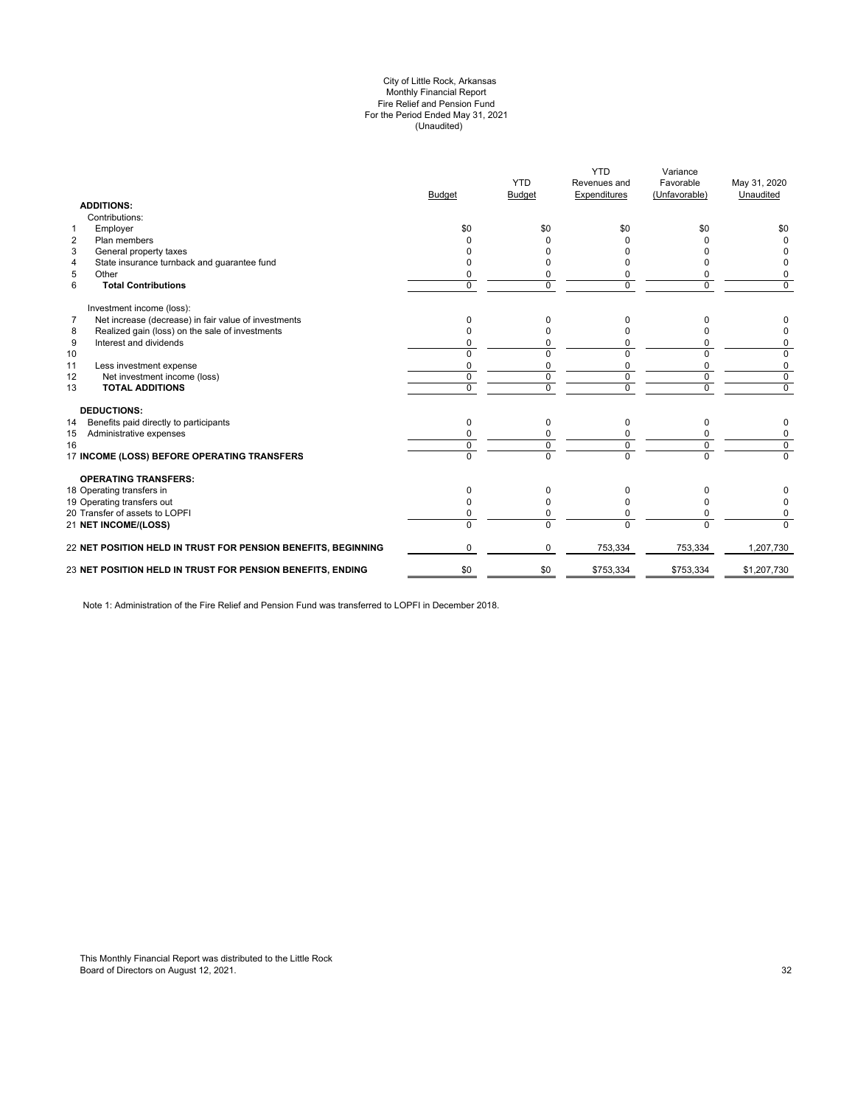#### (Unaudited) City of Little Rock, Arkansas Monthly Financial Report Fire Relief and Pension Fund For the Period Ended May 31, 2021

| <b>ADDITIONS:</b>                                                      | <b>Budget</b> | <b>YTD</b><br><b>Budget</b> | <b>YTD</b><br>Revenues and<br>Expenditures | Variance<br>Favorable<br>(Unfavorable) | May 31, 2020<br>Unaudited |
|------------------------------------------------------------------------|---------------|-----------------------------|--------------------------------------------|----------------------------------------|---------------------------|
| Contributions:                                                         |               |                             |                                            |                                        |                           |
| Employer<br>$\mathbf{1}$                                               | \$0           | \$0                         | \$0                                        | \$0                                    | \$0                       |
| $\overline{2}$<br>Plan members                                         |               |                             | <sup>0</sup>                               | U                                      | $\Omega$                  |
| 3<br>General property taxes                                            |               |                             |                                            |                                        |                           |
| State insurance turnback and guarantee fund<br>4                       |               |                             |                                            | o                                      | <sup>0</sup>              |
| 5<br>Other                                                             |               | 0                           | 0                                          | 0                                      | 0                         |
| 6<br><b>Total Contributions</b>                                        | $\Omega$      | $\Omega$                    | $\Omega$                                   | $\Omega$                               | $\Omega$                  |
| Investment income (loss):                                              |               |                             |                                            |                                        |                           |
| $\overline{7}$<br>Net increase (decrease) in fair value of investments | $\Omega$      | 0                           | 0                                          | n                                      | 0                         |
| Realized gain (loss) on the sale of investments<br>8                   |               | O                           |                                            |                                        | 0                         |
| 9<br>Interest and dividends                                            |               | 0                           | 0                                          | 0                                      | 0                         |
| 10                                                                     | $\Omega$      | $\Omega$                    | $\Omega$                                   | 0                                      | 0                         |
| 11<br>Less investment expense                                          | $\Omega$      | $\Omega$                    | $\Omega$                                   | $\Omega$                               | 0                         |
| 12<br>Net investment income (loss)                                     | $\mathbf 0$   | 0                           | 0                                          | $\mathbf 0$                            | $\mathbf 0$               |
| <b>TOTAL ADDITIONS</b><br>13                                           | $\Omega$      | $\Omega$                    | $\Omega$                                   | $\Omega$                               | $\mathbf 0$               |
| <b>DEDUCTIONS:</b>                                                     |               |                             |                                            |                                        |                           |
| Benefits paid directly to participants<br>14                           | $\mathbf 0$   | 0                           | 0                                          | 0                                      | 0                         |
| Administrative expenses<br>15                                          |               |                             |                                            | 0                                      | 0                         |
| 16                                                                     | $\Omega$      | 0                           | $\Omega$                                   | $\mathbf 0$                            | $\mathbf 0$               |
| 17 INCOME (LOSS) BEFORE OPERATING TRANSFERS                            | $\Omega$      | $\overline{0}$              | $\Omega$                                   | $\overline{0}$                         | $\Omega$                  |
| <b>OPERATING TRANSFERS:</b>                                            |               |                             |                                            |                                        |                           |
| 18 Operating transfers in                                              | $\Omega$      | 0                           | 0                                          | 0                                      |                           |
| 19 Operating transfers out                                             | <sup>0</sup>  | O                           | <sup>0</sup>                               | 0                                      | 0                         |
| 20 Transfer of assets to LOPFI                                         | 0             | 0                           | 0                                          | $\Omega$                               | 0                         |
| 21 NET INCOME/(LOSS)                                                   | $\Omega$      | $\Omega$                    | $\Omega$                                   | $\Omega$                               | $\Omega$                  |
| 22 NET POSITION HELD IN TRUST FOR PENSION BENEFITS, BEGINNING          | $\Omega$      | $\Omega$                    | 753,334                                    | 753,334                                | 1,207,730                 |
| 23 NET POSITION HELD IN TRUST FOR PENSION BENEFITS, ENDING             | \$0           | \$0                         | \$753,334                                  | \$753,334                              | \$1,207,730               |
|                                                                        |               |                             |                                            |                                        |                           |

Note 1: Administration of the Fire Relief and Pension Fund was transferred to LOPFI in December 2018.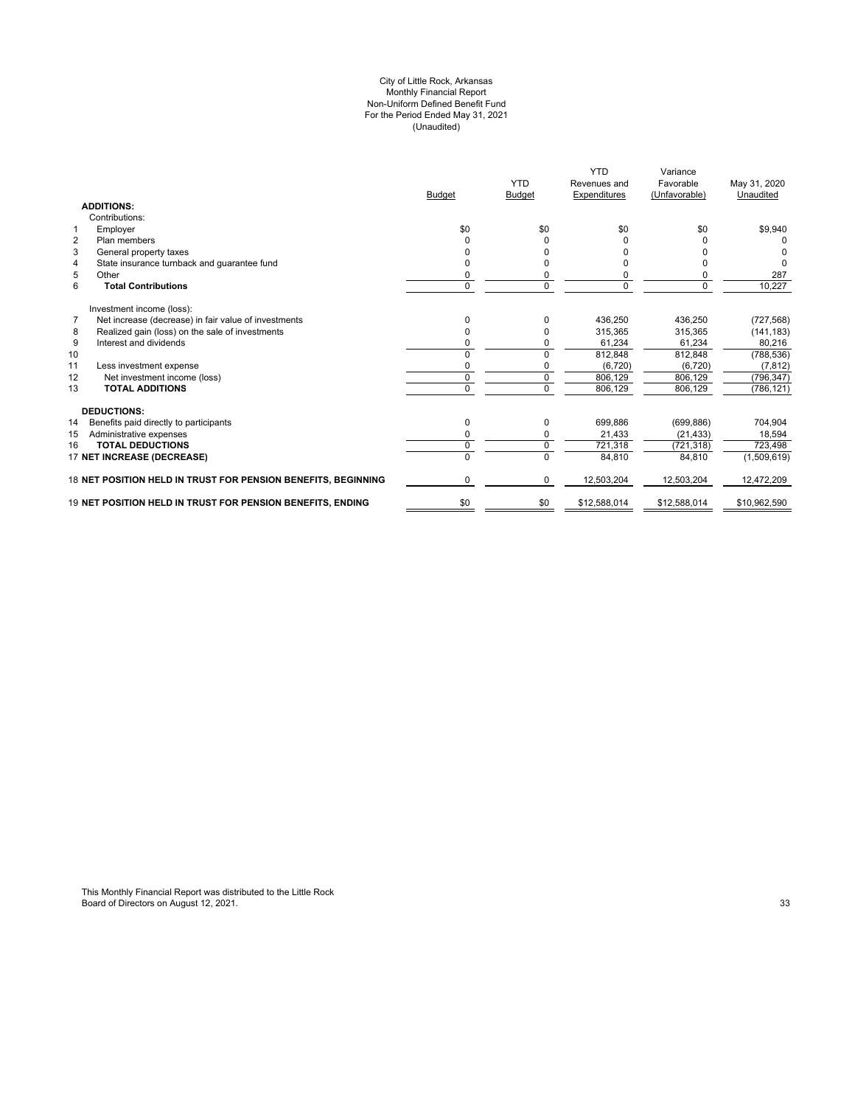#### (Unaudited) For the Period Ended May 31, 2021 City of Little Rock, Arkansas Monthly Financial Report Non-Uniform Defined Benefit Fund

|                                                                        | <b>Budget</b> | <b>YTD</b><br>Budget | <b>YTD</b><br>Revenues and<br>Expenditures | Variance<br>Favorable<br>(Unfavorable) | May 31, 2020<br>Unaudited |
|------------------------------------------------------------------------|---------------|----------------------|--------------------------------------------|----------------------------------------|---------------------------|
| <b>ADDITIONS:</b>                                                      |               |                      |                                            |                                        |                           |
| Contributions:                                                         |               |                      |                                            |                                        |                           |
| Employer<br>$\mathbf 1$                                                | \$0           | \$0                  | \$0                                        | \$0                                    | \$9,940                   |
| $\overline{2}$<br>Plan members                                         | $\Omega$      | 0                    |                                            |                                        |                           |
| 3<br>General property taxes                                            |               |                      |                                            |                                        |                           |
| State insurance turnback and guarantee fund<br>4                       |               | ŋ                    |                                            |                                        | $\Omega$                  |
| 5<br>Other                                                             | 0             | 0                    | 0                                          |                                        | 287                       |
| 6<br><b>Total Contributions</b>                                        | $\mathbf 0$   | 0                    | $\mathbf 0$                                | 0                                      | 10,227                    |
| Investment income (loss):                                              |               |                      |                                            |                                        |                           |
| $\overline{7}$<br>Net increase (decrease) in fair value of investments | $\Omega$      | 0                    | 436,250                                    | 436,250                                | (727, 568)                |
| Realized gain (loss) on the sale of investments<br>8                   | $\Omega$      |                      | 315.365                                    | 315.365                                | (141, 183)                |
| 9<br>Interest and dividends                                            | $\Omega$      |                      | 61,234                                     | 61,234                                 | 80,216                    |
| 10                                                                     | $\Omega$      | 0                    | 812,848                                    | 812,848                                | (788, 536)                |
| 11<br>Less investment expense                                          | $\Omega$      |                      | (6, 720)                                   | (6, 720)                               | (7, 812)                  |
| Net investment income (loss)<br>12                                     | 0             | 0                    | 806.129                                    | 806,129                                | (796, 347)                |
| <b>TOTAL ADDITIONS</b><br>13                                           | $\Omega$      | $\Omega$             | 806,129                                    | 806,129                                | (786, 121)                |
| <b>DEDUCTIONS:</b>                                                     |               |                      |                                            |                                        |                           |
| 14<br>Benefits paid directly to participants                           | 0             | 0                    | 699,886                                    | (699, 886)                             | 704,904                   |
| Administrative expenses<br>15                                          | 0             | 0                    | 21,433                                     | (21, 433)                              | 18.594                    |
| <b>TOTAL DEDUCTIONS</b><br>16                                          | 0             | 0                    | 721,318                                    | (721, 318)                             | 723,498                   |
| 17 NET INCREASE (DECREASE)                                             |               | $\Omega$             | 84,810                                     | 84,810                                 | (1,509,619)               |
| 18 NET POSITION HELD IN TRUST FOR PENSION BENEFITS, BEGINNING          | $\Omega$      | $\Omega$             | 12,503,204                                 | 12,503,204                             | 12,472,209                |
| 19 NET POSITION HELD IN TRUST FOR PENSION BENEFITS. ENDING             | \$0           | \$0                  | \$12,588,014                               | \$12,588,014                           | \$10,962,590              |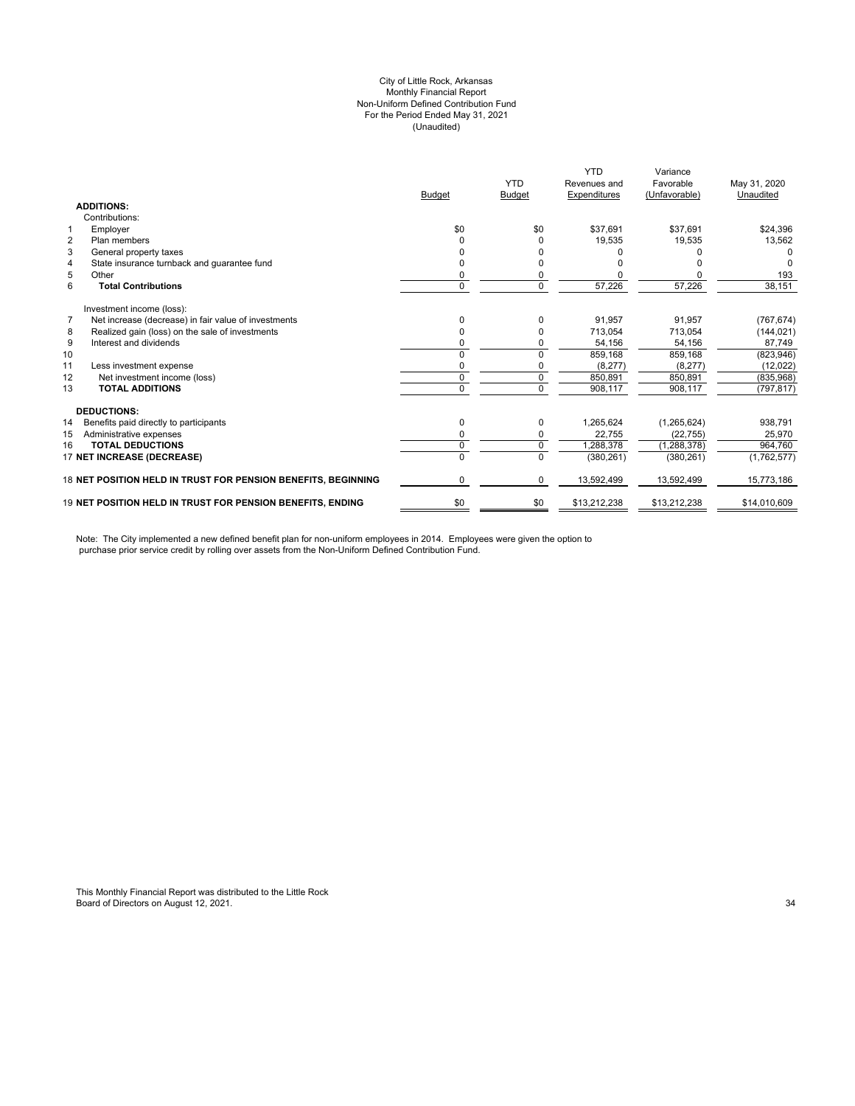#### City of Little Rock, Arkansas (Unaudited) For the Period Ended May 31, 2021 Non-Uniform Defined Contribution Fund Monthly Financial Report

|                |                                                                   | <b>Budget</b> | <b>YTD</b><br><b>Budget</b> | <b>YTD</b><br>Revenues and<br>Expenditures | Variance<br>Favorable<br>(Unfavorable) | May 31, 2020<br>Unaudited |
|----------------|-------------------------------------------------------------------|---------------|-----------------------------|--------------------------------------------|----------------------------------------|---------------------------|
|                | <b>ADDITIONS:</b>                                                 |               |                             |                                            |                                        |                           |
|                | Contributions:                                                    |               |                             |                                            |                                        |                           |
|                | Employer                                                          | \$0           | \$0                         | \$37,691                                   | \$37.691                               | \$24,396                  |
| $\overline{2}$ | Plan members                                                      |               |                             | 19,535                                     | 19,535                                 | 13,562                    |
| 3              | General property taxes                                            |               |                             |                                            |                                        |                           |
| $\overline{4}$ | State insurance turnback and guarantee fund                       |               |                             |                                            |                                        |                           |
| 5              | Other                                                             | 0             |                             |                                            |                                        | 193                       |
| 6              | <b>Total Contributions</b>                                        | 0             | $\Omega$                    | 57,226                                     | 57,226                                 | 38,151                    |
|                | Investment income (loss):                                         |               |                             |                                            |                                        |                           |
| $\overline{7}$ | Net increase (decrease) in fair value of investments              |               |                             | 91,957                                     | 91,957                                 | (767, 674)                |
| 8              | Realized gain (loss) on the sale of investments                   | 0             |                             | 713,054                                    | 713,054                                | (144, 021)                |
| 9              | Interest and dividends                                            |               |                             | 54,156                                     | 54,156                                 | 87.749                    |
| 10             |                                                                   | $\Omega$      | $\Omega$                    | 859,168                                    | 859,168                                | (823, 946)                |
| 11             | Less investment expense                                           | 0             |                             | (8,277)                                    | (8, 277)                               | (12,022)                  |
| 12             | Net investment income (loss)                                      | 0             | 0                           | 850,891                                    | 850,891                                | (835,968)                 |
| 13             | <b>TOTAL ADDITIONS</b>                                            | 0             | $\Omega$                    | 908,117                                    | 908,117                                | (797, 817)                |
|                | <b>DEDUCTIONS:</b>                                                |               |                             |                                            |                                        |                           |
| 14             | Benefits paid directly to participants                            | 0             | 0                           | 1,265,624                                  | (1,265,624)                            | 938,791                   |
| 15             | Administrative expenses                                           | 0             | 0                           | 22,755                                     | (22, 755)                              | 25,970                    |
| 16             | <b>TOTAL DEDUCTIONS</b>                                           | 0             | $\Omega$                    | 1,288,378                                  | (1, 288, 378)                          | 964,760                   |
|                | 17 NET INCREASE (DECREASE)                                        | $\Omega$      | $\Omega$                    | (380, 261)                                 | (380, 261)                             | (1,762,577)               |
|                | 18 NET POSITION HELD IN TRUST FOR PENSION BENEFITS, BEGINNING     | 0             | 0                           | 13,592,499                                 | 13,592,499                             | 15,773,186                |
|                | <b>19 NET POSITION HELD IN TRUST FOR PENSION BENEFITS. ENDING</b> | \$0           | \$0                         | \$13,212,238                               | \$13,212,238                           | \$14,010,609              |

Note: The City implemented a new defined benefit plan for non-uniform employees in 2014. Employees were given the option to purchase prior service credit by rolling over assets from the Non-Uniform Defined Contribution Fund.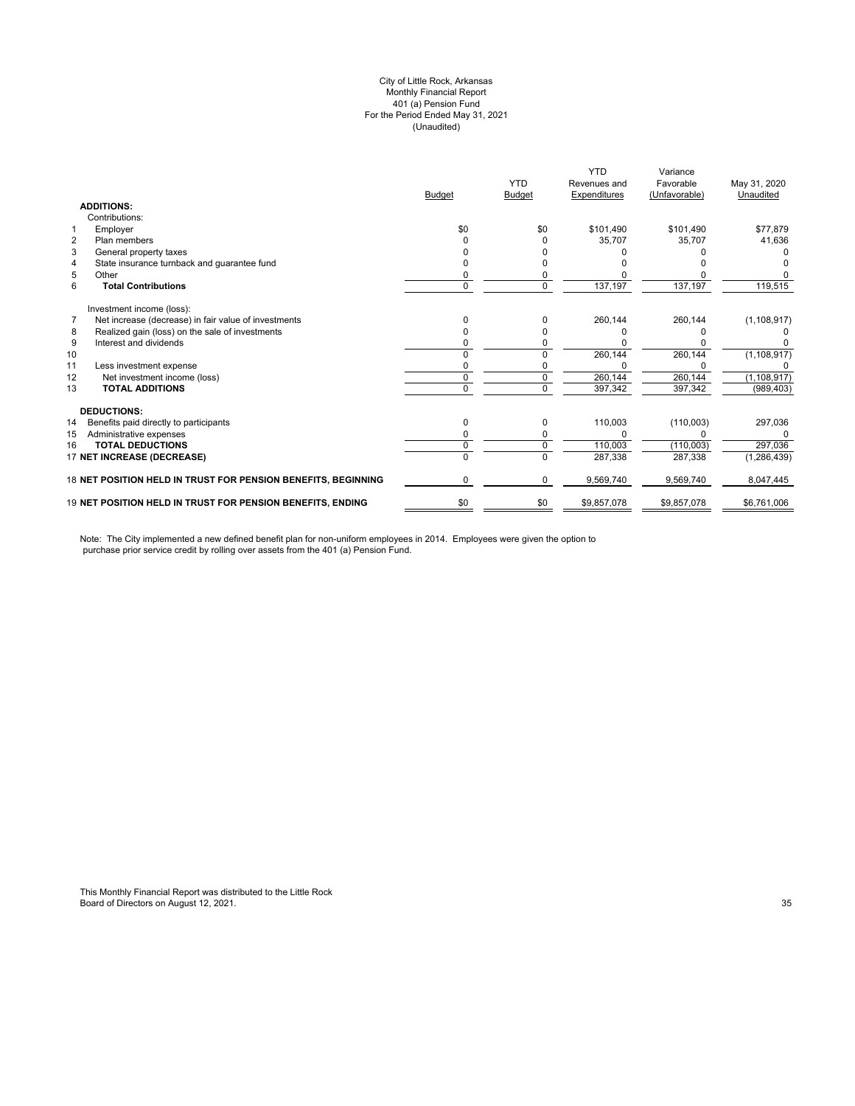#### (Unaudited) City of Little Rock, Arkansas Monthly Financial Report 401 (a) Pension Fund For the Period Ended May 31, 2021

|                                                                        |               | <b>YTD</b>    | <b>YTD</b><br>Revenues and | Variance<br>Favorable | May 31, 2020  |
|------------------------------------------------------------------------|---------------|---------------|----------------------------|-----------------------|---------------|
|                                                                        | <b>Budget</b> | <b>Budget</b> | Expenditures               | (Unfavorable)         | Unaudited     |
| <b>ADDITIONS:</b>                                                      |               |               |                            |                       |               |
| Contributions:                                                         |               |               |                            |                       |               |
| Employer<br>1                                                          | \$0           | \$0           | \$101.490                  | \$101.490             | \$77,879      |
| $\overline{2}$<br>Plan members                                         |               |               | 35,707                     | 35.707                | 41,636        |
| 3<br>General property taxes                                            |               |               |                            |                       |               |
| State insurance turnback and guarantee fund<br>4                       |               |               |                            |                       |               |
| 5<br>Other                                                             |               |               |                            |                       |               |
| 6<br><b>Total Contributions</b>                                        | 0             | 0             | 137,197                    | 137,197               | 119,515       |
| Investment income (loss):                                              |               |               |                            |                       |               |
| $\overline{7}$<br>Net increase (decrease) in fair value of investments |               |               | 260,144                    | 260,144               | (1, 108, 917) |
| Realized gain (loss) on the sale of investments<br>8                   |               |               |                            |                       |               |
| 9<br>Interest and dividends                                            |               |               |                            |                       |               |
| 10                                                                     |               |               | 260,144                    | 260,144               | (1, 108, 917) |
| 11<br>Less investment expense                                          |               |               |                            |                       |               |
| 12<br>Net investment income (loss)                                     | 0             |               | 260,144                    | 260,144               | (1, 108, 917) |
| <b>TOTAL ADDITIONS</b><br>13                                           | U             | $\Omega$      | 397,342                    | 397,342               | (989, 403)    |
| <b>DEDUCTIONS:</b>                                                     |               |               |                            |                       |               |
| 14<br>Benefits paid directly to participants                           | 0             | 0             | 110,003                    | (110,003)             | 297,036       |
| 15<br>Administrative expenses                                          |               |               |                            |                       | O             |
| <b>TOTAL DEDUCTIONS</b><br>16                                          | 0             | 0             | 110,003                    | (110,003)             | 297,036       |
| 17 NET INCREASE (DECREASE)                                             | 0             | $\Omega$      | 287,338                    | 287,338               | (1, 286, 439) |
| 18 NET POSITION HELD IN TRUST FOR PENSION BENEFITS, BEGINNING          | 0             | 0             | 9,569,740                  | 9,569,740             | 8,047,445     |
| 19 NET POSITION HELD IN TRUST FOR PENSION BENEFITS, ENDING             | \$0           | \$0           | \$9,857,078                | \$9,857,078           | \$6,761,006   |

Note: The City implemented a new defined benefit plan for non-uniform employees in 2014. Employees were given the option to purchase prior service credit by rolling over assets from the 401 (a) Pension Fund.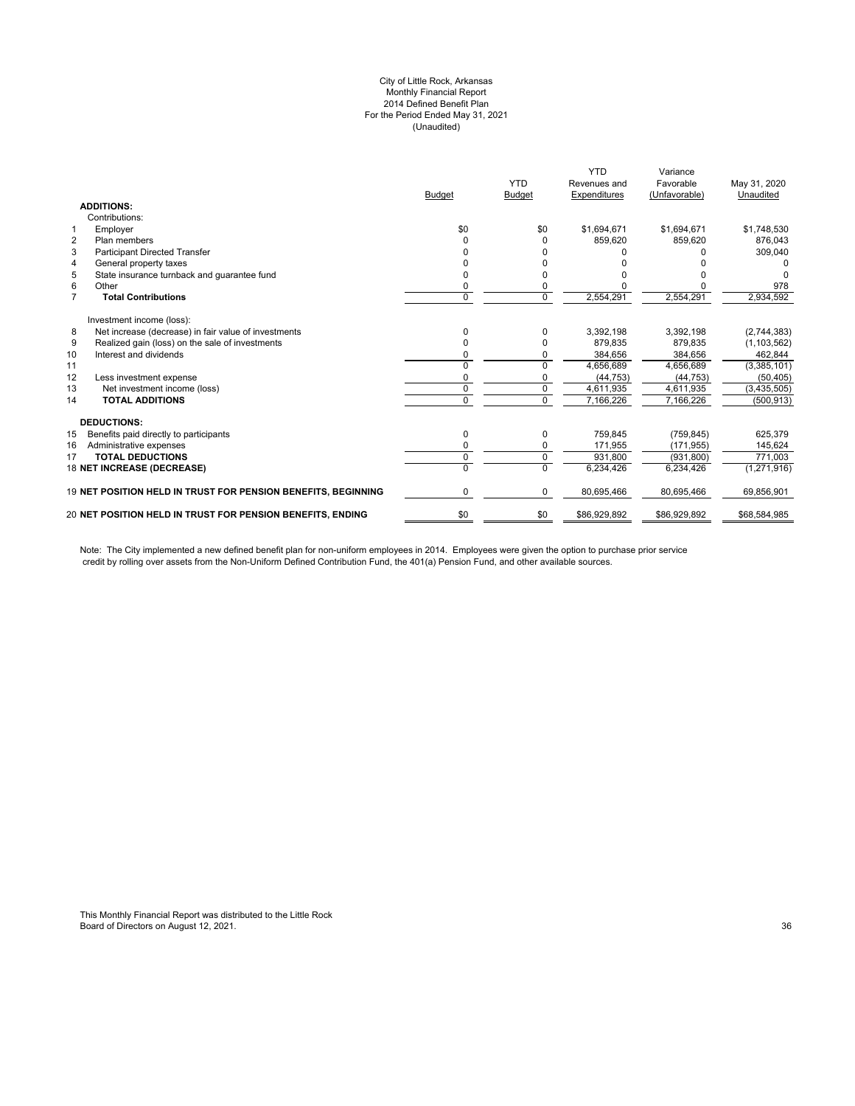#### City of Little Rock, Arkansas Monthly Financial Report 2014 Defined Benefit Plan For the Period Ended May 31, 2021 (Unaudited)

|                | <b>ADDITIONS:</b>                                             | <b>Budget</b> | <b>YTD</b><br><b>Budget</b> | <b>YTD</b><br>Revenues and<br>Expenditures | Variance<br>Favorable<br>(Unfavorable) | May 31, 2020<br>Unaudited |
|----------------|---------------------------------------------------------------|---------------|-----------------------------|--------------------------------------------|----------------------------------------|---------------------------|
|                | Contributions:                                                |               |                             |                                            |                                        |                           |
| $\mathbf{1}$   | Employer                                                      | \$0           | \$0                         | \$1,694,671                                | \$1,694,671                            | \$1,748,530               |
| $\overline{2}$ | Plan members                                                  | U             | $\Omega$                    | 859,620                                    | 859.620                                | 876.043                   |
| 3              | <b>Participant Directed Transfer</b>                          |               |                             |                                            |                                        | 309,040                   |
| 4              | General property taxes                                        |               |                             |                                            |                                        |                           |
| 5              | State insurance turnback and quarantee fund                   | o             | <sup>0</sup>                |                                            |                                        |                           |
| 6              | Other                                                         | 0             | 0                           |                                            |                                        | 978                       |
| $\overline{7}$ | <b>Total Contributions</b>                                    | $\Omega$      | $\overline{0}$              | 2,554,291                                  | 2,554,291                              | 2,934,592                 |
|                | Investment income (loss):                                     |               |                             |                                            |                                        |                           |
| 8              | Net increase (decrease) in fair value of investments          | 0             | $\Omega$                    | 3,392,198                                  | 3,392,198                              | (2,744,383)               |
| 9              | Realized gain (loss) on the sale of investments               |               | $\Omega$                    | 879,835                                    | 879,835                                | (1, 103, 562)             |
| 10             | Interest and dividends                                        |               | $\Omega$                    | 384,656                                    | 384,656                                | 462,844                   |
| 11             |                                                               | U             | $\Omega$                    | 4,656,689                                  | 4,656,689                              | (3,385,101)               |
| 12             | Less investment expense                                       |               |                             | (44, 753)                                  | (44, 753)                              | (50, 405)                 |
| 13             | Net investment income (loss)                                  | $\Omega$      | $\Omega$                    | 4,611,935                                  | 4,611,935                              | (3, 435, 505)             |
| 14             | <b>TOTAL ADDITIONS</b>                                        | 0             | $\Omega$                    | 7,166,226                                  | 7,166,226                              | (500, 913)                |
|                | <b>DEDUCTIONS:</b>                                            |               |                             |                                            |                                        |                           |
| 15             | Benefits paid directly to participants                        | 0             | 0                           | 759.845                                    | (759, 845)                             | 625,379                   |
| 16             | Administrative expenses                                       | O             | $\mathbf 0$                 | 171,955                                    | (171, 955)                             | 145,624                   |
| 17             | <b>TOTAL DEDUCTIONS</b>                                       | 0             | $\mathbf 0$                 | 931.800                                    | (931.800)                              | 771.003                   |
|                | 18 NET INCREASE (DECREASE)                                    | 0             | $\Omega$                    | 6,234,426                                  | 6,234,426                              | (1,271,916)               |
|                | 19 NET POSITION HELD IN TRUST FOR PENSION BENEFITS, BEGINNING | 0             | $\mathbf 0$                 | 80,695,466                                 | 80,695,466                             | 69,856,901                |
|                | 20 NET POSITION HELD IN TRUST FOR PENSION BENEFITS, ENDING    | \$0           | \$0                         | \$86,929,892                               | \$86,929,892                           | \$68,584,985              |
|                |                                                               |               |                             |                                            |                                        |                           |

Note: The City implemented a new defined benefit plan for non-uniform employees in 2014. Employees were given the option to purchase prior service credit by rolling over assets from the Non-Uniform Defined Contribution Fund, the 401(a) Pension Fund, and other available sources.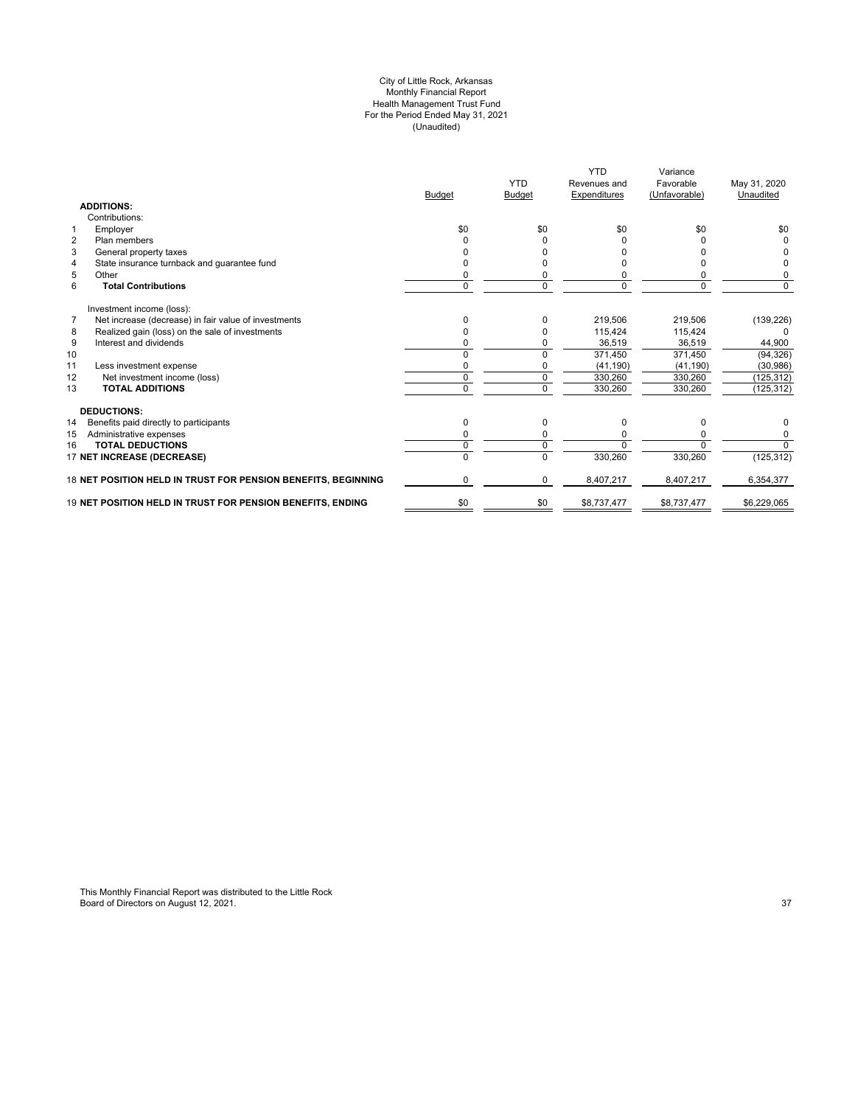#### City of Little Rock, Arkansas Monthly Financial Report Health Management Trust Fund For the Period Ended May 31, 2021 (Unaudited)

|                                                               | <b>Budget</b> | <b>YTD</b><br><b>Budget</b> | <b>YTD</b><br>Revenues and<br>Expenditures | Variance<br>Favorable<br>(Unfavorable) | May 31, 2020<br>Unaudited |
|---------------------------------------------------------------|---------------|-----------------------------|--------------------------------------------|----------------------------------------|---------------------------|
| <b>ADDITIONS:</b>                                             |               |                             |                                            |                                        |                           |
| Contributions:                                                |               |                             |                                            |                                        |                           |
| Employer<br>$\mathbf{1}$                                      | \$0           | \$0                         | \$0                                        | \$0                                    | \$0                       |
| $\overline{2}$<br>Plan members                                |               |                             |                                            |                                        |                           |
| 3<br>General property taxes                                   |               |                             |                                            |                                        |                           |
| State insurance turnback and guarantee fund<br>4              |               |                             |                                            |                                        |                           |
| 5<br>Other                                                    |               |                             |                                            |                                        | 0                         |
| 6<br><b>Total Contributions</b>                               | 0             | 0                           |                                            | O                                      | $\Omega$                  |
| Investment income (loss):                                     |               |                             |                                            |                                        |                           |
| Net increase (decrease) in fair value of investments<br>7     | 0             | 0                           | 219.506                                    | 219.506                                | (139, 226)                |
| Realized gain (loss) on the sale of investments<br>8          | 0             |                             | 115.424                                    | 115,424                                | $\Omega$                  |
| 9<br>Interest and dividends                                   |               |                             | 36,519                                     | 36,519                                 | 44,900                    |
| 10                                                            | U             | $\Omega$                    | 371,450                                    | 371,450                                | (94, 326)                 |
| 11<br>Less investment expense                                 |               |                             | (41, 190)                                  | (41, 190)                              | (30, 986)                 |
| 12<br>Net investment income (loss)                            | 0             | 0                           | 330,260                                    | 330,260                                | (125, 312)                |
| 13<br><b>TOTAL ADDITIONS</b>                                  | 0             | $\Omega$                    | 330,260                                    | 330,260                                | (125, 312)                |
| <b>DEDUCTIONS:</b>                                            |               |                             |                                            |                                        |                           |
| 14<br>Benefits paid directly to participants                  | 0             | 0                           | O                                          | <sup>0</sup>                           | 0                         |
| 15<br>Administrative expenses                                 |               |                             |                                            |                                        | 0                         |
| <b>TOTAL DEDUCTIONS</b><br>16                                 | U             | 0                           |                                            |                                        | $\Omega$                  |
| 17 NET INCREASE (DECREASE)                                    |               | 0                           | 330,260                                    | 330,260                                | (125, 312)                |
| 18 NET POSITION HELD IN TRUST FOR PENSION BENEFITS, BEGINNING | 0             | 0                           | 8,407,217                                  | 8,407,217                              | 6,354,377                 |
| 19 NET POSITION HELD IN TRUST FOR PENSION BENEFITS, ENDING    | \$0           | \$0                         | \$8,737,477                                | \$8,737,477                            | \$6,229,065               |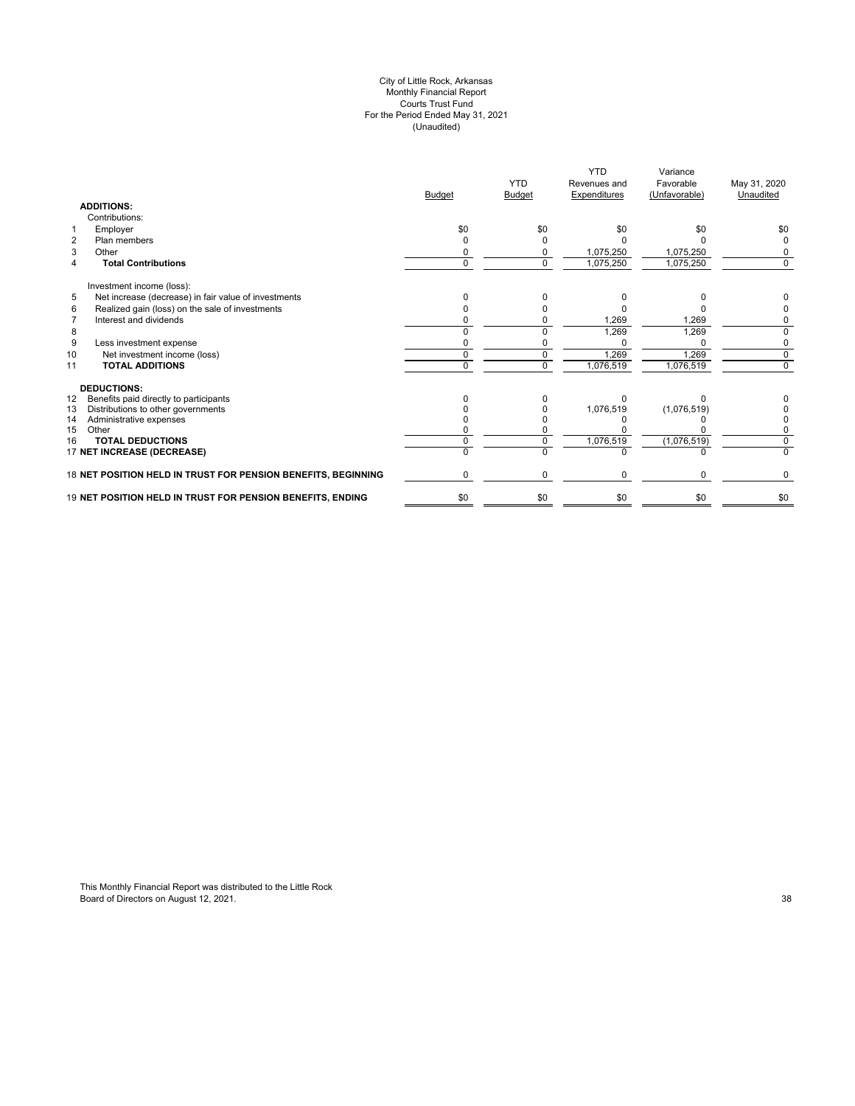#### City of Little Rock, Arkansas Monthly Financial Report Courts Trust Fund For the Period Ended May 31, 2021 (Unaudited)

|                                                               | <b>Budget</b> | <b>YTD</b><br><b>Budget</b> | <b>YTD</b><br>Revenues and<br>Expenditures | Variance<br>Favorable<br>(Unfavorable) | May 31, 2020<br>Unaudited |
|---------------------------------------------------------------|---------------|-----------------------------|--------------------------------------------|----------------------------------------|---------------------------|
| <b>ADDITIONS:</b>                                             |               |                             |                                            |                                        |                           |
| Contributions:                                                |               |                             |                                            |                                        |                           |
| Employer<br>1                                                 | \$0           | \$0                         | \$0                                        | \$0                                    | \$0                       |
| $\overline{2}$<br>Plan members                                |               |                             |                                            |                                        |                           |
| 3<br>Other                                                    |               | <sup>0</sup>                | 1,075,250                                  | 1,075,250                              | 0                         |
| <b>Total Contributions</b><br>4                               | $\Omega$      | $\Omega$                    | 1,075,250                                  | 1,075,250                              | 0                         |
| Investment income (loss):                                     |               |                             |                                            |                                        |                           |
| 5<br>Net increase (decrease) in fair value of investments     |               |                             |                                            |                                        |                           |
| 6<br>Realized gain (loss) on the sale of investments          |               |                             |                                            |                                        |                           |
| Interest and dividends<br>$\overline{7}$                      |               |                             | 1,269                                      | 1,269                                  |                           |
| 8                                                             |               |                             | 1,269                                      | 1,269                                  | <sup>0</sup>              |
| 9<br>Less investment expense                                  |               |                             | U                                          | $\Omega$                               | 0                         |
| Net investment income (loss)<br>10                            | 0             | $\Omega$                    | 1,269                                      | 1,269                                  | $\mathbf 0$               |
| <b>TOTAL ADDITIONS</b><br>11                                  | U             | $\Omega$                    | 1,076,519                                  | 1,076,519                              | $\Omega$                  |
| <b>DEDUCTIONS:</b>                                            |               |                             |                                            |                                        |                           |
| Benefits paid directly to participants<br>12                  |               |                             |                                            |                                        |                           |
| 13<br>Distributions to other governments                      |               |                             | 1,076,519                                  | (1,076,519)                            |                           |
| 14<br>Administrative expenses                                 |               |                             |                                            |                                        |                           |
| 15<br>Other                                                   |               |                             |                                            |                                        |                           |
| <b>TOTAL DEDUCTIONS</b><br>16                                 |               |                             | 1,076,519                                  | (1,076,519)                            | $\Omega$                  |
| 17 NET INCREASE (DECREASE)                                    |               | $\Omega$                    |                                            |                                        | U                         |
| 18 NET POSITION HELD IN TRUST FOR PENSION BENEFITS, BEGINNING |               | $\Omega$                    | $\Omega$                                   | $\Omega$                               | 0                         |
| 19 NET POSITION HELD IN TRUST FOR PENSION BENEFITS, ENDING    | \$0           | \$0                         | \$0                                        | \$0                                    | \$0                       |
|                                                               |               |                             |                                            |                                        |                           |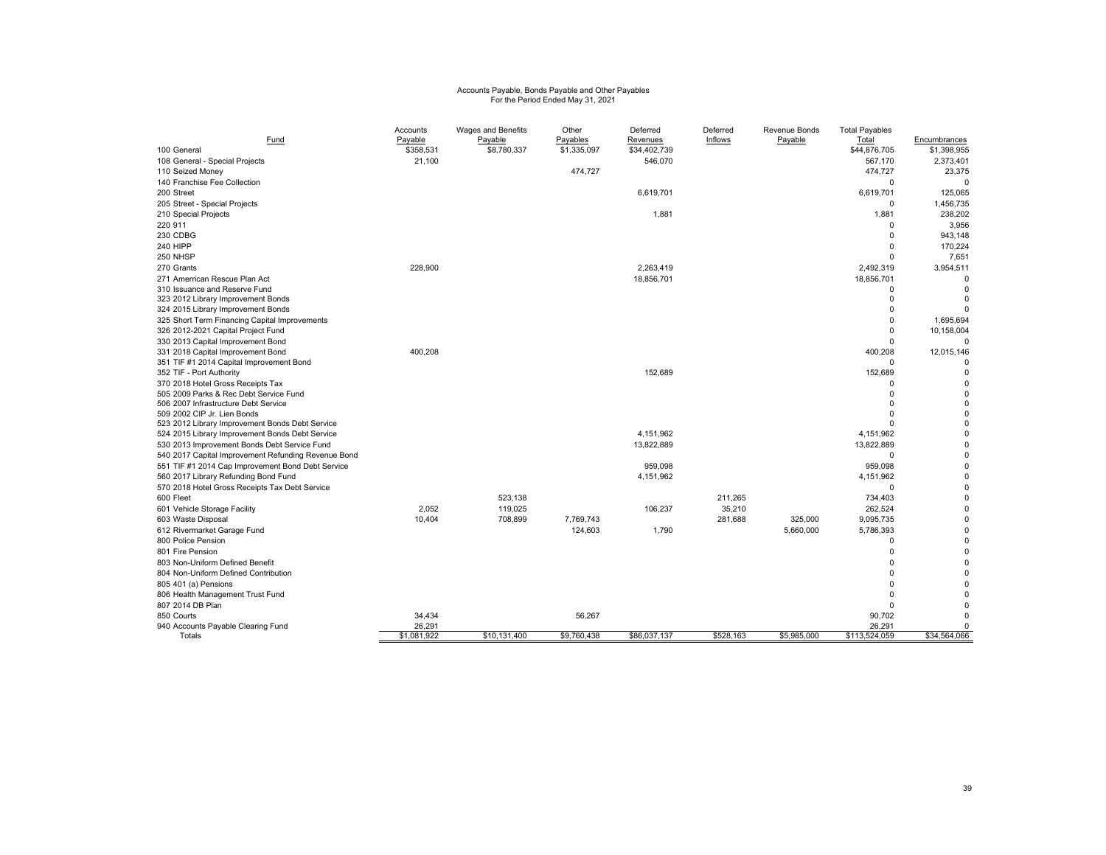# Accounts Payable, Bonds Payable and Other Payables For the Period Ended May 31, 2021

|                                                     | Accounts    | Wages and Benefits | Other       | Deferred     | Deferred  | Revenue Bonds | <b>Total Payables</b> |                         |
|-----------------------------------------------------|-------------|--------------------|-------------|--------------|-----------|---------------|-----------------------|-------------------------|
| Fund                                                | Payable     | Payable            | Payables    | Revenues     | Inflows   | Payable       | Total                 | Encumbrances            |
| 100 General                                         | \$358,531   | \$8,780,337        | \$1,335,097 | \$34,402,739 |           |               | \$44,876,705          | \$1,398,955             |
| 108 General - Special Projects                      | 21,100      |                    |             | 546,070      |           |               | 567,170               | 2,373,401               |
| 110 Seized Money                                    |             |                    | 474,727     |              |           |               | 474,727               | 23,375                  |
| 140 Franchise Fee Collection                        |             |                    |             |              |           |               | $\Omega$              | $\Omega$                |
| 200 Street                                          |             |                    |             | 6,619,701    |           |               | 6,619,701             | 125,065                 |
| 205 Street - Special Projects                       |             |                    |             |              |           |               | $\Omega$              | 1,456,735               |
| 210 Special Projects                                |             |                    |             | 1,881        |           |               | 1,881                 | 238,202                 |
| 220 911                                             |             |                    |             |              |           |               | $\Omega$              | 3,956                   |
| 230 CDBG                                            |             |                    |             |              |           |               | $\Omega$              | 943,148                 |
| 240 HIPP                                            |             |                    |             |              |           |               | $\Omega$              | 170,224                 |
| 250 NHSP                                            |             |                    |             |              |           |               | $\Omega$              | 7,651                   |
| 270 Grants                                          | 228,900     |                    |             | 2,263,419    |           |               | 2,492,319             | 3,954,511               |
| 271 Amerrican Rescue Plan Act                       |             |                    |             | 18,856,701   |           |               | 18,856,701            | $\Omega$                |
| 310 Issuance and Reserve Fund                       |             |                    |             |              |           |               | $\Omega$              | $\Omega$                |
| 323 2012 Library Improvement Bonds                  |             |                    |             |              |           |               | $\Omega$              | $\Omega$                |
| 324 2015 Library Improvement Bonds                  |             |                    |             |              |           |               | $\Omega$              | $\Omega$                |
| 325 Short Term Financing Capital Improvements       |             |                    |             |              |           |               | $\Omega$              | 1,695,694               |
| 326 2012-2021 Capital Project Fund                  |             |                    |             |              |           |               | $\Omega$              | 10,158,004              |
| 330 2013 Capital Improvement Bond                   |             |                    |             |              |           |               |                       |                         |
| 331 2018 Capital Improvement Bond                   | 400,208     |                    |             |              |           |               | 400,208               | 12,015,146              |
| 351 TIF #1 2014 Capital Improvement Bond            |             |                    |             |              |           |               | $\Omega$              | $\Omega$                |
| 352 TIF - Port Authority                            |             |                    |             | 152,689      |           |               | 152,689               | $\Omega$                |
| 370 2018 Hotel Gross Receipts Tax                   |             |                    |             |              |           |               | n                     | $\mathbf 0$             |
| 505 2009 Parks & Rec Debt Service Fund              |             |                    |             |              |           |               | $\Omega$              | $\Omega$                |
| 506 2007 Infrastructure Debt Service                |             |                    |             |              |           |               |                       | $\mathbf 0$             |
| 509 2002 CIP Jr. Lien Bonds                         |             |                    |             |              |           |               |                       | $\Omega$                |
| 523 2012 Library Improvement Bonds Debt Service     |             |                    |             | 4.151.962    |           |               | 4,151,962             | $\mathbf 0$<br>$\Omega$ |
| 524 2015 Library Improvement Bonds Debt Service     |             |                    |             |              |           |               |                       | $\Omega$                |
| 530 2013 Improvement Bonds Debt Service Fund        |             |                    |             | 13,822,889   |           |               | 13,822,889            | 0                       |
| 540 2017 Capital Improvement Refunding Revenue Bond |             |                    |             |              |           |               | $\Omega$              |                         |
| 551 TIF #1 2014 Cap Improvement Bond Debt Service   |             |                    |             | 959,098      |           |               | 959,098               | 0                       |
| 560 2017 Library Refunding Bond Fund                |             |                    |             | 4,151,962    |           |               | 4,151,962             | $\Omega$                |
| 570 2018 Hotel Gross Receipts Tax Debt Service      |             |                    |             |              |           |               | $\Omega$              | $\mathbf 0$             |
| 600 Fleet                                           |             | 523,138            |             |              | 211,265   |               | 734,403               | $\Omega$                |
| 601 Vehicle Storage Facility                        | 2,052       | 119,025            |             | 106,237      | 35,210    |               | 262,524               | $\Omega$                |
| 603 Waste Disposal                                  | 10,404      | 708,899            | 7,769,743   |              | 281,688   | 325,000       | 9,095,735             | $\Omega$                |
| 612 Rivermarket Garage Fund                         |             |                    | 124,603     | 1,790        |           | 5,660,000     | 5,786,393             | $\Omega$                |
| 800 Police Pension                                  |             |                    |             |              |           |               | $\Omega$              | $\Omega$                |
| 801 Fire Pension                                    |             |                    |             |              |           |               | $\Omega$              | $\Omega$                |
| 803 Non-Uniform Defined Benefit                     |             |                    |             |              |           |               | $\Omega$              | $\Omega$                |
| 804 Non-Uniform Defined Contribution                |             |                    |             |              |           |               | $\Omega$              | $\Omega$                |
| 805 401 (a) Pensions                                |             |                    |             |              |           |               |                       | $\Omega$                |
| 806 Health Management Trust Fund                    |             |                    |             |              |           |               |                       | $\Omega$                |
| 807 2014 DB Plan                                    |             |                    |             |              |           |               | $\Omega$              | $\Omega$                |
| 850 Courts                                          | 34,434      |                    | 56,267      |              |           |               | 90,702                | $\Omega$                |
| 940 Accounts Payable Clearing Fund                  | 26,291      |                    |             |              |           |               | 26,291                | 0                       |
| Totals                                              | \$1,081,922 | \$10,131,400       | \$9,760,438 | \$86,037,137 | \$528,163 | \$5,985,000   | \$113,524,059         | \$34,564,066            |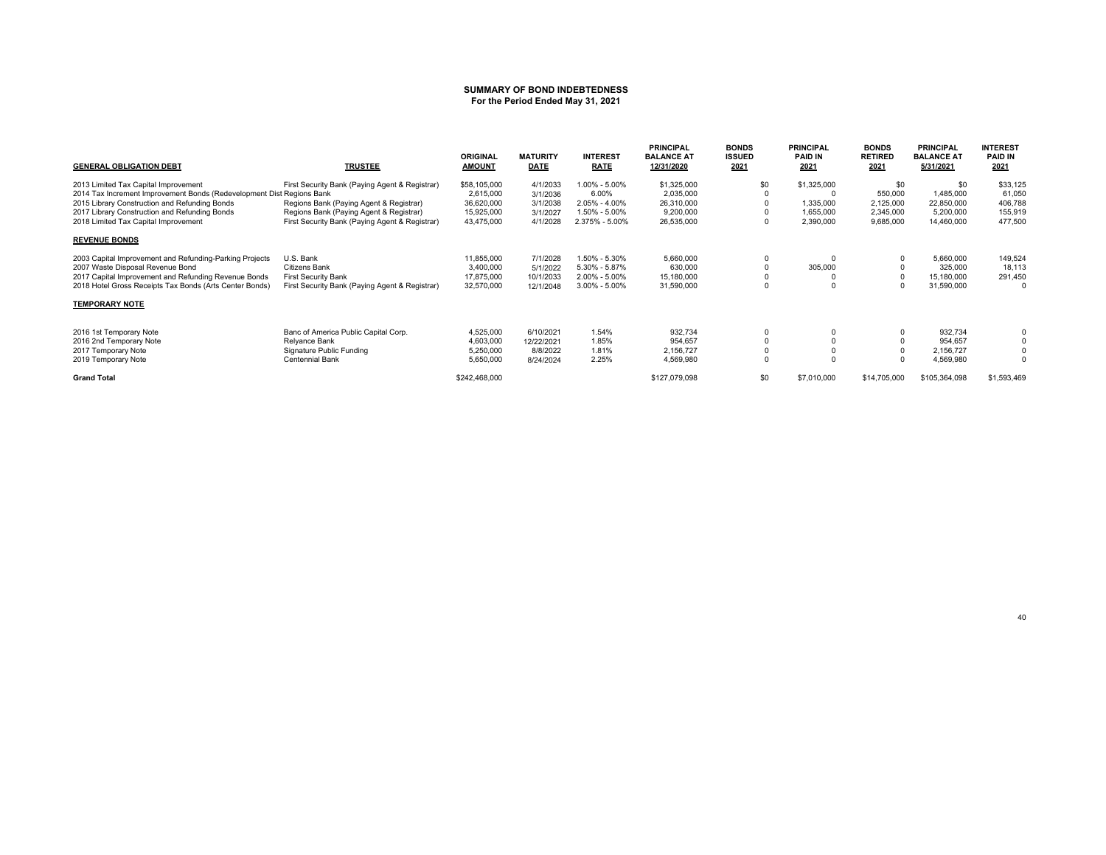# **SUMMARY OF BOND INDEBTEDNESS For the Period Ended May 31, 2021**

| <b>GENERAL OBLIGATION DEBT</b>                                        | <b>TRUSTEE</b>                                 | <b>ORIGINAL</b><br><b>AMOUNT</b> | <b>MATURITY</b><br><b>DATE</b> | <b>INTEREST</b><br><b>RATE</b> | <b>PRINCIPAL</b><br><b>BALANCE AT</b><br>12/31/2020 | <b>BONDS</b><br><b>ISSUED</b><br>2021 | <b>PRINCIPAL</b><br><b>PAID IN</b><br>2021 | <b>BONDS</b><br><b>RETIRED</b><br>2021 | <b>PRINCIPAL</b><br><b>BALANCE AT</b><br>5/31/2021 | <b>INTEREST</b><br><b>PAID IN</b><br>2021 |
|-----------------------------------------------------------------------|------------------------------------------------|----------------------------------|--------------------------------|--------------------------------|-----------------------------------------------------|---------------------------------------|--------------------------------------------|----------------------------------------|----------------------------------------------------|-------------------------------------------|
| 2013 Limited Tax Capital Improvement                                  | First Security Bank (Paying Agent & Registrar) | \$58,105,000                     | 4/1/2033                       | 1.00% - 5.00%                  | \$1,325,000                                         | \$0                                   | \$1,325,000                                | \$0                                    | \$0                                                | \$33,125                                  |
| 2014 Tax Increment Improvement Bonds (Redevelopment Dist Regions Bank |                                                | 2,615,000                        | 3/1/2036                       | 6.00%                          | 2,035,000                                           |                                       |                                            | 550,000                                | 1,485,000                                          | 61,050                                    |
| 2015 Library Construction and Refunding Bonds                         | Regions Bank (Paying Agent & Registrar)        | 36,620,000                       | 3/1/2038                       | $2.05\% - 4.00\%$              | 26,310,000                                          |                                       | 1,335,000                                  | 2,125,000                              | 22,850,000                                         | 406,788                                   |
| 2017 Library Construction and Refunding Bonds                         | Regions Bank (Paying Agent & Registrar)        | 15,925,000                       | 3/1/2027                       | 1.50% - 5.00%                  | 9,200,000                                           |                                       | 1,655,000                                  | 2,345,000                              | 5,200,000                                          | 155,919                                   |
| 2018 Limited Tax Capital Improvement                                  | First Security Bank (Paying Agent & Registrar) | 43,475,000                       | 4/1/2028                       | 2.375% - 5.00%                 | 26,535,000                                          | 0                                     | 2,390,000                                  | 9,685,000                              | 14,460,000                                         | 477,500                                   |
| <b>REVENUE BONDS</b>                                                  |                                                |                                  |                                |                                |                                                     |                                       |                                            |                                        |                                                    |                                           |
| 2003 Capital Improvement and Refunding-Parking Projects               | U.S. Bank                                      | 11,855,000                       | 7/1/2028                       | 1.50% - 5.30%                  | 5,660,000                                           | 0                                     | 0                                          |                                        | 5,660,000                                          | 149,524                                   |
| 2007 Waste Disposal Revenue Bond                                      | Citizens Bank                                  | 3,400,000                        | 5/1/2022                       | 5.30% - 5.87%                  | 630,000                                             | $\Omega$                              | 305,000                                    |                                        | 325,000                                            | 18,113                                    |
| 2017 Capital Improvement and Refunding Revenue Bonds                  | <b>First Security Bank</b>                     | 17,875,000                       | 10/1/2033                      | $2.00\% - 5.00\%$              | 15,180,000                                          | 0                                     |                                            |                                        | 15,180,000                                         | 291,450                                   |
| 2018 Hotel Gross Receipts Tax Bonds (Arts Center Bonds)               | First Security Bank (Paying Agent & Registrar) | 32,570,000                       | 12/1/2048                      | $3.00\% - 5.00\%$              | 31,590,000                                          | $\Omega$                              |                                            |                                        | 31,590,000                                         | $\Omega$                                  |
| <b>TEMPORARY NOTE</b>                                                 |                                                |                                  |                                |                                |                                                     |                                       |                                            |                                        |                                                    |                                           |
| 2016 1st Temporary Note                                               | Banc of America Public Capital Corp.           | 4,525,000                        | 6/10/2021                      | 1.54%                          | 932.734                                             | 0                                     |                                            |                                        | 932.734                                            |                                           |
| 2016 2nd Temporary Note                                               | Relyance Bank                                  | 4,603,000                        | 12/22/2021                     | 1.85%                          | 954,657                                             | $\Omega$                              |                                            |                                        | 954,657                                            |                                           |
| 2017 Temporary Note                                                   | Signature Public Funding                       | 5,250,000                        | 8/8/2022                       | 1.81%                          | 2,156,727                                           | 0                                     |                                            |                                        | 2,156,727                                          |                                           |
| 2019 Temporary Note                                                   | <b>Centennial Bank</b>                         | 5,650,000                        | 8/24/2024                      | 2.25%                          | 4,569,980                                           | $\mathbf 0$                           |                                            |                                        | 4,569,980                                          | $\Omega$                                  |
| <b>Grand Total</b>                                                    |                                                | \$242,468,000                    |                                |                                | \$127,079,098                                       | \$0                                   | \$7,010,000                                | \$14,705,000                           | \$105,364,098                                      | \$1,593,469                               |